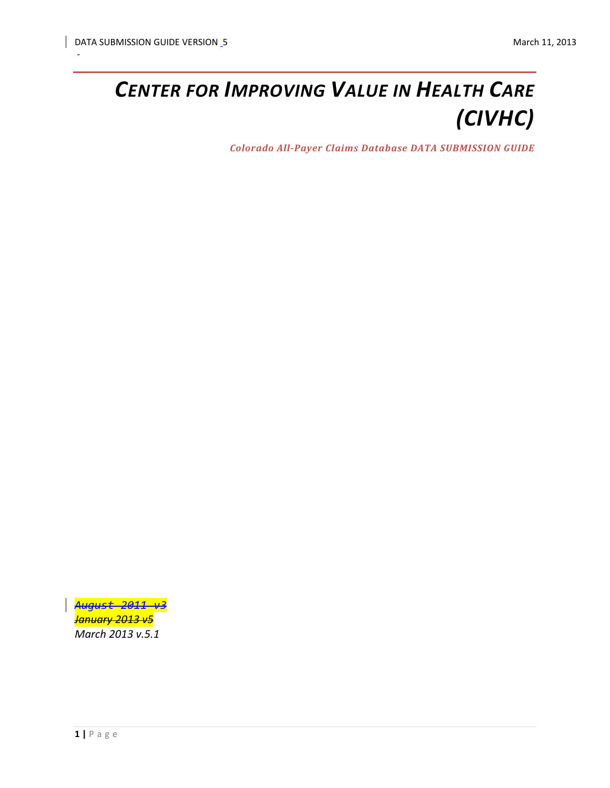# *CENTER FOR IMPROVING VALUE IN HEALTH CARE (CIVHC)*

*Colorado All-Payer Claims Database DATA SUBMISSION GUIDE*

*August 2011 v3 January 2013 v5 March 2013 v.5.1*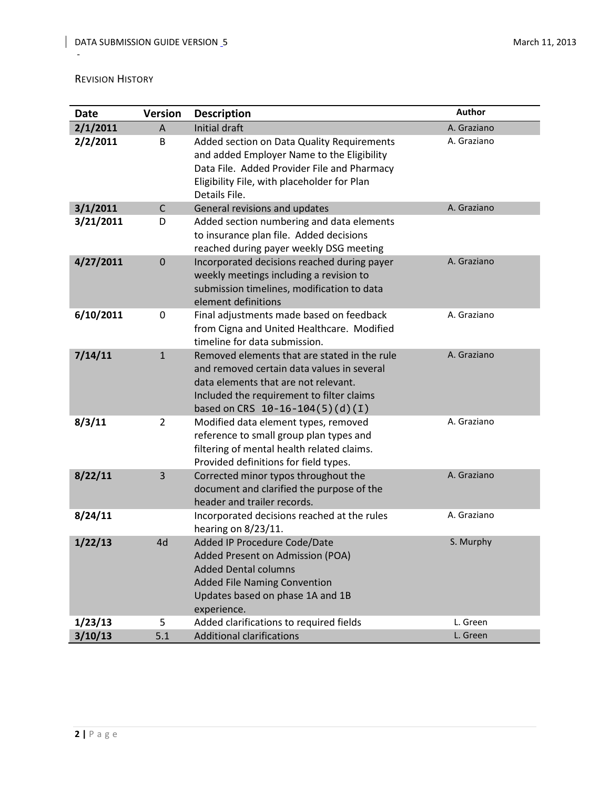#### <span id="page-1-0"></span>REVISION HISTORY

| Date      | <b>Version</b> | <b>Description</b>                                                                                                                                                                                                   | Author      |
|-----------|----------------|----------------------------------------------------------------------------------------------------------------------------------------------------------------------------------------------------------------------|-------------|
| 2/1/2011  | $\overline{A}$ | Initial draft                                                                                                                                                                                                        | A. Graziano |
| 2/2/2011  | B              | Added section on Data Quality Requirements<br>and added Employer Name to the Eligibility<br>Data File. Added Provider File and Pharmacy<br>Eligibility File, with placeholder for Plan<br>Details File.              | A. Graziano |
| 3/1/2011  | $\mathsf{C}$   | General revisions and updates                                                                                                                                                                                        | A. Graziano |
| 3/21/2011 | D              | Added section numbering and data elements<br>to insurance plan file. Added decisions<br>reached during payer weekly DSG meeting                                                                                      |             |
| 4/27/2011 | $\mathbf{0}$   | Incorporated decisions reached during payer<br>weekly meetings including a revision to<br>submission timelines, modification to data<br>element definitions                                                          | A. Graziano |
| 6/10/2011 | 0              | Final adjustments made based on feedback<br>from Cigna and United Healthcare. Modified<br>timeline for data submission.                                                                                              | A. Graziano |
| 7/14/11   | $\mathbf{1}$   | Removed elements that are stated in the rule<br>and removed certain data values in several<br>data elements that are not relevant.<br>Included the requirement to filter claims<br>based on CRS $10-16-104(5)(d)(I)$ | A. Graziano |
| 8/3/11    | $\overline{2}$ | Modified data element types, removed<br>reference to small group plan types and<br>filtering of mental health related claims.<br>Provided definitions for field types.                                               | A. Graziano |
| 8/22/11   | 3              | Corrected minor typos throughout the<br>document and clarified the purpose of the<br>header and trailer records.                                                                                                     | A. Graziano |
| 8/24/11   |                | Incorporated decisions reached at the rules<br>hearing on 8/23/11.                                                                                                                                                   | A. Graziano |
| 1/22/13   | 4d             | Added IP Procedure Code/Date<br>Added Present on Admission (POA)<br><b>Added Dental columns</b><br><b>Added File Naming Convention</b><br>Updates based on phase 1A and 1B<br>experience.                            | S. Murphy   |
| 1/23/13   | 5              | Added clarifications to required fields                                                                                                                                                                              | L. Green    |
| 3/10/13   | 5.1            | <b>Additional clarifications</b>                                                                                                                                                                                     | L. Green    |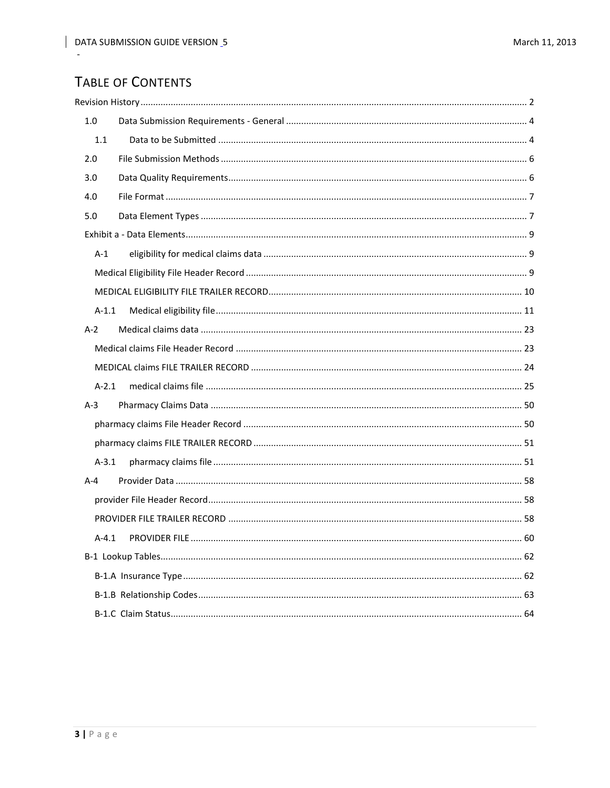# **TABLE OF CONTENTS**

| 1.0     |  |
|---------|--|
| $1.1$   |  |
| 2.0     |  |
| 3.0     |  |
| 4.0     |  |
| 5.0     |  |
|         |  |
| $A-1$   |  |
|         |  |
|         |  |
| $A-1.1$ |  |
| $A-2$   |  |
|         |  |
|         |  |
| $A-2.1$ |  |
| $A-3$   |  |
|         |  |
|         |  |
| $A-3.1$ |  |
| $A - 4$ |  |
|         |  |
|         |  |
|         |  |
|         |  |
|         |  |
|         |  |
|         |  |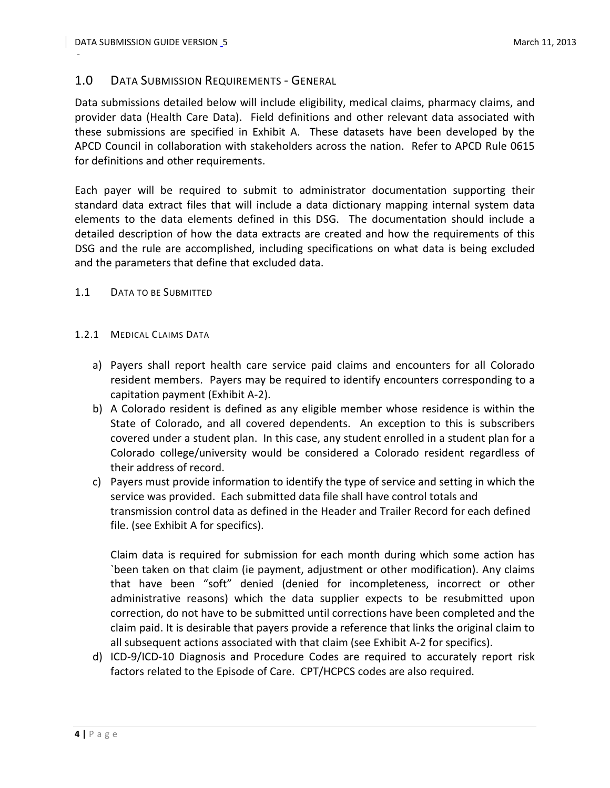# <span id="page-3-0"></span>1.0 DATA SUBMISSION REQUIREMENTS - GENERAL

Data submissions detailed below will include eligibility, medical claims, pharmacy claims, and provider data (Health Care Data). Field definitions and other relevant data associated with these submissions are specified in Exhibit A. These datasets have been developed by the APCD Council in collaboration with stakeholders across the nation. Refer to APCD Rule 0615 for definitions and other requirements.

Each payer will be required to submit to administrator documentation supporting their standard data extract files that will include a data dictionary mapping internal system data elements to the data elements defined in this DSG. The documentation should include a detailed description of how the data extracts are created and how the requirements of this DSG and the rule are accomplished, including specifications on what data is being excluded and the parameters that define that excluded data.

## <span id="page-3-1"></span>1.1 DATA TO BE SUBMITTED

#### 1.2.1 MEDICAL CLAIMS DATA

- a) Payers shall report health care service paid claims and encounters for all Colorado resident members. Payers may be required to identify encounters corresponding to a capitation payment (Exhibit A-2).
- b) A Colorado resident is defined as any eligible member whose residence is within the State of Colorado, and all covered dependents. An exception to this is subscribers covered under a student plan. In this case, any student enrolled in a student plan for a Colorado college/university would be considered a Colorado resident regardless of their address of record.
- c) Payers must provide information to identify the type of service and setting in which the service was provided. Each submitted data file shall have control totals and transmission control data as defined in the Header and Trailer Record for each defined file. (see Exhibit A for specifics).

Claim data is required for submission for each month during which some action has `been taken on that claim (ie payment, adjustment or other modification). Any claims that have been "soft" denied (denied for incompleteness, incorrect or other administrative reasons) which the data supplier expects to be resubmitted upon correction, do not have to be submitted until corrections have been completed and the claim paid. It is desirable that payers provide a reference that links the original claim to all subsequent actions associated with that claim (see Exhibit A-2 for specifics).

d) ICD-9/ICD-10 Diagnosis and Procedure Codes are required to accurately report risk factors related to the Episode of Care. CPT/HCPCS codes are also required.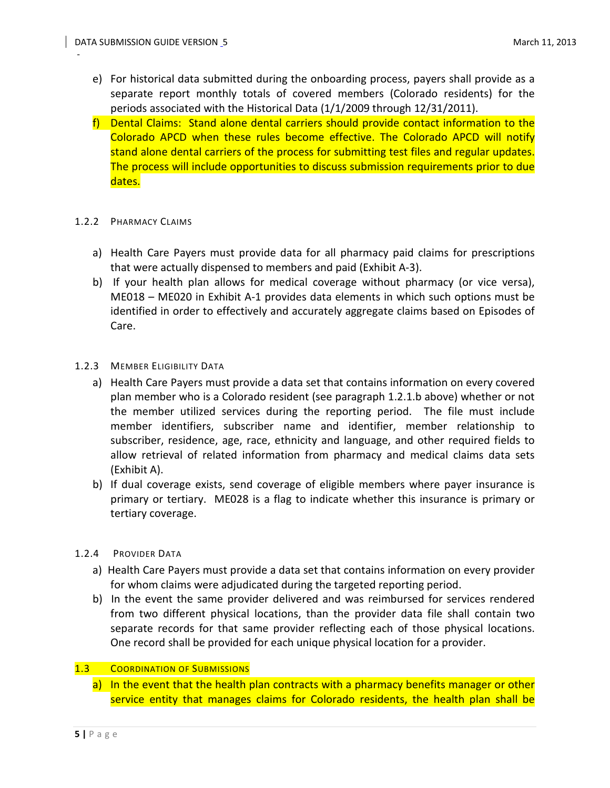- e) For historical data submitted during the onboarding process, payers shall provide as a separate report monthly totals of covered members (Colorado residents) for the periods associated with the Historical Data (1/1/2009 through 12/31/2011).
- f) Dental Claims: Stand alone dental carriers should provide contact information to the Colorado APCD when these rules become effective. The Colorado APCD will notify stand alone dental carriers of the process for submitting test files and regular updates. The process will include opportunities to discuss submission requirements prior to due dates.

#### 1.2.2 PHARMACY CLAIMS

- a) Health Care Payers must provide data for all pharmacy paid claims for prescriptions that were actually dispensed to members and paid (Exhibit A-3).
- b) If your health plan allows for medical coverage without pharmacy (or vice versa), ME018 – ME020 in Exhibit A-1 provides data elements in which such options must be identified in order to effectively and accurately aggregate claims based on Episodes of Care.

#### 1.2.3 MEMBER ELIGIBILITY DATA

- a) Health Care Payers must provide a data set that contains information on every covered plan member who is a Colorado resident (see paragraph 1.2.1.b above) whether or not the member utilized services during the reporting period. The file must include member identifiers, subscriber name and identifier, member relationship to subscriber, residence, age, race, ethnicity and language, and other required fields to allow retrieval of related information from pharmacy and medical claims data sets (Exhibit A).
- b) If dual coverage exists, send coverage of eligible members where payer insurance is primary or tertiary. ME028 is a flag to indicate whether this insurance is primary or tertiary coverage.

## 1.2.4 PROVIDER DATA

- a) Health Care Payers must provide a data set that contains information on every provider for whom claims were adjudicated during the targeted reporting period.
- b) In the event the same provider delivered and was reimbursed for services rendered from two different physical locations, than the provider data file shall contain two separate records for that same provider reflecting each of those physical locations. One record shall be provided for each unique physical location for a provider.

# 1.3 COORDINATION OF SUBMISSIONS

a) In the event that the health plan contracts with a pharmacy benefits manager or other service entity that manages claims for Colorado residents, the health plan shall be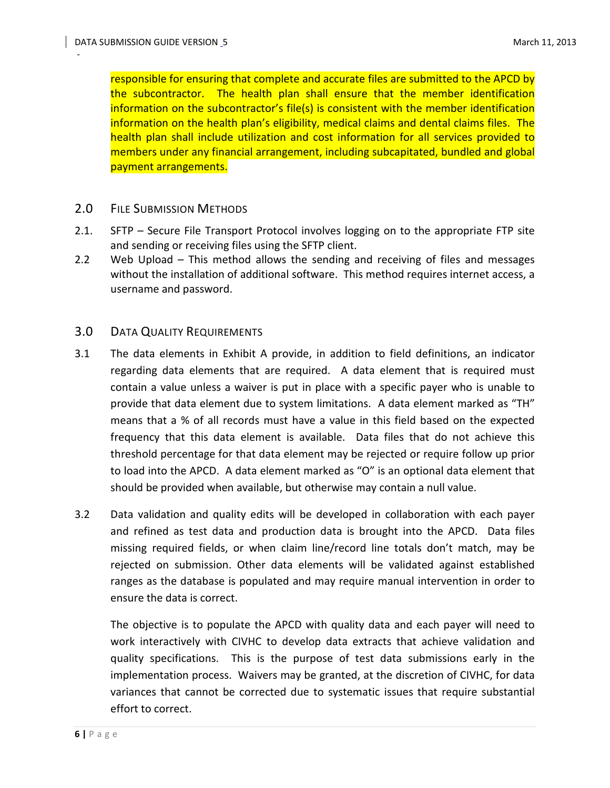responsible for ensuring that complete and accurate files are submitted to the APCD by the subcontractor. The health plan shall ensure that the member identification information on the subcontractor's file(s) is consistent with the member identification information on the health plan's eligibility, medical claims and dental claims files. The health plan shall include utilization and cost information for all services provided to members under any financial arrangement, including subcapitated, bundled and global payment arrangements.

## <span id="page-5-0"></span>2.0 FILE SUBMISSION METHODS

- 2.1. SFTP Secure File Transport Protocol involves logging on to the appropriate FTP site and sending or receiving files using the SFTP client.
- 2.2 Web Upload This method allows the sending and receiving of files and messages without the installation of additional software. This method requires internet access, a username and password.

#### <span id="page-5-1"></span>3.0 DATA QUALITY REQUIREMENTS

- 3.1 The data elements in Exhibit A provide, in addition to field definitions, an indicator regarding data elements that are required. A data element that is required must contain a value unless a waiver is put in place with a specific payer who is unable to provide that data element due to system limitations. A data element marked as "TH" means that a % of all records must have a value in this field based on the expected frequency that this data element is available. Data files that do not achieve this threshold percentage for that data element may be rejected or require follow up prior to load into the APCD. A data element marked as "O" is an optional data element that should be provided when available, but otherwise may contain a null value.
- 3.2 Data validation and quality edits will be developed in collaboration with each payer and refined as test data and production data is brought into the APCD. Data files missing required fields, or when claim line/record line totals don't match, may be rejected on submission. Other data elements will be validated against established ranges as the database is populated and may require manual intervention in order to ensure the data is correct.

The objective is to populate the APCD with quality data and each payer will need to work interactively with CIVHC to develop data extracts that achieve validation and quality specifications. This is the purpose of test data submissions early in the implementation process. Waivers may be granted, at the discretion of CIVHC, for data variances that cannot be corrected due to systematic issues that require substantial effort to correct.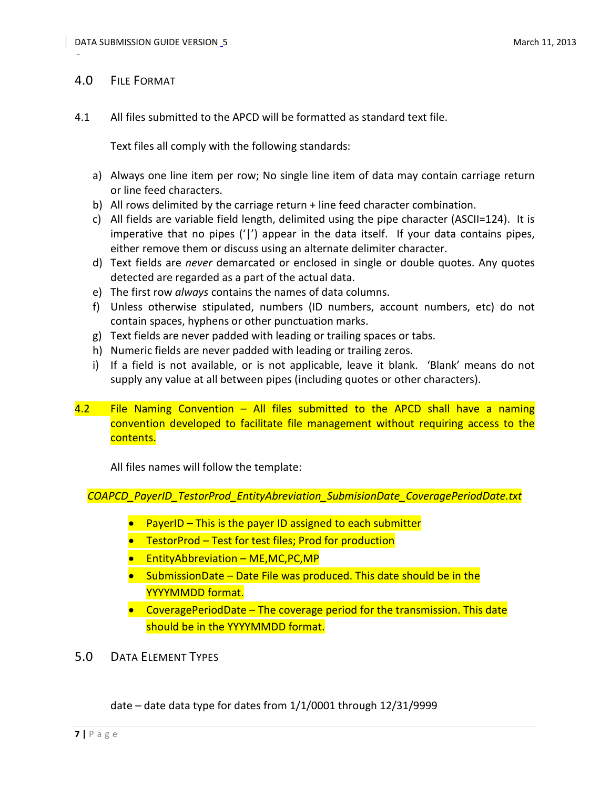# <span id="page-6-0"></span>4.0 FILE FORMAT

-

4.1 All files submitted to the APCD will be formatted as standard text file.

Text files all comply with the following standards:

- a) Always one line item per row; No single line item of data may contain carriage return or line feed characters.
- b) All rows delimited by the carriage return + line feed character combination.
- c) All fields are variable field length, delimited using the pipe character (ASCII=124). It is imperative that no pipes ('|') appear in the data itself. If your data contains pipes, either remove them or discuss using an alternate delimiter character.
- d) Text fields are *never* demarcated or enclosed in single or double quotes. Any quotes detected are regarded as a part of the actual data.
- e) The first row *always* contains the names of data columns.
- f) Unless otherwise stipulated, numbers (ID numbers, account numbers, etc) do not contain spaces, hyphens or other punctuation marks.
- g) Text fields are never padded with leading or trailing spaces or tabs.
- h) Numeric fields are never padded with leading or trailing zeros.
- i) If a field is not available, or is not applicable, leave it blank. 'Blank' means do not supply any value at all between pipes (including quotes or other characters).
- 4.2 File Naming Convention All files submitted to the APCD shall have a naming convention developed to facilitate file management without requiring access to the contents.

All files names will follow the template:

*COAPCD\_PayerID\_TestorProd\_EntityAbreviation\_SubmisionDate\_CoveragePeriodDate.txt*

- PayerID This is the payer ID assigned to each submitter
- TestorProd Test for test files; Prod for production
- EntityAbbreviation ME, MC, PC, MP
- SubmissionDate Date File was produced. This date should be in the YYYYMMDD format.
- CoveragePeriodDate The coverage period for the transmission. This date should be in the YYYYMMDD format.
- <span id="page-6-1"></span>5.0 DATA ELEMENT TYPES

date – date data type for dates from 1/1/0001 through 12/31/9999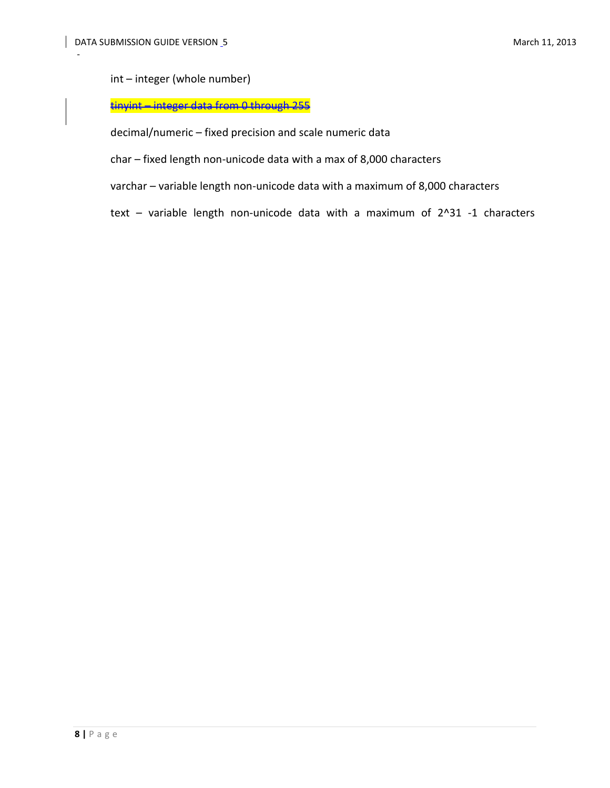int – integer (whole number)

# tinyint – integer data from 0 through 255

decimal/numeric – fixed precision and scale numeric data

char – fixed length non-unicode data with a max of 8,000 characters

varchar – variable length non-unicode data with a maximum of 8,000 characters

text – variable length non-unicode data with a maximum of 2^31 -1 characters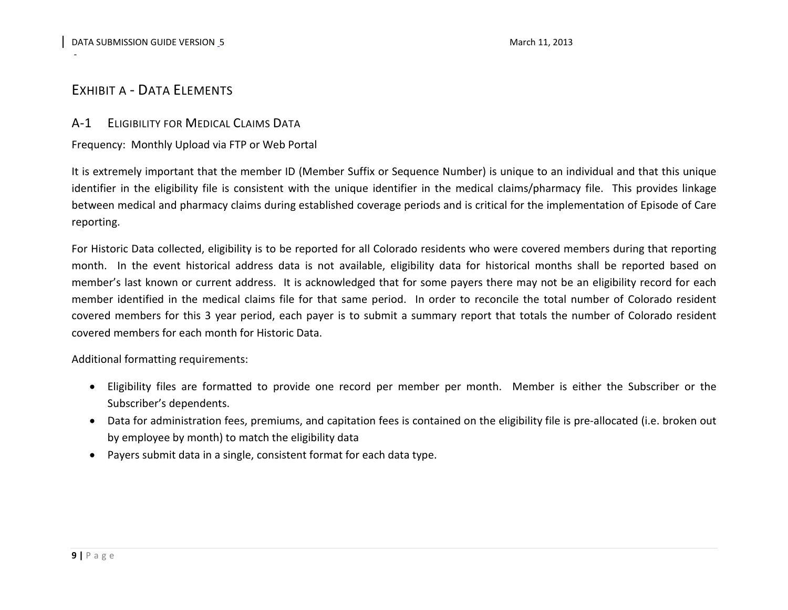# EXHIBIT A - DATA ELEMENTS

# A-1 ELIGIBILITY FOR MEDICAL CLAIMS DATA

# Frequency: Monthly Upload via FTP or Web Portal

It is extremely important that the member ID (Member Suffix or Sequence Number) is unique to an individual and that this unique identifier in the eligibility file is consistent with the unique identifier in the medical claims/pharmacy file. This provides linkage between medical and pharmacy claims during established coverage periods and is critical for the implementation of Episode of Care reporting.

<span id="page-8-1"></span><span id="page-8-0"></span>For Historic Data collected, eligibility is to be reported for all Colorado residents who were covered members during that reporting month. In the event historical address data is not available, eligibility data for historical months shall be reported based on member's last known or current address. It is acknowledged that for some payers there may not be an eligibility record for each member identified in the medical claims file for that same period. In order to reconcile the total number of Colorado resident covered members for this 3 year period, each payer is to submit a summary report that totals the number of Colorado resident covered members for each month for Historic Data.

Additional formatting requirements:

- Eligibility files are formatted to provide one record per member per month. Member is either the Subscriber or the Subscriber's dependents.
- Data for administration fees, premiums, and capitation fees is contained on the eligibility file is pre-allocated (i.e. broken out by employee by month) to match the eligibility data
- <span id="page-8-2"></span>• Payers submit data in a single, consistent format for each data type.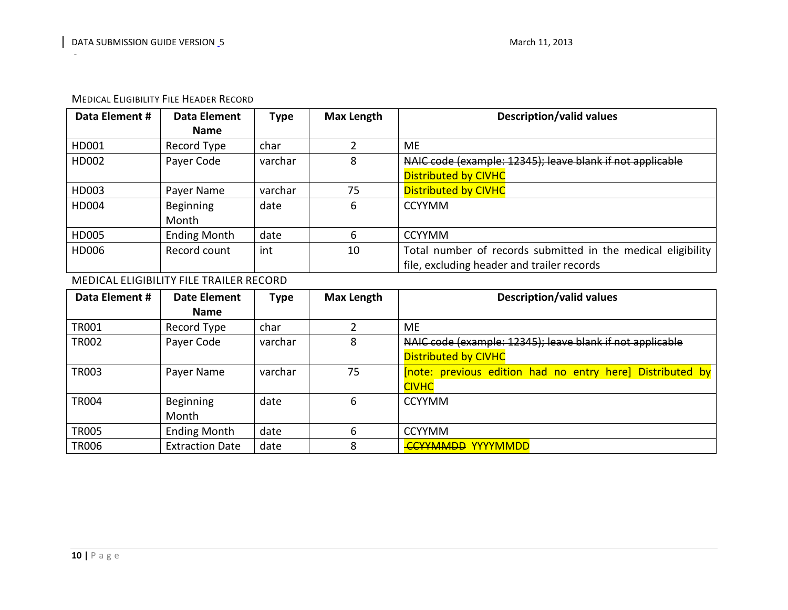| <b>MEDICAL ELIGIBILITY FILE HEADER RECORD</b> |
|-----------------------------------------------|
|                                               |

| Data Element # | Data Element        | Type    | Max Length | <b>Description/valid values</b>                              |
|----------------|---------------------|---------|------------|--------------------------------------------------------------|
|                | <b>Name</b>         |         |            |                                                              |
| HD001          | Record Type         | char    |            | ME.                                                          |
| HD002          | Payer Code          | varchar | 8          | NAIC code (example: 12345); leave blank if not applicable    |
|                |                     |         |            | <b>Distributed by CIVHC</b>                                  |
| HD003          | Payer Name          | varchar | 75         | <b>Distributed by CIVHC</b>                                  |
| HD004          | <b>Beginning</b>    | date    | 6          | <b>CCYYMM</b>                                                |
|                | Month               |         |            |                                                              |
| HD005          | <b>Ending Month</b> | date    | 6          | <b>CCYYMM</b>                                                |
| HD006          | Record count        | int     | 10         | Total number of records submitted in the medical eligibility |
|                |                     |         |            | file, excluding header and trailer records                   |

# MEDICAL ELIGIBILITY FILE TRAILER RECORD

<span id="page-9-0"></span>

| Data Element # | Date Element           | <b>Type</b> | <b>Max Length</b> | <b>Description/valid values</b>                           |
|----------------|------------------------|-------------|-------------------|-----------------------------------------------------------|
|                | <b>Name</b>            |             |                   |                                                           |
| <b>TR001</b>   | Record Type            | char        |                   | МE                                                        |
| <b>TR002</b>   | Payer Code             | varchar     | 8                 | NAIC code (example: 12345); leave blank if not applicable |
|                |                        |             |                   | <b>Distributed by CIVHC</b>                               |
| <b>TR003</b>   | Payer Name             | varchar     | 75                | [note: previous edition had no entry here] Distributed by |
|                |                        |             |                   | <b>CIVHC</b>                                              |
| <b>TR004</b>   | Beginning              | date        | 6                 | <b>CCYYMM</b>                                             |
|                | Month                  |             |                   |                                                           |
| <b>TR005</b>   | <b>Ending Month</b>    | date        | 6                 | <b>CCYYMM</b>                                             |
| <b>TR006</b>   | <b>Extraction Date</b> | date        | 8                 | <b>CCYYMMDD YYYYMMDD</b>                                  |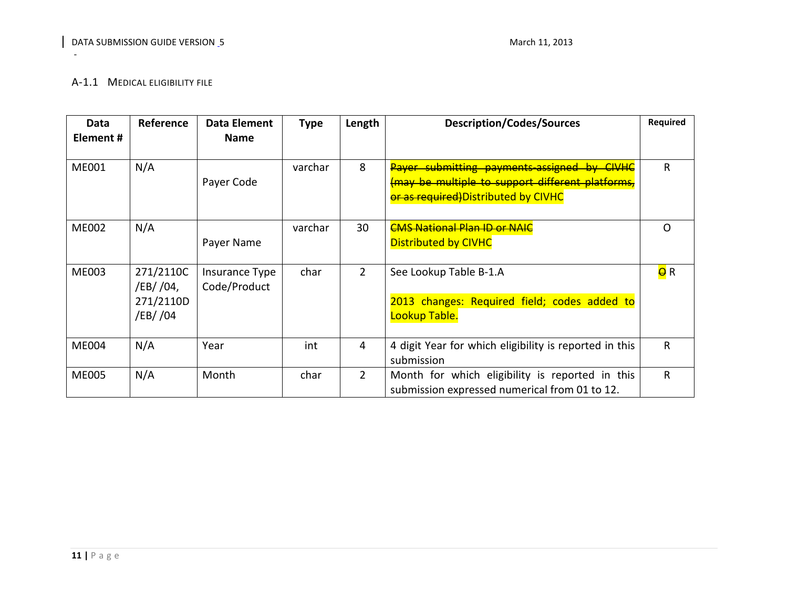#### A-1.1 MEDICAL ELIGIBILITY FILE

<span id="page-10-0"></span>

| Data         | <b>Reference</b> | Data Element   | <b>Type</b> | Length        | <b>Description/Codes/Sources</b>                       | <b>Required</b>  |
|--------------|------------------|----------------|-------------|---------------|--------------------------------------------------------|------------------|
| Element #    |                  | <b>Name</b>    |             |               |                                                        |                  |
|              |                  |                |             |               |                                                        |                  |
| <b>ME001</b> | N/A              |                | varchar     | 8             | Payer submitting payments assigned by CIVHC            | R.               |
|              |                  | Payer Code     |             |               | (may be multiple to support different platforms,       |                  |
|              |                  |                |             |               | or as reguired)Distributed by CIVHC                    |                  |
|              |                  |                |             |               |                                                        |                  |
| <b>ME002</b> | N/A              |                | varchar     | 30            | <b>CMS National Plan ID or NAIC</b>                    | Ω                |
|              |                  | Payer Name     |             |               | <b>Distributed by CIVHC</b>                            |                  |
|              |                  |                |             |               |                                                        |                  |
| <b>ME003</b> | 271/2110C        | Insurance Type | char        | $\mathcal{P}$ | See Lookup Table B-1.A                                 | <mark>e</mark> R |
|              | /EB/ /04,        | Code/Product   |             |               |                                                        |                  |
|              | 271/2110D        |                |             |               | 2013 changes: Required field; codes added to           |                  |
|              | /EB/ /04         |                |             |               | Lookup Table.                                          |                  |
|              |                  |                |             |               |                                                        |                  |
| <b>ME004</b> | N/A              | Year           | int         | 4             | 4 digit Year for which eligibility is reported in this | $\mathsf{R}$     |
|              |                  |                |             |               | submission                                             |                  |
| <b>ME005</b> | N/A              | Month          | char        | $\mathbf{2}$  | Month for which eligibility is reported in this        | $\mathsf{R}$     |
|              |                  |                |             |               | submission expressed numerical from 01 to 12.          |                  |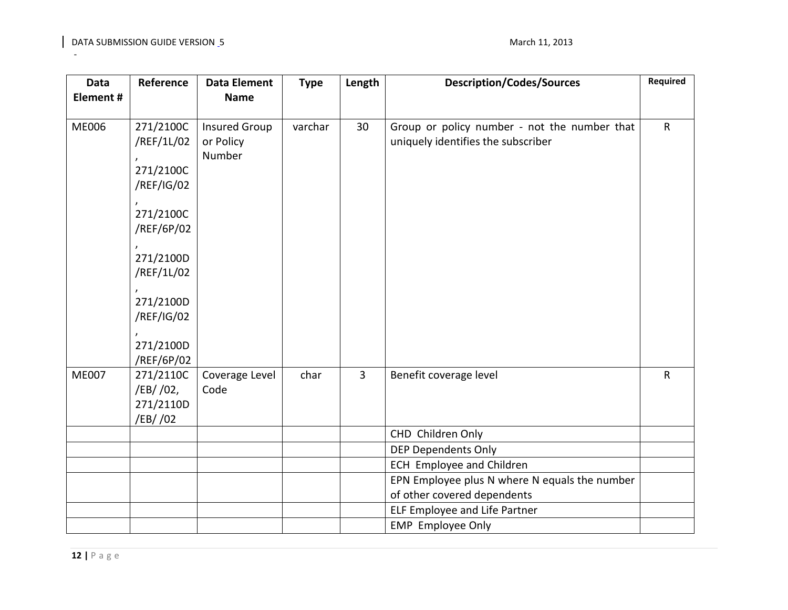| <b>Data</b>  | Reference  | <b>Data Element</b>  | <b>Type</b> | Length         | <b>Description/Codes/Sources</b>              | Required     |
|--------------|------------|----------------------|-------------|----------------|-----------------------------------------------|--------------|
| Element#     |            | <b>Name</b>          |             |                |                                               |              |
|              |            |                      |             |                |                                               |              |
| <b>ME006</b> | 271/2100C  | <b>Insured Group</b> | varchar     | 30             | Group or policy number - not the number that  | $\mathsf{R}$ |
|              | /REF/1L/02 | or Policy            |             |                | uniquely identifies the subscriber            |              |
|              |            | Number               |             |                |                                               |              |
|              | 271/2100C  |                      |             |                |                                               |              |
|              | /REF/IG/02 |                      |             |                |                                               |              |
|              |            |                      |             |                |                                               |              |
|              | 271/2100C  |                      |             |                |                                               |              |
|              | /REF/6P/02 |                      |             |                |                                               |              |
|              |            |                      |             |                |                                               |              |
|              | 271/2100D  |                      |             |                |                                               |              |
|              | /REF/1L/02 |                      |             |                |                                               |              |
|              | 271/2100D  |                      |             |                |                                               |              |
|              | /REF/IG/02 |                      |             |                |                                               |              |
|              |            |                      |             |                |                                               |              |
|              | 271/2100D  |                      |             |                |                                               |              |
|              | /REF/6P/02 |                      |             |                |                                               |              |
| <b>ME007</b> | 271/2110C  | Coverage Level       | char        | $\overline{3}$ | Benefit coverage level                        | $\mathsf{R}$ |
|              | /EB/ /02,  | Code                 |             |                |                                               |              |
|              | 271/2110D  |                      |             |                |                                               |              |
|              | /EB/ /02   |                      |             |                |                                               |              |
|              |            |                      |             |                | CHD Children Only                             |              |
|              |            |                      |             |                | <b>DEP Dependents Only</b>                    |              |
|              |            |                      |             |                | <b>ECH Employee and Children</b>              |              |
|              |            |                      |             |                | EPN Employee plus N where N equals the number |              |
|              |            |                      |             |                | of other covered dependents                   |              |
|              |            |                      |             |                | ELF Employee and Life Partner                 |              |
|              |            |                      |             |                | <b>EMP</b> Employee Only                      |              |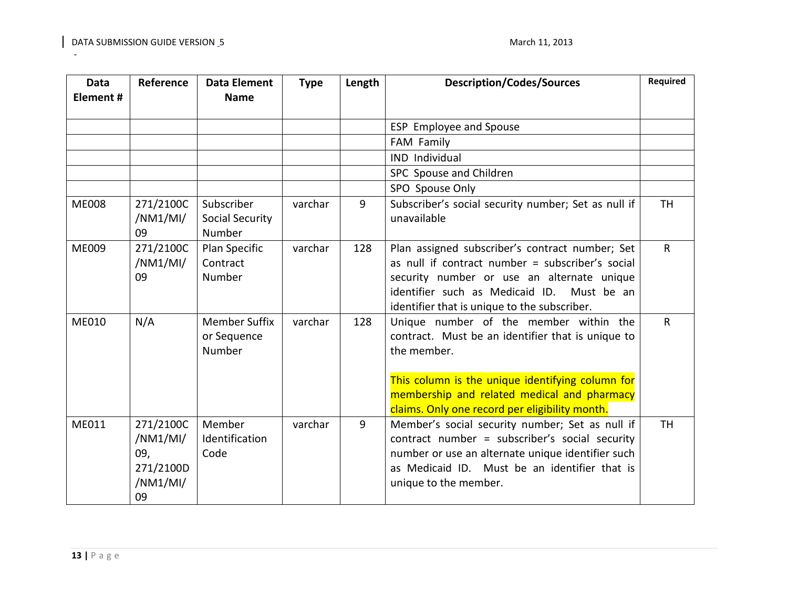| <b>Data</b><br>Element# | Reference                                                   | <b>Data Element</b><br><b>Name</b>             | <b>Type</b> | Length | <b>Description/Codes/Sources</b>                                                                                                                                                                                                                                | Required     |
|-------------------------|-------------------------------------------------------------|------------------------------------------------|-------------|--------|-----------------------------------------------------------------------------------------------------------------------------------------------------------------------------------------------------------------------------------------------------------------|--------------|
|                         |                                                             |                                                |             |        | ESP Employee and Spouse                                                                                                                                                                                                                                         |              |
|                         |                                                             |                                                |             |        | FAM Family                                                                                                                                                                                                                                                      |              |
|                         |                                                             |                                                |             |        | IND Individual                                                                                                                                                                                                                                                  |              |
|                         |                                                             |                                                |             |        | SPC Spouse and Children                                                                                                                                                                                                                                         |              |
|                         |                                                             |                                                |             |        | SPO Spouse Only                                                                                                                                                                                                                                                 |              |
| <b>ME008</b>            | 271/2100C<br>/NM1/MI/<br>09                                 | Subscriber<br><b>Social Security</b><br>Number | varchar     | 9      | Subscriber's social security number; Set as null if<br>unavailable                                                                                                                                                                                              | <b>TH</b>    |
| <b>ME009</b>            | 271/2100C<br>/NM1/MI/<br>09                                 | Plan Specific<br>Contract<br>Number            | varchar     | 128    | Plan assigned subscriber's contract number; Set<br>as null if contract number = subscriber's social<br>security number or use an alternate unique<br>identifier such as Medicaid ID. Must be an<br>identifier that is unique to the subscriber.                 | $\mathsf{R}$ |
| ME010                   | N/A                                                         | <b>Member Suffix</b><br>or Sequence<br>Number  | varchar     | 128    | Unique number of the member within the<br>contract. Must be an identifier that is unique to<br>the member.<br>This column is the unique identifying column for<br>membership and related medical and pharmacy<br>claims. Only one record per eligibility month. | $\mathsf{R}$ |
| ME011                   | 271/2100C<br>/NM1/MI/<br>09,<br>271/2100D<br>/NM1/MI/<br>09 | Member<br>Identification<br>Code               | varchar     | 9      | Member's social security number; Set as null if<br>contract number = subscriber's social security<br>number or use an alternate unique identifier such<br>as Medicaid ID. Must be an identifier that is<br>unique to the member.                                | <b>TH</b>    |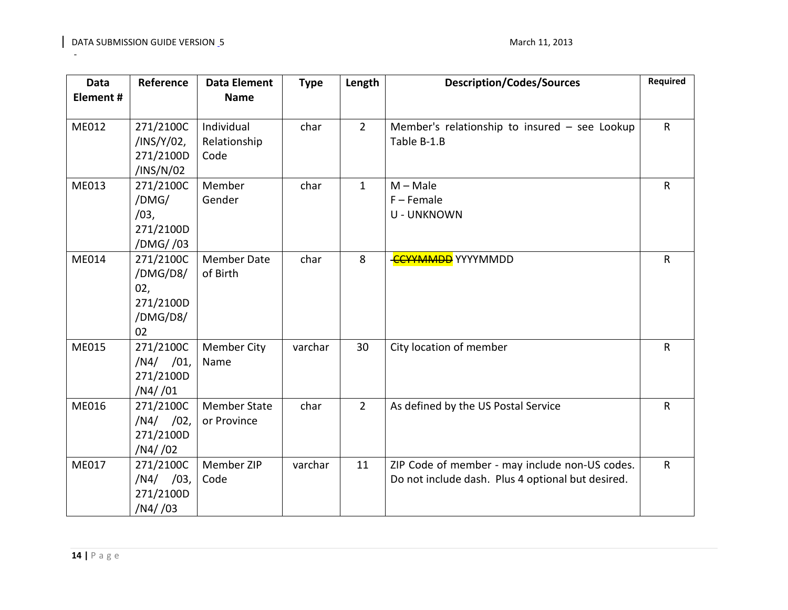| <b>Data</b><br>Element# | Reference      | <b>Data Element</b><br><b>Name</b> | <b>Type</b> | Length       | <b>Description/Codes/Sources</b>                  | Required     |
|-------------------------|----------------|------------------------------------|-------------|--------------|---------------------------------------------------|--------------|
|                         |                |                                    |             |              |                                                   |              |
| ME012                   | 271/2100C      | Individual                         | char        | $2^{\circ}$  | Member's relationship to insured $-$ see Lookup   | $\mathsf{R}$ |
|                         | /INS/Y/02,     | Relationship                       |             |              | Table B-1.B                                       |              |
|                         | 271/2100D      | Code                               |             |              |                                                   |              |
|                         | /INS/N/02      |                                    |             |              |                                                   |              |
| ME013                   | 271/2100C      | Member                             | char        | $\mathbf{1}$ | $M - Male$                                        | $\mathsf R$  |
|                         | /DMG/          | Gender                             |             |              | $F -$ Female                                      |              |
|                         | /03,           |                                    |             |              | <b>U - UNKNOWN</b>                                |              |
|                         | 271/2100D      |                                    |             |              |                                                   |              |
|                         | /DMG//03       |                                    |             |              |                                                   |              |
| ME014                   | 271/2100C      | <b>Member Date</b>                 | char        | 8            | <b>CCYYMMDD</b> YYYYMMDD                          | $\mathsf{R}$ |
|                         | /DMG/D8/       | of Birth                           |             |              |                                                   |              |
|                         | 02,            |                                    |             |              |                                                   |              |
|                         | 271/2100D      |                                    |             |              |                                                   |              |
|                         | /DMG/D8/<br>02 |                                    |             |              |                                                   |              |
| ME015                   | 271/2100C      | <b>Member City</b>                 | varchar     | 30           | City location of member                           | $\mathsf{R}$ |
|                         | $/N4/$ /01,    | Name                               |             |              |                                                   |              |
|                         | 271/2100D      |                                    |             |              |                                                   |              |
|                         | /N4//01        |                                    |             |              |                                                   |              |
| ME016                   | 271/2100C      | <b>Member State</b>                | char        | $2^{\circ}$  | As defined by the US Postal Service               | $\mathsf{R}$ |
|                         | $/N4/$ /02,    | or Province                        |             |              |                                                   |              |
|                         | 271/2100D      |                                    |             |              |                                                   |              |
|                         | /N4/02         |                                    |             |              |                                                   |              |
| ME017                   | 271/2100C      | Member ZIP                         | varchar     | 11           | ZIP Code of member - may include non-US codes.    | $\mathsf{R}$ |
|                         | $/N4/$ /03,    | Code                               |             |              | Do not include dash. Plus 4 optional but desired. |              |
|                         | 271/2100D      |                                    |             |              |                                                   |              |
|                         | /N4//03        |                                    |             |              |                                                   |              |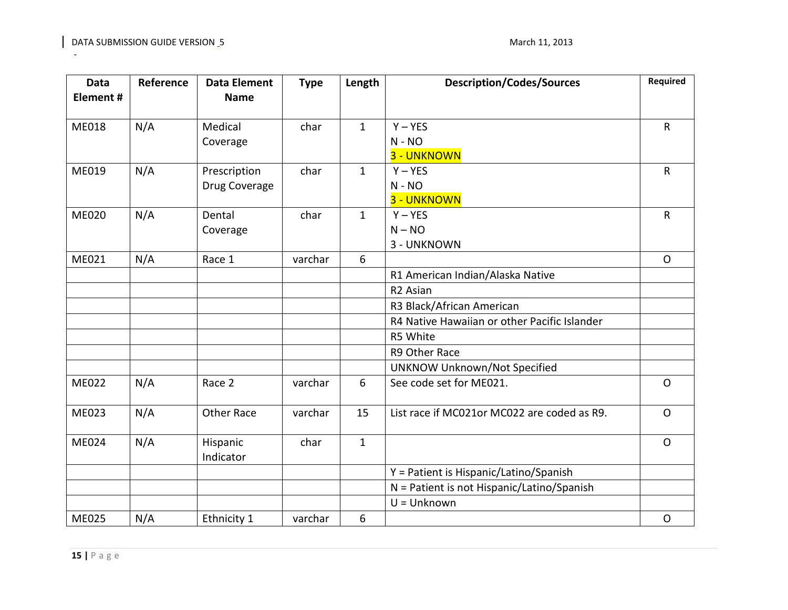| Data<br>Element# | Reference | <b>Data Element</b><br><b>Name</b> | <b>Type</b> | Length       | <b>Description/Codes/Sources</b>             | Required     |
|------------------|-----------|------------------------------------|-------------|--------------|----------------------------------------------|--------------|
| <b>ME018</b>     | N/A       | Medical                            | char        | $\mathbf{1}$ | $Y - YES$                                    | $\mathsf{R}$ |
|                  |           | Coverage                           |             |              | $N - NO$                                     |              |
|                  |           |                                    |             |              | 3 - UNKNOWN                                  |              |
| ME019            | N/A       | Prescription                       | char        | $\mathbf{1}$ | $Y - YES$                                    | $\mathsf{R}$ |
|                  |           | Drug Coverage                      |             |              | $N - NO$                                     |              |
|                  |           |                                    |             |              | 3 - UNKNOWN                                  |              |
| <b>ME020</b>     | N/A       | Dental                             | char        | $\mathbf{1}$ | $Y - YES$                                    | $\mathsf R$  |
|                  |           | Coverage                           |             |              | $N - NO$                                     |              |
|                  |           |                                    |             |              | 3 - UNKNOWN                                  |              |
| ME021            | N/A       | Race 1                             | varchar     | 6            |                                              | $\mathsf{O}$ |
|                  |           |                                    |             |              | R1 American Indian/Alaska Native             |              |
|                  |           |                                    |             |              | R <sub>2</sub> Asian                         |              |
|                  |           |                                    |             |              | R3 Black/African American                    |              |
|                  |           |                                    |             |              | R4 Native Hawaiian or other Pacific Islander |              |
|                  |           |                                    |             |              | R5 White                                     |              |
|                  |           |                                    |             |              | R9 Other Race                                |              |
|                  |           |                                    |             |              | <b>UNKNOW Unknown/Not Specified</b>          |              |
| <b>ME022</b>     | N/A       | Race 2                             | varchar     | 6            | See code set for ME021.                      | $\mathsf{O}$ |
| ME023            | N/A       | <b>Other Race</b>                  | varchar     | 15           | List race if MC021or MC022 are coded as R9.  | $\mathsf{O}$ |
| ME024            | N/A       | Hispanic<br>Indicator              | char        | $\mathbf{1}$ |                                              | $\mathsf{O}$ |
|                  |           |                                    |             |              | Y = Patient is Hispanic/Latino/Spanish       |              |
|                  |           |                                    |             |              | N = Patient is not Hispanic/Latino/Spanish   |              |
|                  |           |                                    |             |              | $U = Unknown$                                |              |
| <b>ME025</b>     | N/A       | Ethnicity 1                        | varchar     | 6            |                                              | $\mathsf O$  |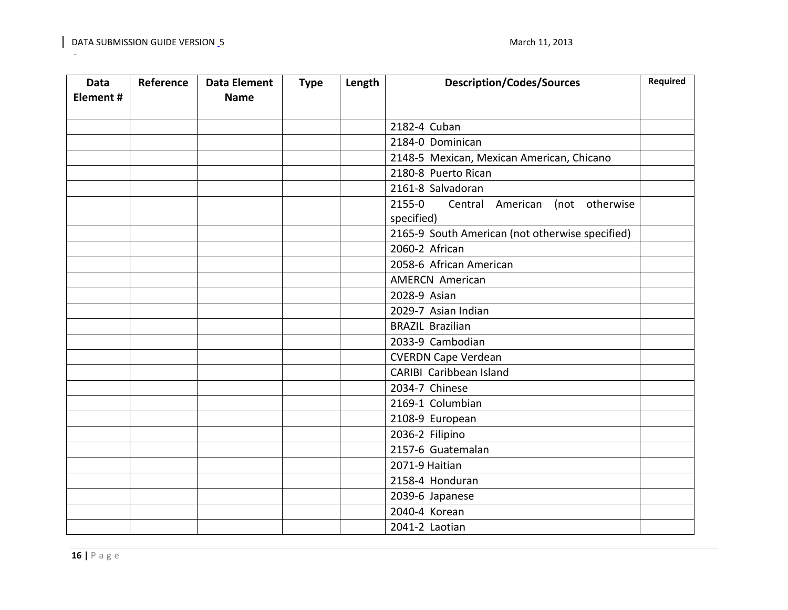| <b>Data</b> | Reference | <b>Data Element</b> | <b>Type</b> | Length | <b>Description/Codes/Sources</b>                | Required |
|-------------|-----------|---------------------|-------------|--------|-------------------------------------------------|----------|
| Element#    |           | <b>Name</b>         |             |        |                                                 |          |
|             |           |                     |             |        |                                                 |          |
|             |           |                     |             |        | 2182-4 Cuban                                    |          |
|             |           |                     |             |        | 2184-0 Dominican                                |          |
|             |           |                     |             |        | 2148-5 Mexican, Mexican American, Chicano       |          |
|             |           |                     |             |        | 2180-8 Puerto Rican                             |          |
|             |           |                     |             |        | 2161-8 Salvadoran                               |          |
|             |           |                     |             |        | 2155-0<br>Central American (not otherwise       |          |
|             |           |                     |             |        | specified)                                      |          |
|             |           |                     |             |        | 2165-9 South American (not otherwise specified) |          |
|             |           |                     |             |        | 2060-2 African                                  |          |
|             |           |                     |             |        | 2058-6 African American                         |          |
|             |           |                     |             |        | <b>AMERCN American</b>                          |          |
|             |           |                     |             |        | 2028-9 Asian                                    |          |
|             |           |                     |             |        | 2029-7 Asian Indian                             |          |
|             |           |                     |             |        | <b>BRAZIL Brazilian</b>                         |          |
|             |           |                     |             |        | 2033-9 Cambodian                                |          |
|             |           |                     |             |        | <b>CVERDN Cape Verdean</b>                      |          |
|             |           |                     |             |        | CARIBI Caribbean Island                         |          |
|             |           |                     |             |        | 2034-7 Chinese                                  |          |
|             |           |                     |             |        | 2169-1 Columbian                                |          |
|             |           |                     |             |        | 2108-9 European                                 |          |
|             |           |                     |             |        | 2036-2 Filipino                                 |          |
|             |           |                     |             |        | 2157-6 Guatemalan                               |          |
|             |           |                     |             |        | 2071-9 Haitian                                  |          |
|             |           |                     |             |        | 2158-4 Honduran                                 |          |
|             |           |                     |             |        | 2039-6 Japanese                                 |          |
|             |           |                     |             |        | 2040-4 Korean                                   |          |
|             |           |                     |             |        | 2041-2 Laotian                                  |          |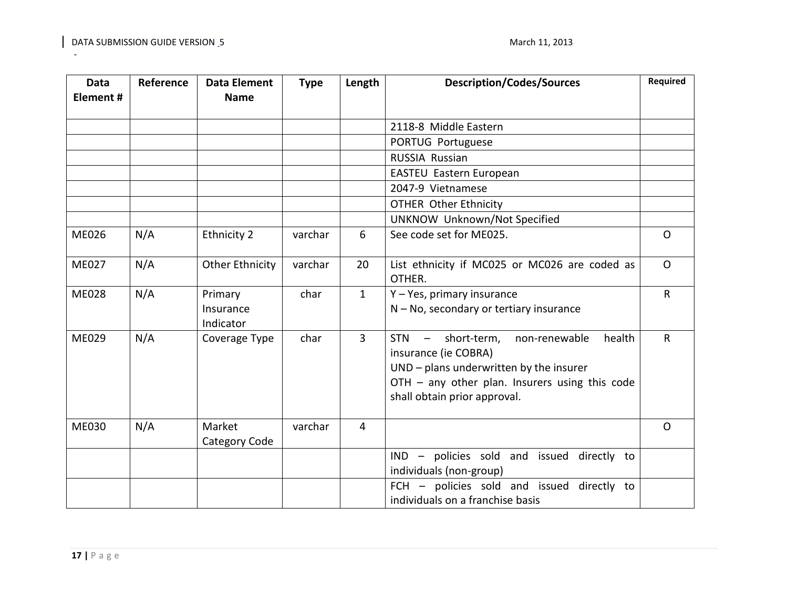| Data<br>Element# | Reference | <b>Data Element</b><br><b>Name</b> | <b>Type</b> | Length         | <b>Description/Codes/Sources</b>                                                                                                                                                                                    | Required     |
|------------------|-----------|------------------------------------|-------------|----------------|---------------------------------------------------------------------------------------------------------------------------------------------------------------------------------------------------------------------|--------------|
|                  |           |                                    |             |                | 2118-8 Middle Eastern                                                                                                                                                                                               |              |
|                  |           |                                    |             |                | PORTUG Portuguese                                                                                                                                                                                                   |              |
|                  |           |                                    |             |                | <b>RUSSIA Russian</b>                                                                                                                                                                                               |              |
|                  |           |                                    |             |                | EASTEU Eastern European                                                                                                                                                                                             |              |
|                  |           |                                    |             |                | 2047-9 Vietnamese                                                                                                                                                                                                   |              |
|                  |           |                                    |             |                | <b>OTHER Other Ethnicity</b>                                                                                                                                                                                        |              |
|                  |           |                                    |             |                | <b>UNKNOW Unknown/Not Specified</b>                                                                                                                                                                                 |              |
| <b>ME026</b>     | N/A       | <b>Ethnicity 2</b>                 | varchar     | 6              | See code set for ME025.                                                                                                                                                                                             | $\Omega$     |
| ME027            | N/A       | <b>Other Ethnicity</b>             | varchar     | 20             | List ethnicity if MC025 or MC026 are coded as<br>OTHER.                                                                                                                                                             | $\Omega$     |
| <b>ME028</b>     | N/A       | Primary<br>Insurance<br>Indicator  | char        | $\mathbf{1}$   | Y - Yes, primary insurance<br>$N - No$ , secondary or tertiary insurance                                                                                                                                            | $\mathsf{R}$ |
| ME029            | N/A       | Coverage Type                      | char        | $\overline{3}$ | <b>STN</b><br>short-term,<br>health<br>$\sim$<br>non-renewable<br>insurance (ie COBRA)<br>UND - plans underwritten by the insurer<br>OTH - any other plan. Insurers using this code<br>shall obtain prior approval. | $\mathsf{R}$ |
| ME030            | N/A       | Market<br>Category Code            | varchar     | 4              |                                                                                                                                                                                                                     | $\Omega$     |
|                  |           |                                    |             |                | IND - policies sold and issued directly to<br>individuals (non-group)                                                                                                                                               |              |
|                  |           |                                    |             |                | FCH - policies sold and issued directly to<br>individuals on a franchise basis                                                                                                                                      |              |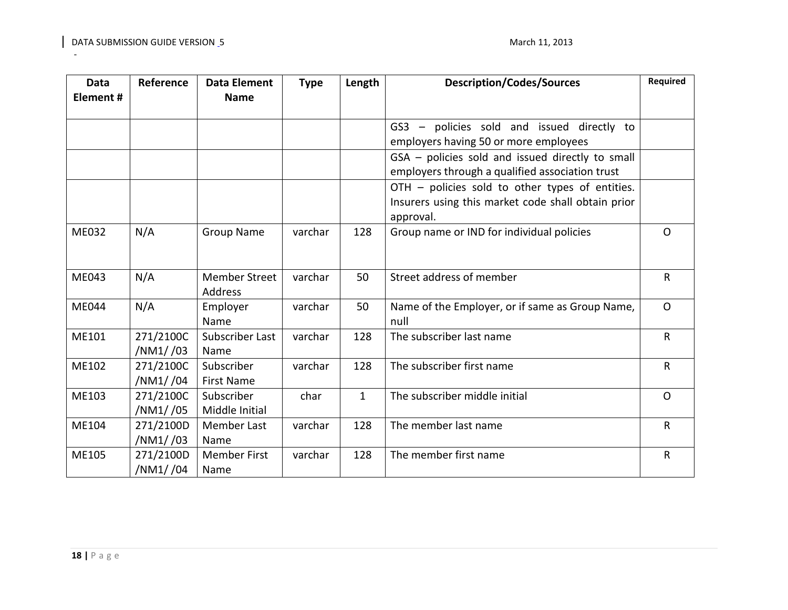| <b>Data</b>  | Reference             | <b>Data Element</b>                    | <b>Type</b> | Length       | <b>Description/Codes/Sources</b>                                                                                   | Required     |
|--------------|-----------------------|----------------------------------------|-------------|--------------|--------------------------------------------------------------------------------------------------------------------|--------------|
| Element#     |                       | <b>Name</b>                            |             |              |                                                                                                                    |              |
|              |                       |                                        |             |              | GS3 - policies sold and issued directly to<br>employers having 50 or more employees                                |              |
|              |                       |                                        |             |              | GSA - policies sold and issued directly to small<br>employers through a qualified association trust                |              |
|              |                       |                                        |             |              | OTH - policies sold to other types of entities.<br>Insurers using this market code shall obtain prior<br>approval. |              |
| <b>ME032</b> | N/A                   | <b>Group Name</b>                      | varchar     | 128          | Group name or IND for individual policies                                                                          | $\Omega$     |
| ME043        | N/A                   | <b>Member Street</b><br><b>Address</b> | varchar     | 50           | Street address of member                                                                                           | $\mathsf{R}$ |
| <b>ME044</b> | N/A                   | Employer<br>Name                       | varchar     | 50           | Name of the Employer, or if same as Group Name,<br>null                                                            | $\mathsf{O}$ |
| ME101        | 271/2100C<br>/NM1//03 | Subscriber Last<br>Name                | varchar     | 128          | The subscriber last name                                                                                           | R            |
| ME102        | 271/2100C<br>/NM1//04 | Subscriber<br><b>First Name</b>        | varchar     | 128          | The subscriber first name                                                                                          | $\mathsf R$  |
| ME103        | 271/2100C<br>/NM1//05 | Subscriber<br>Middle Initial           | char        | $\mathbf{1}$ | The subscriber middle initial                                                                                      | $\mathsf{O}$ |
| ME104        | 271/2100D<br>/NM1//03 | Member Last<br>Name                    | varchar     | 128          | The member last name                                                                                               | $\mathsf R$  |
| ME105        | 271/2100D<br>/NM1//04 | <b>Member First</b><br>Name            | varchar     | 128          | The member first name                                                                                              | $\mathsf{R}$ |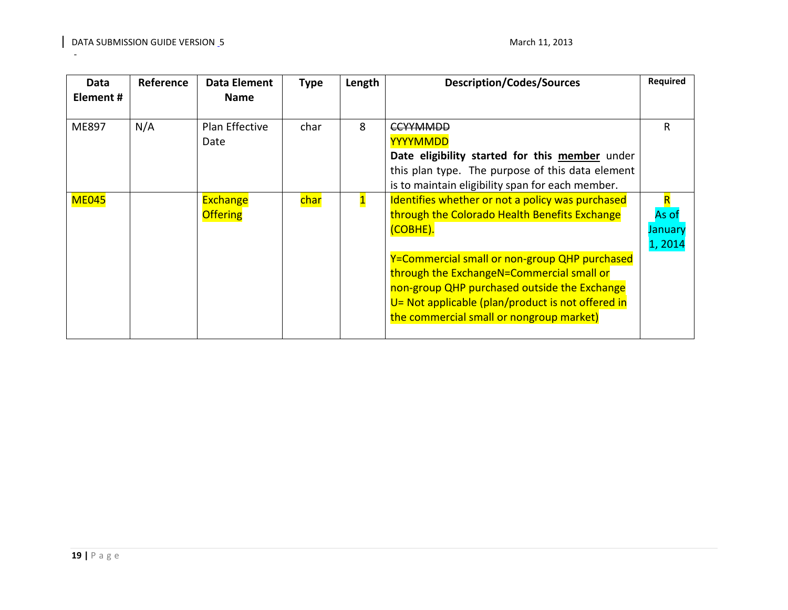| Data<br>Element # | Reference | Data Element<br><b>Name</b> | <b>Type</b> | Length       | <b>Description/Codes/Sources</b>                   | <b>Required</b> |
|-------------------|-----------|-----------------------------|-------------|--------------|----------------------------------------------------|-----------------|
|                   |           |                             |             |              |                                                    |                 |
| ME897             | N/A       | <b>Plan Effective</b>       | char        | 8            | <del>CCYYMMDD</del>                                | R               |
|                   |           | Date                        |             |              | <b>YYYYMMDD</b>                                    |                 |
|                   |           |                             |             |              | Date eligibility started for this member under     |                 |
|                   |           |                             |             |              | this plan type. The purpose of this data element   |                 |
|                   |           |                             |             |              | is to maintain eligibility span for each member.   |                 |
| <b>ME045</b>      |           | Exchange                    | char        | $\mathbf{1}$ | Identifies whether or not a policy was purchased   | R               |
|                   |           | <b>Offering</b>             |             |              | through the Colorado Health Benefits Exchange      | As of           |
|                   |           |                             |             |              | (COBHE).                                           | January         |
|                   |           |                             |             |              |                                                    | 1,2014          |
|                   |           |                             |             |              | Y=Commercial small or non-group QHP purchased      |                 |
|                   |           |                             |             |              | through the ExchangeN=Commercial small or          |                 |
|                   |           |                             |             |              | non-group QHP purchased outside the Exchange       |                 |
|                   |           |                             |             |              | U = Not applicable (plan/product is not offered in |                 |
|                   |           |                             |             |              | the commercial small or nongroup market)           |                 |
|                   |           |                             |             |              |                                                    |                 |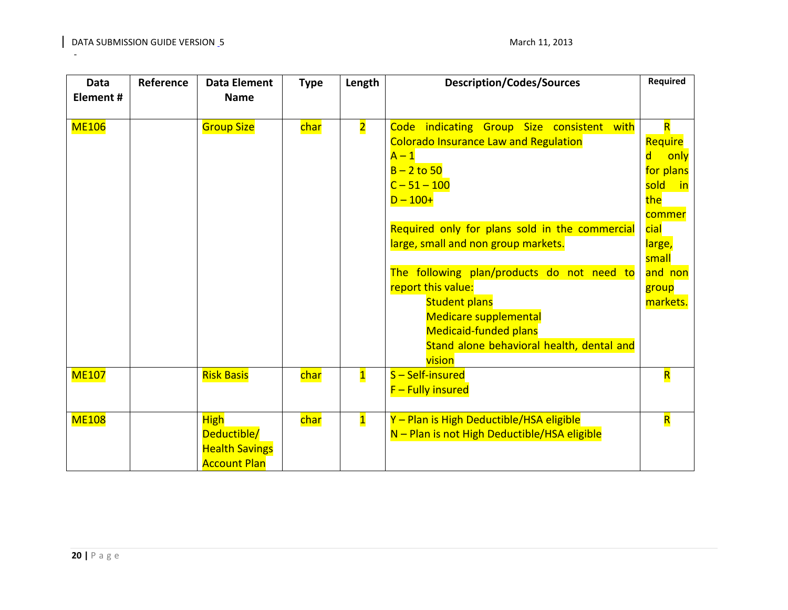| <b>Data</b><br>Element# | Reference | <b>Data Element</b><br><b>Name</b> | <b>Type</b> | Length                  | <b>Description/Codes/Sources</b>               | Required                 |
|-------------------------|-----------|------------------------------------|-------------|-------------------------|------------------------------------------------|--------------------------|
|                         |           |                                    |             |                         |                                                |                          |
| <b>ME106</b>            |           | <b>Group Size</b>                  | char        | $\overline{2}$          | Code indicating Group Size consistent with     | R                        |
|                         |           |                                    |             |                         | <b>Colorado Insurance Law and Regulation</b>   | Require                  |
|                         |           |                                    |             |                         | $A - 1$                                        | only<br>d                |
|                         |           |                                    |             |                         | $B - 2$ to 50                                  | for plans                |
|                         |           |                                    |             |                         | $C - 51 - 100$                                 | sold<br><u>in</u><br>the |
|                         |           |                                    |             |                         | $D - 100+$                                     | commer                   |
|                         |           |                                    |             |                         | Required only for plans sold in the commercial | cial                     |
|                         |           |                                    |             |                         | large, small and non group markets.            | large,                   |
|                         |           |                                    |             |                         |                                                | small                    |
|                         |           |                                    |             |                         | The following plan/products do not need to     | and non                  |
|                         |           |                                    |             |                         | report this value:                             | group                    |
|                         |           |                                    |             |                         | <b>Student plans</b>                           | markets.                 |
|                         |           |                                    |             |                         | <b>Medicare supplemental</b>                   |                          |
|                         |           |                                    |             |                         | <b>Medicaid-funded plans</b>                   |                          |
|                         |           |                                    |             |                         | Stand alone behavioral health, dental and      |                          |
|                         |           |                                    |             |                         | vision                                         |                          |
| <b>ME107</b>            |           | <b>Risk Basis</b>                  | char        | $\overline{\mathbf{1}}$ | S-Self-insured                                 | $\overline{\mathsf{R}}$  |
|                         |           |                                    |             |                         | $F$ – Fully insured                            |                          |
| <b>ME108</b>            |           | <b>High</b>                        | char        | $\overline{\mathbf{1}}$ | Y - Plan is High Deductible/HSA eligible       | $\overline{\mathsf{R}}$  |
|                         |           | Deductible/                        |             |                         | N - Plan is not High Deductible/HSA eligible   |                          |
|                         |           | <b>Health Savings</b>              |             |                         |                                                |                          |
|                         |           | <b>Account Plan</b>                |             |                         |                                                |                          |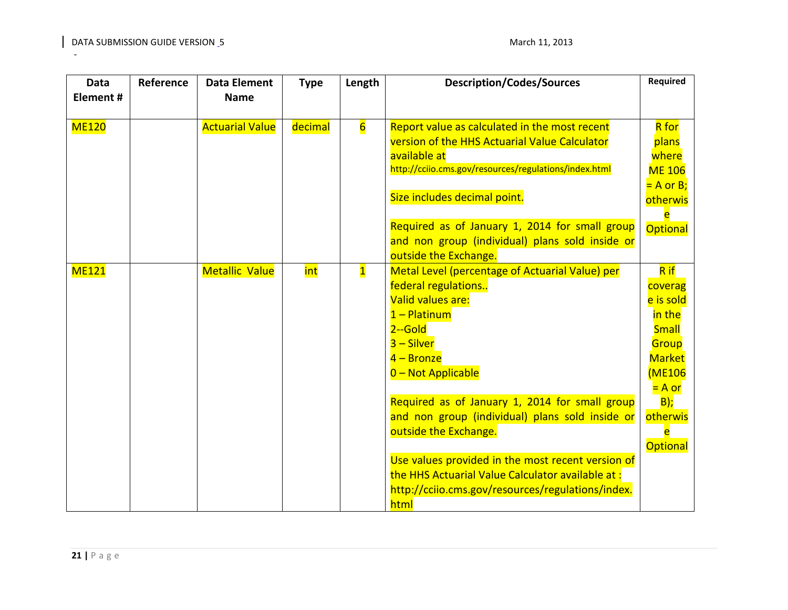| <b>Data</b><br>Element# | Reference | <b>Data Element</b><br><b>Name</b> | <b>Type</b> | Length                  | <b>Description/Codes/Sources</b>                                                                                                                                                                                                                                                                                                                                     | Required                                                                                                                                 |
|-------------------------|-----------|------------------------------------|-------------|-------------------------|----------------------------------------------------------------------------------------------------------------------------------------------------------------------------------------------------------------------------------------------------------------------------------------------------------------------------------------------------------------------|------------------------------------------------------------------------------------------------------------------------------------------|
| <b>ME120</b>            |           | <b>Actuarial Value</b>             | decimal     | $6\overline{6}$         | Report value as calculated in the most recent<br>version of the HHS Actuarial Value Calculator<br>available at<br>http://cciio.cms.gov/resources/regulations/index.html<br>Size includes decimal point.                                                                                                                                                              | <b>R</b> for<br>plans<br>where<br><b>ME 106</b><br>$= A$ or B;<br>otherwis<br>e                                                          |
|                         |           |                                    |             |                         | Required as of January 1, 2014 for small group<br>and non group (individual) plans sold inside or<br>outside the Exchange.                                                                                                                                                                                                                                           | Optional                                                                                                                                 |
| <b>ME121</b>            |           | <b>Metallic Value</b>              | int         | $\overline{\mathbf{1}}$ | Metal Level (percentage of Actuarial Value) per<br>federal regulations<br>Valid values are:<br>$1 -$ Platinum<br>$2 -$ Gold<br>$3 -$ Silver<br>$4 -$ Bronze<br>0 - Not Applicable<br>Required as of January 1, 2014 for small group<br>and non group (individual) plans sold inside or<br>outside the Exchange.<br>Use values provided in the most recent version of | R if<br>coverag<br>e is sold<br>in the<br><b>Small</b><br>Group<br><b>Market</b><br>(ME106<br>$= A or$<br>$B)$ ;<br>otherwis<br>Optional |
|                         |           |                                    |             |                         | the HHS Actuarial Value Calculator available at:<br>http://cciio.cms.gov/resources/regulations/index.<br>html                                                                                                                                                                                                                                                        |                                                                                                                                          |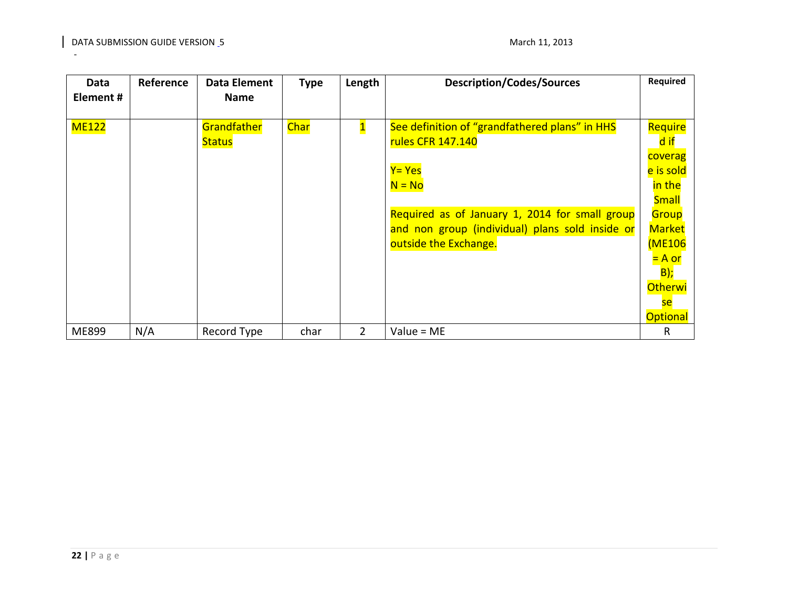<span id="page-21-0"></span>

| Data<br>Element# | Reference | Data Element<br><b>Name</b>  | <b>Type</b> | Length       | <b>Description/Codes/Sources</b>                                                                                                                                                                                        | <b>Required</b>                                                                                                                                                                               |
|------------------|-----------|------------------------------|-------------|--------------|-------------------------------------------------------------------------------------------------------------------------------------------------------------------------------------------------------------------------|-----------------------------------------------------------------------------------------------------------------------------------------------------------------------------------------------|
|                  |           |                              |             |              |                                                                                                                                                                                                                         |                                                                                                                                                                                               |
| <b>ME122</b>     |           | Grandfather<br><b>Status</b> | Char        | $\mathbf{1}$ | See definition of "grandfathered plans" in HHS<br>rules CFR 147.140<br>Y= Yes<br>$N = No$<br>Required as of January 1, 2014 for small group<br>and non group (individual) plans sold inside or<br>outside the Exchange. | Require<br>d if<br>coverag<br>e is sold<br>in the<br><b>Small</b><br>Group<br><b>Market</b><br><b>(ME106</b><br><mark>= A or</mark><br><b>B</b> );<br><b>Otherwi</b><br>se<br><b>Optional</b> |
| ME899            | N/A       | Record Type                  | char        | 2            | Value = ME                                                                                                                                                                                                              | R                                                                                                                                                                                             |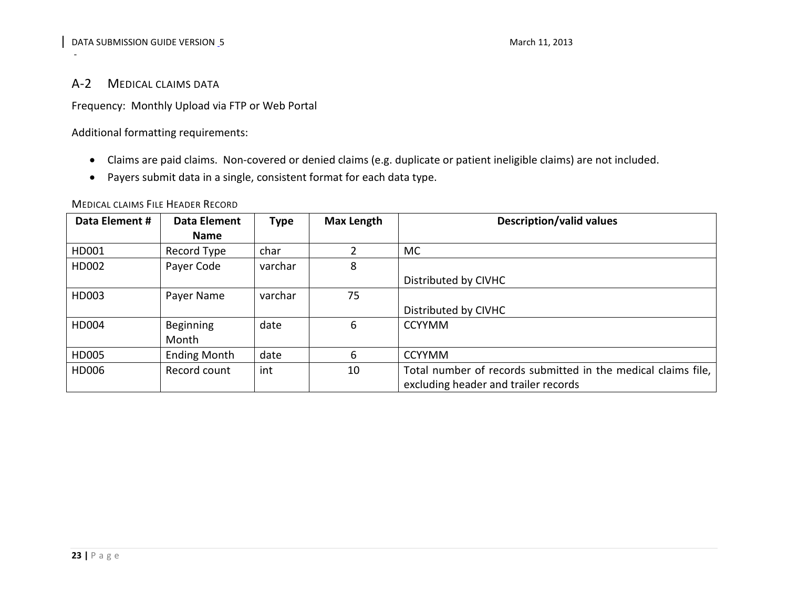# A-2 MEDICAL CLAIMS DATA

Frequency: Monthly Upload via FTP or Web Portal

Additional formatting requirements:

- Claims are paid claims. Non-covered or denied claims (e.g. duplicate or patient ineligible claims) are not included.
- Payers submit data in a single, consistent format for each data type.

<span id="page-22-0"></span>

| Data Element # | <b>Data Element</b> | <b>Type</b> | Max Length | <b>Description/valid values</b>                               |
|----------------|---------------------|-------------|------------|---------------------------------------------------------------|
|                | <b>Name</b>         |             |            |                                                               |
| HD001          | Record Type         | char        |            | <b>MC</b>                                                     |
| HD002          | Payer Code          | varchar     | 8          |                                                               |
|                |                     |             |            | Distributed by CIVHC                                          |
| HD003          | Payer Name          | varchar     | 75         |                                                               |
|                |                     |             |            | Distributed by CIVHC                                          |
| <b>HD004</b>   | <b>Beginning</b>    | date        | 6          | <b>CCYYMM</b>                                                 |
|                | Month               |             |            |                                                               |
| HD005          | <b>Ending Month</b> | date        | 6          | <b>CCYYMM</b>                                                 |
| HD006          | Record count        | int         | 10         | Total number of records submitted in the medical claims file, |
|                |                     |             |            | excluding header and trailer records                          |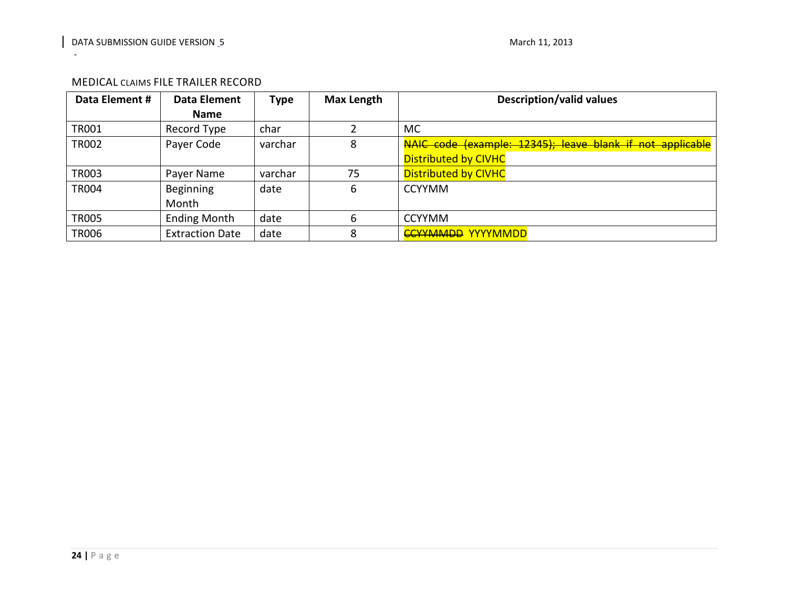<span id="page-23-0"></span>

| Data Element # | Data Element           | <b>Type</b> | <b>Max Length</b> | <b>Description/valid values</b>                           |
|----------------|------------------------|-------------|-------------------|-----------------------------------------------------------|
|                | <b>Name</b>            |             |                   |                                                           |
| <b>TR001</b>   | Record Type            | char        |                   | MC.                                                       |
| <b>TR002</b>   | Payer Code             | varchar     | 8                 | NAIC code (example: 12345); leave blank if not applicable |
|                |                        |             |                   | <b>Distributed by CIVHC</b>                               |
| <b>TR003</b>   | Payer Name             | varchar     | 75                | <b>Distributed by CIVHC</b>                               |
| <b>TR004</b>   | Beginning              | date        | 6                 | <b>CCYYMM</b>                                             |
|                | Month                  |             |                   |                                                           |
| <b>TR005</b>   | <b>Ending Month</b>    | date        | 6                 | <b>CCYYMM</b>                                             |
| <b>TR006</b>   | <b>Extraction Date</b> | date        | 8                 | <b>CCYYMMDD YYYYMMDD</b>                                  |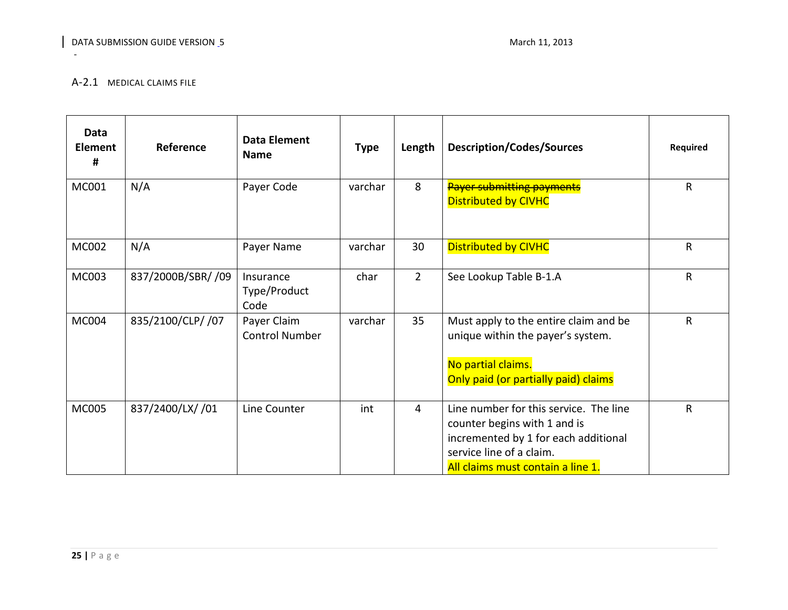## A-2.1 MEDICAL CLAIMS FILE

<span id="page-24-0"></span>

| Data<br><b>Element</b><br># | Reference          | <b>Data Element</b><br><b>Name</b>   | <b>Type</b> | Length         | <b>Description/Codes/Sources</b>                                                                                                                                                | Required     |
|-----------------------------|--------------------|--------------------------------------|-------------|----------------|---------------------------------------------------------------------------------------------------------------------------------------------------------------------------------|--------------|
| MC001                       | N/A                | Payer Code                           | varchar     | 8              | <b>Payer submitting payments</b><br><b>Distributed by CIVHC</b>                                                                                                                 | $\mathsf{R}$ |
| MC002                       | N/A                | Payer Name                           | varchar     | 30             | <b>Distributed by CIVHC</b>                                                                                                                                                     | $\mathsf R$  |
| MC003                       | 837/2000B/SBR/ /09 | Insurance<br>Type/Product<br>Code    | char        | $2^{\circ}$    | See Lookup Table B-1.A                                                                                                                                                          | $\mathsf R$  |
| MC004                       | 835/2100/CLP/ /07  | Payer Claim<br><b>Control Number</b> | varchar     | 35             | Must apply to the entire claim and be<br>unique within the payer's system.<br>No partial claims.<br>Only paid (or partially paid) claims                                        | $\mathsf{R}$ |
| <b>MC005</b>                | 837/2400/LX/ /01   | Line Counter                         | int         | $\overline{4}$ | Line number for this service. The line<br>counter begins with 1 and is<br>incremented by 1 for each additional<br>service line of a claim.<br>All claims must contain a line 1. | ${\sf R}$    |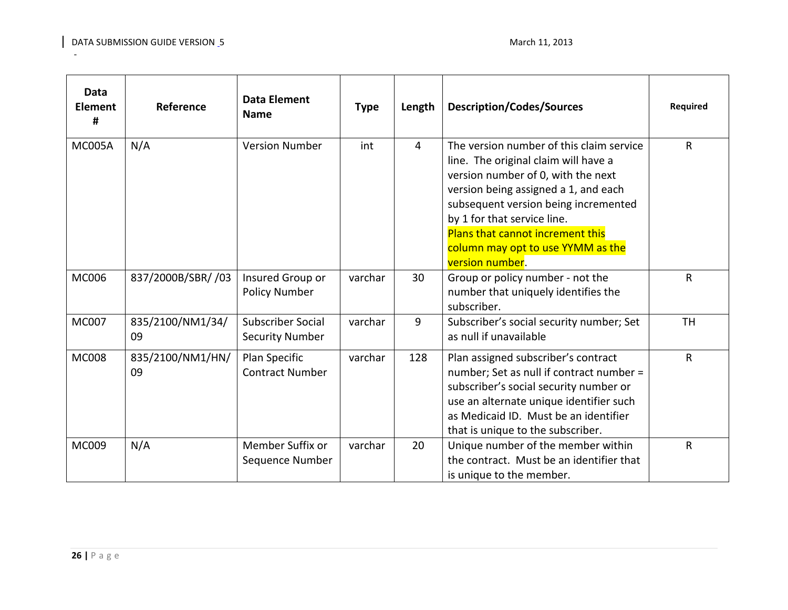| <b>Data</b><br><b>Element</b><br># | Reference              | <b>Data Element</b><br><b>Name</b>                 | <b>Type</b> | Length         | <b>Description/Codes/Sources</b>                                                                                                                                                                                                                                                                                                  | <b>Required</b> |
|------------------------------------|------------------------|----------------------------------------------------|-------------|----------------|-----------------------------------------------------------------------------------------------------------------------------------------------------------------------------------------------------------------------------------------------------------------------------------------------------------------------------------|-----------------|
| <b>MC005A</b>                      | N/A                    | <b>Version Number</b>                              | int         | $\overline{4}$ | The version number of this claim service<br>line. The original claim will have a<br>version number of 0, with the next<br>version being assigned a 1, and each<br>subsequent version being incremented<br>by 1 for that service line.<br>Plans that cannot increment this<br>column may opt to use YYMM as the<br>version number. | $\mathsf{R}$    |
| <b>MC006</b>                       | 837/2000B/SBR/ /03     | Insured Group or<br><b>Policy Number</b>           | varchar     | 30             | Group or policy number - not the<br>number that uniquely identifies the<br>subscriber.                                                                                                                                                                                                                                            | $\mathsf{R}$    |
| <b>MC007</b>                       | 835/2100/NM1/34/<br>09 | <b>Subscriber Social</b><br><b>Security Number</b> | varchar     | 9              | Subscriber's social security number; Set<br>as null if unavailable                                                                                                                                                                                                                                                                | <b>TH</b>       |
| <b>MC008</b>                       | 835/2100/NM1/HN/<br>09 | Plan Specific<br><b>Contract Number</b>            | varchar     | 128            | Plan assigned subscriber's contract<br>number; Set as null if contract number =<br>subscriber's social security number or<br>use an alternate unique identifier such<br>as Medicaid ID. Must be an identifier<br>that is unique to the subscriber.                                                                                | $\mathsf{R}$    |
| MC009                              | N/A                    | Member Suffix or<br>Sequence Number                | varchar     | 20             | Unique number of the member within<br>the contract. Must be an identifier that<br>is unique to the member.                                                                                                                                                                                                                        | $\mathsf R$     |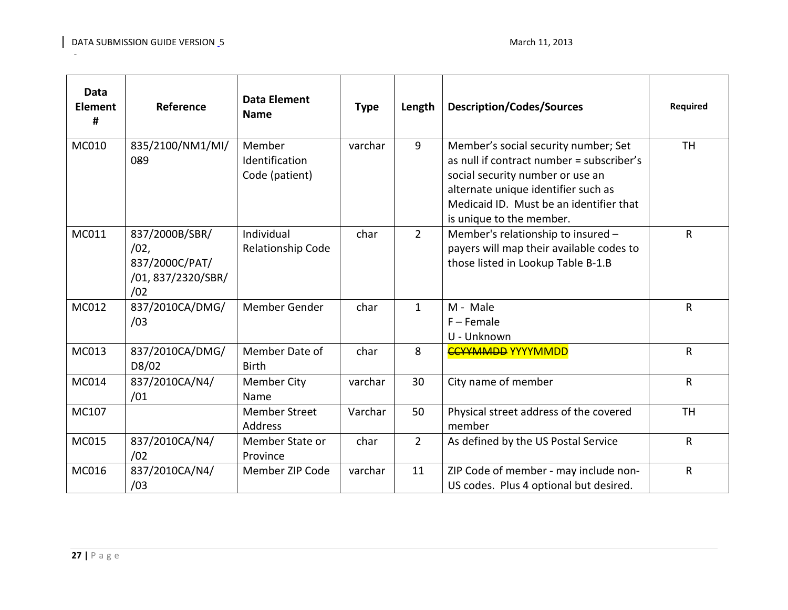| <b>Data</b><br><b>Element</b><br># | Reference                                                            | <b>Data Element</b><br><b>Name</b>         | <b>Type</b> | Length         | <b>Description/Codes/Sources</b>                                                                                                                                                                                                    | <b>Required</b> |
|------------------------------------|----------------------------------------------------------------------|--------------------------------------------|-------------|----------------|-------------------------------------------------------------------------------------------------------------------------------------------------------------------------------------------------------------------------------------|-----------------|
| MC010                              | 835/2100/NM1/MI/<br>089                                              | Member<br>Identification<br>Code (patient) | varchar     | $\overline{9}$ | Member's social security number; Set<br>as null if contract number = subscriber's<br>social security number or use an<br>alternate unique identifier such as<br>Medicaid ID. Must be an identifier that<br>is unique to the member. | <b>TH</b>       |
| MC011                              | 837/2000B/SBR/<br>/02,<br>837/2000C/PAT/<br>/01,837/2320/SBR/<br>/02 | Individual<br>Relationship Code            | char        | $\overline{2}$ | Member's relationship to insured -<br>payers will map their available codes to<br>those listed in Lookup Table B-1.B                                                                                                                | $\mathsf{R}$    |
| MC012                              | 837/2010CA/DMG/<br>/03                                               | Member Gender                              | char        | $\mathbf{1}$   | M - Male<br>$F -$ Female<br>U - Unknown                                                                                                                                                                                             | $\mathsf{R}$    |
| MC013                              | 837/2010CA/DMG/<br>D8/02                                             | Member Date of<br><b>Birth</b>             | char        | 8              | <b>CCYYMMDD YYYYMMDD</b>                                                                                                                                                                                                            | $\mathsf{R}$    |
| MC014                              | 837/2010CA/N4/<br>/01                                                | <b>Member City</b><br>Name                 | varchar     | 30             | City name of member                                                                                                                                                                                                                 | $\mathsf{R}$    |
| MC107                              |                                                                      | <b>Member Street</b><br><b>Address</b>     | Varchar     | 50             | Physical street address of the covered<br>member                                                                                                                                                                                    | <b>TH</b>       |
| MC015                              | 837/2010CA/N4/<br>/02                                                | Member State or<br>Province                | char        | $\overline{2}$ | As defined by the US Postal Service                                                                                                                                                                                                 | $\mathsf{R}$    |
| MC016                              | 837/2010CA/N4/<br>/03                                                | Member ZIP Code                            | varchar     | 11             | ZIP Code of member - may include non-<br>US codes. Plus 4 optional but desired.                                                                                                                                                     | $\mathsf{R}$    |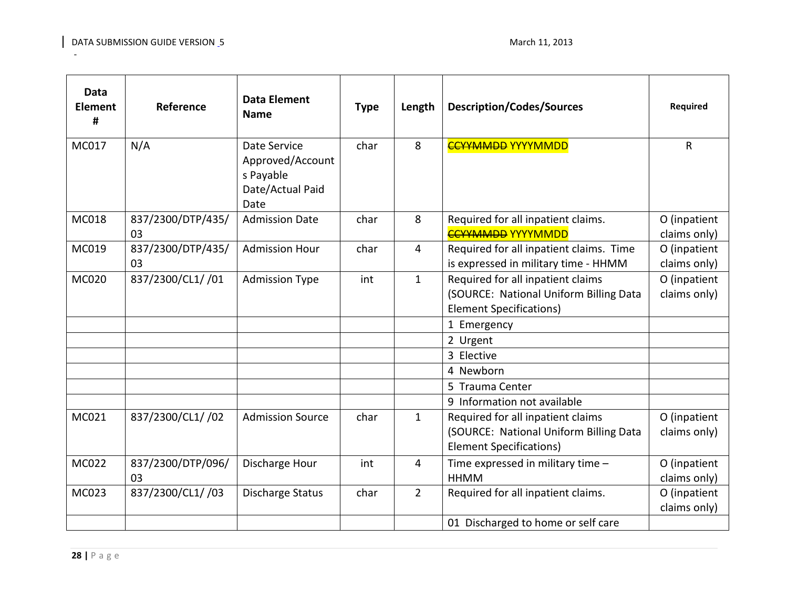| <b>Data</b><br><b>Element</b><br># | Reference               | <b>Data Element</b><br><b>Name</b>                                        | <b>Type</b> | Length         | <b>Description/Codes/Sources</b>                                                                              | <b>Required</b>              |
|------------------------------------|-------------------------|---------------------------------------------------------------------------|-------------|----------------|---------------------------------------------------------------------------------------------------------------|------------------------------|
| MC017                              | N/A                     | Date Service<br>Approved/Account<br>s Payable<br>Date/Actual Paid<br>Date | char        | 8              | <b>CCYYMMDD YYYYMMDD</b>                                                                                      | $\mathsf{R}$                 |
| MC018                              | 837/2300/DTP/435/<br>03 | <b>Admission Date</b>                                                     | char        | 8              | Required for all inpatient claims.<br><b>CCYYMMDD YYYYMMDD</b>                                                | O (inpatient<br>claims only) |
| MC019                              | 837/2300/DTP/435/<br>03 | <b>Admission Hour</b>                                                     | char        | 4              | Required for all inpatient claims. Time<br>is expressed in military time - HHMM                               | O (inpatient<br>claims only) |
| MC020                              | 837/2300/CL1/ /01       | <b>Admission Type</b>                                                     | int         | $\mathbf{1}$   | Required for all inpatient claims<br>(SOURCE: National Uniform Billing Data<br><b>Element Specifications)</b> | O (inpatient<br>claims only) |
|                                    |                         |                                                                           |             |                | 1 Emergency                                                                                                   |                              |
|                                    |                         |                                                                           |             |                | 2 Urgent                                                                                                      |                              |
|                                    |                         |                                                                           |             |                | 3 Elective                                                                                                    |                              |
|                                    |                         |                                                                           |             |                | 4 Newborn                                                                                                     |                              |
|                                    |                         |                                                                           |             |                | 5 Trauma Center                                                                                               |                              |
|                                    |                         |                                                                           |             |                | 9 Information not available                                                                                   |                              |
| MC021                              | 837/2300/CL1/ /02       | <b>Admission Source</b>                                                   | char        | $\mathbf{1}$   | Required for all inpatient claims<br>(SOURCE: National Uniform Billing Data<br><b>Element Specifications)</b> | O (inpatient<br>claims only) |
| MC022                              | 837/2300/DTP/096/<br>03 | Discharge Hour                                                            | int         | 4              | Time expressed in military time -<br><b>HHMM</b>                                                              | O (inpatient<br>claims only) |
| MC023                              | 837/2300/CL1/ /03       | Discharge Status                                                          | char        | $\overline{2}$ | Required for all inpatient claims.                                                                            | O (inpatient<br>claims only) |
|                                    |                         |                                                                           |             |                | 01 Discharged to home or self care                                                                            |                              |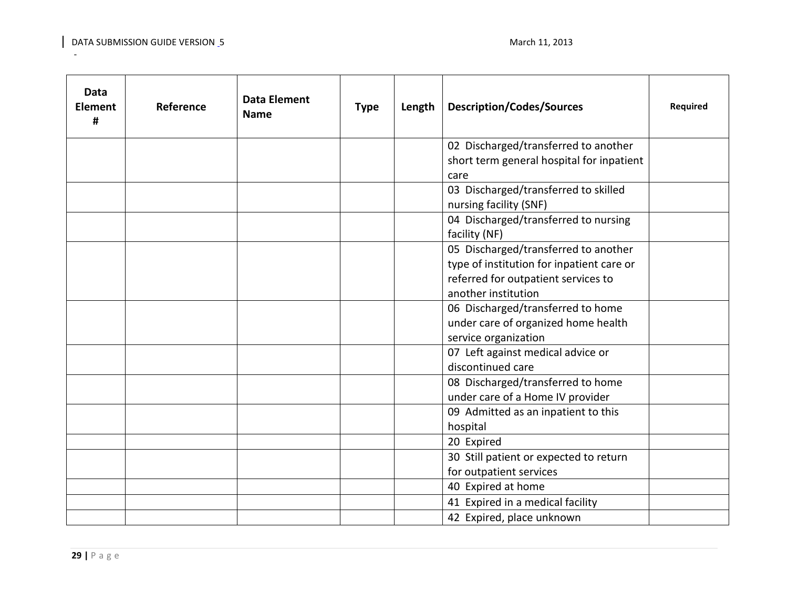| Data<br><b>Element</b><br># | Reference | <b>Data Element</b><br><b>Name</b> | <b>Type</b> | Length | <b>Description/Codes/Sources</b>                                                                                                                | <b>Required</b> |
|-----------------------------|-----------|------------------------------------|-------------|--------|-------------------------------------------------------------------------------------------------------------------------------------------------|-----------------|
|                             |           |                                    |             |        | 02 Discharged/transferred to another<br>short term general hospital for inpatient                                                               |                 |
|                             |           |                                    |             |        | care<br>03 Discharged/transferred to skilled<br>nursing facility (SNF)                                                                          |                 |
|                             |           |                                    |             |        | 04 Discharged/transferred to nursing<br>facility (NF)                                                                                           |                 |
|                             |           |                                    |             |        | 05 Discharged/transferred to another<br>type of institution for inpatient care or<br>referred for outpatient services to<br>another institution |                 |
|                             |           |                                    |             |        | 06 Discharged/transferred to home<br>under care of organized home health<br>service organization                                                |                 |
|                             |           |                                    |             |        | 07 Left against medical advice or<br>discontinued care                                                                                          |                 |
|                             |           |                                    |             |        | 08 Discharged/transferred to home<br>under care of a Home IV provider                                                                           |                 |
|                             |           |                                    |             |        | 09 Admitted as an inpatient to this<br>hospital                                                                                                 |                 |
|                             |           |                                    |             |        | 20 Expired                                                                                                                                      |                 |
|                             |           |                                    |             |        | 30 Still patient or expected to return<br>for outpatient services                                                                               |                 |
|                             |           |                                    |             |        | 40 Expired at home                                                                                                                              |                 |
|                             |           |                                    |             |        | 41 Expired in a medical facility                                                                                                                |                 |
|                             |           |                                    |             |        | 42 Expired, place unknown                                                                                                                       |                 |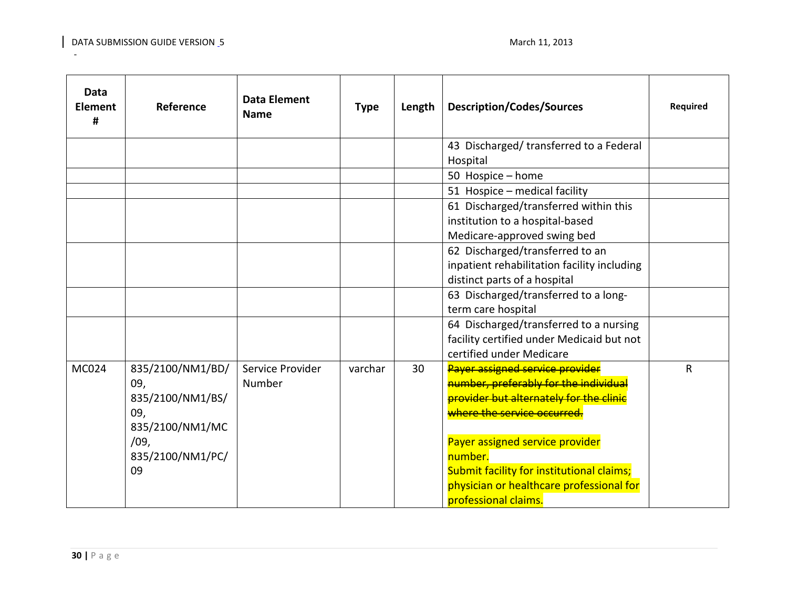| Data<br><b>Element</b><br># | Reference                                                                                               | <b>Data Element</b><br><b>Name</b> | <b>Type</b> | Length | <b>Description/Codes/Sources</b>                                                                                                                                                                                                                                                                                  | Required     |
|-----------------------------|---------------------------------------------------------------------------------------------------------|------------------------------------|-------------|--------|-------------------------------------------------------------------------------------------------------------------------------------------------------------------------------------------------------------------------------------------------------------------------------------------------------------------|--------------|
|                             |                                                                                                         |                                    |             |        | 43 Discharged/transferred to a Federal<br>Hospital                                                                                                                                                                                                                                                                |              |
|                             |                                                                                                         |                                    |             |        | 50 Hospice - home                                                                                                                                                                                                                                                                                                 |              |
|                             |                                                                                                         |                                    |             |        | 51 Hospice - medical facility                                                                                                                                                                                                                                                                                     |              |
|                             |                                                                                                         |                                    |             |        | 61 Discharged/transferred within this<br>institution to a hospital-based<br>Medicare-approved swing bed                                                                                                                                                                                                           |              |
|                             |                                                                                                         |                                    |             |        | 62 Discharged/transferred to an<br>inpatient rehabilitation facility including<br>distinct parts of a hospital                                                                                                                                                                                                    |              |
|                             |                                                                                                         |                                    |             |        | 63 Discharged/transferred to a long-<br>term care hospital                                                                                                                                                                                                                                                        |              |
|                             |                                                                                                         |                                    |             |        | 64 Discharged/transferred to a nursing<br>facility certified under Medicaid but not<br>certified under Medicare                                                                                                                                                                                                   |              |
| MC024                       | 835/2100/NM1/BD/<br>09,<br>835/2100/NM1/BS/<br>09,<br>835/2100/NM1/MC<br>/09,<br>835/2100/NM1/PC/<br>09 | Service Provider<br>Number         | varchar     | 30     | Payer assigned service provider<br>number, preferably for the individual<br>provider but alternately for the clinic<br>where the service occurred.<br>Payer assigned service provider<br>number.<br>Submit facility for institutional claims;<br>physician or healthcare professional for<br>professional claims. | $\mathsf{R}$ |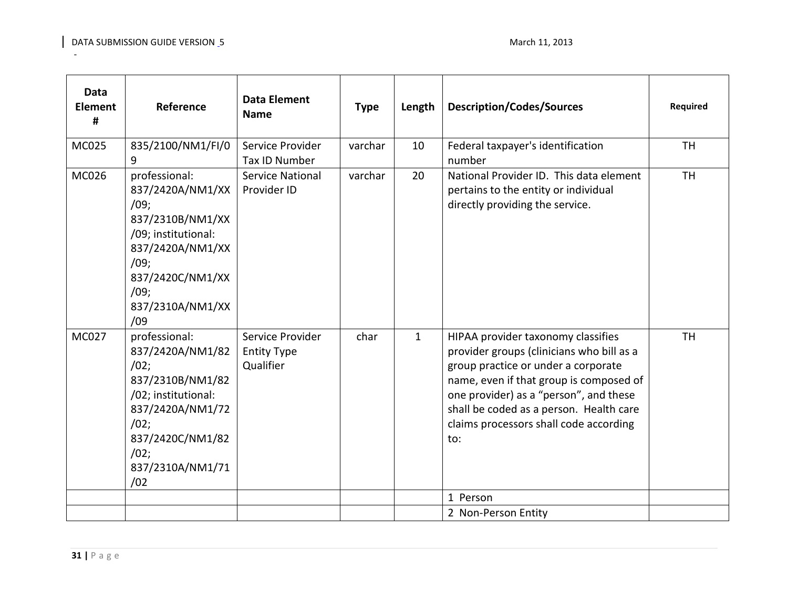| <b>Data</b><br><b>Element</b><br># | Reference                                                                                                                                                               | <b>Data Element</b><br><b>Name</b>                  | <b>Type</b> | Length       | <b>Description/Codes/Sources</b>                                                                                                                                                                                                                                                                        | <b>Required</b> |
|------------------------------------|-------------------------------------------------------------------------------------------------------------------------------------------------------------------------|-----------------------------------------------------|-------------|--------------|---------------------------------------------------------------------------------------------------------------------------------------------------------------------------------------------------------------------------------------------------------------------------------------------------------|-----------------|
| <b>MC025</b>                       | 835/2100/NM1/FI/0<br>9                                                                                                                                                  | Service Provider<br>Tax ID Number                   | varchar     | 10           | Federal taxpayer's identification<br>number                                                                                                                                                                                                                                                             | <b>TH</b>       |
| MC026                              | professional:<br>837/2420A/NM1/XX<br>/09;<br>837/2310B/NM1/XX<br>/09; institutional:<br>837/2420A/NM1/XX<br>/09;<br>837/2420C/NM1/XX<br>/09;<br>837/2310A/NM1/XX<br>/09 | <b>Service National</b><br>Provider ID              | varchar     | 20           | National Provider ID. This data element<br>pertains to the entity or individual<br>directly providing the service.                                                                                                                                                                                      | <b>TH</b>       |
| <b>MC027</b>                       | professional:<br>837/2420A/NM1/82<br>/02;<br>837/2310B/NM1/82<br>/02; institutional:<br>837/2420A/NM1/72<br>/02;<br>837/2420C/NM1/82<br>/02;<br>837/2310A/NM1/71<br>/02 | Service Provider<br><b>Entity Type</b><br>Qualifier | char        | $\mathbf{1}$ | HIPAA provider taxonomy classifies<br>provider groups (clinicians who bill as a<br>group practice or under a corporate<br>name, even if that group is composed of<br>one provider) as a "person", and these<br>shall be coded as a person. Health care<br>claims processors shall code according<br>to: | <b>TH</b>       |
|                                    |                                                                                                                                                                         |                                                     |             |              | 1 Person                                                                                                                                                                                                                                                                                                |                 |
|                                    |                                                                                                                                                                         |                                                     |             |              | 2 Non-Person Entity                                                                                                                                                                                                                                                                                     |                 |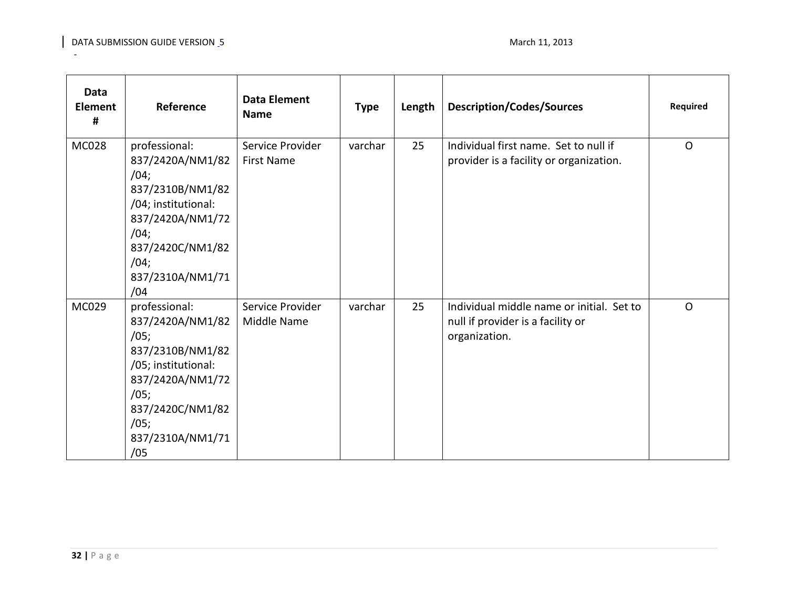| <b>Data</b><br><b>Element</b><br># | Reference                                                                                                                                                               | <b>Data Element</b><br><b>Name</b>    | <b>Type</b> | Length | <b>Description/Codes/Sources</b>                                                                | <b>Required</b> |
|------------------------------------|-------------------------------------------------------------------------------------------------------------------------------------------------------------------------|---------------------------------------|-------------|--------|-------------------------------------------------------------------------------------------------|-----------------|
| MC028                              | professional:<br>837/2420A/NM1/82<br>/04;<br>837/2310B/NM1/82<br>/04; institutional:<br>837/2420A/NM1/72<br>/04;<br>837/2420C/NM1/82<br>/04;<br>837/2310A/NM1/71<br>/04 | Service Provider<br><b>First Name</b> | varchar     | 25     | Individual first name. Set to null if<br>provider is a facility or organization.                | $\Omega$        |
| MC029                              | professional:<br>837/2420A/NM1/82<br>/05;<br>837/2310B/NM1/82<br>/05; institutional:<br>837/2420A/NM1/72<br>/05;<br>837/2420C/NM1/82<br>/05;<br>837/2310A/NM1/71<br>/05 | Service Provider<br>Middle Name       | varchar     | 25     | Individual middle name or initial. Set to<br>null if provider is a facility or<br>organization. | O               |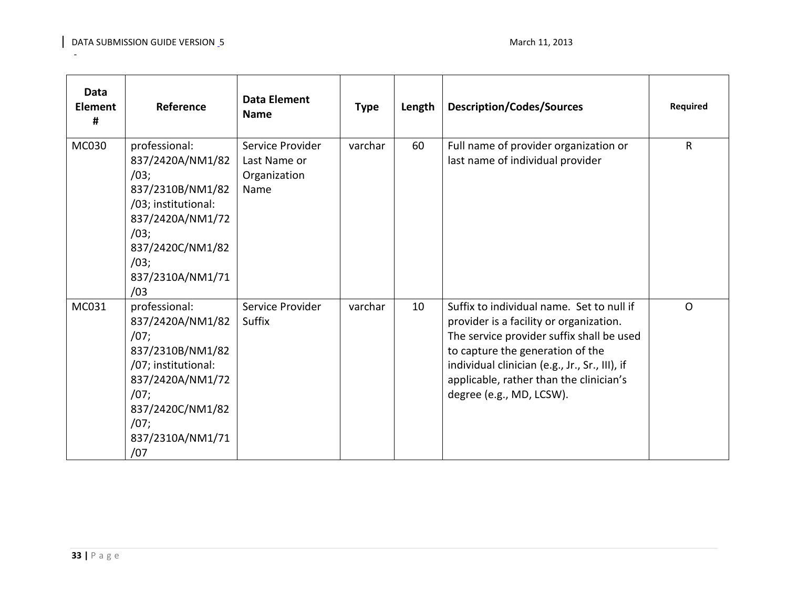| <b>Data</b><br><b>Element</b><br># | Reference                                                                                                                                                               | <b>Data Element</b><br><b>Name</b>                       | <b>Type</b> | Length | <b>Description/Codes/Sources</b>                                                                                                                                                                                                                                                               | Required     |
|------------------------------------|-------------------------------------------------------------------------------------------------------------------------------------------------------------------------|----------------------------------------------------------|-------------|--------|------------------------------------------------------------------------------------------------------------------------------------------------------------------------------------------------------------------------------------------------------------------------------------------------|--------------|
| MC030                              | professional:<br>837/2420A/NM1/82<br>/03;<br>837/2310B/NM1/82<br>/03; institutional:<br>837/2420A/NM1/72<br>/03;<br>837/2420C/NM1/82<br>/03;<br>837/2310A/NM1/71<br>/03 | Service Provider<br>Last Name or<br>Organization<br>Name | varchar     | 60     | Full name of provider organization or<br>last name of individual provider                                                                                                                                                                                                                      | $\mathsf{R}$ |
| MC031                              | professional:<br>837/2420A/NM1/82<br>/07;<br>837/2310B/NM1/82<br>/07; institutional:<br>837/2420A/NM1/72<br>/07;<br>837/2420C/NM1/82<br>/07;<br>837/2310A/NM1/71<br>/07 | Service Provider<br>Suffix                               | varchar     | 10     | Suffix to individual name. Set to null if<br>provider is a facility or organization.<br>The service provider suffix shall be used<br>to capture the generation of the<br>individual clinician (e.g., Jr., Sr., III), if<br>applicable, rather than the clinician's<br>degree (e.g., MD, LCSW). | $\circ$      |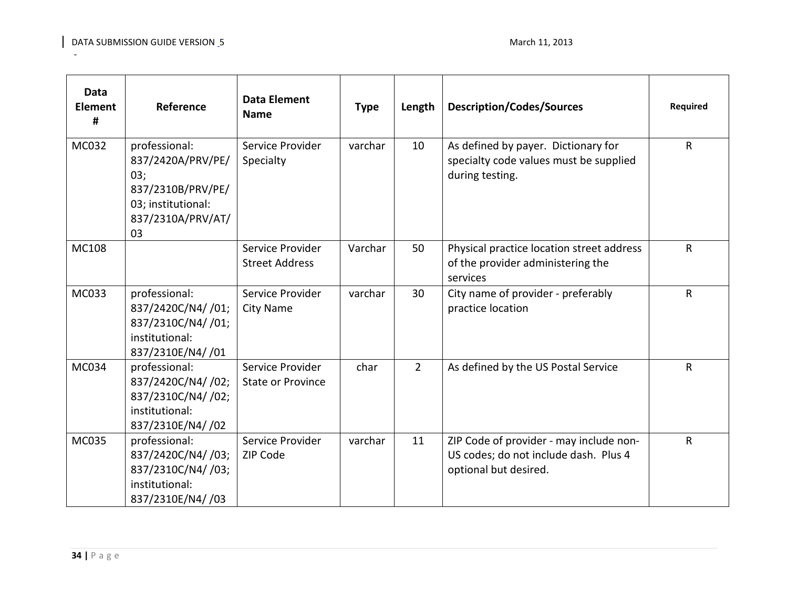| Data<br><b>Element</b><br># | Reference                                                                                                       | <b>Data Element</b><br><b>Name</b>           | <b>Type</b> | Length      | <b>Description/Codes/Sources</b>                                                                          | Required     |
|-----------------------------|-----------------------------------------------------------------------------------------------------------------|----------------------------------------------|-------------|-------------|-----------------------------------------------------------------------------------------------------------|--------------|
| MC032                       | professional:<br>837/2420A/PRV/PE/<br>03;<br>837/2310B/PRV/PE/<br>03; institutional:<br>837/2310A/PRV/AT/<br>03 | Service Provider<br>Specialty                | varchar     | 10          | As defined by payer. Dictionary for<br>specialty code values must be supplied<br>during testing.          | $\mathsf{R}$ |
| MC108                       |                                                                                                                 | Service Provider<br><b>Street Address</b>    | Varchar     | 50          | Physical practice location street address<br>of the provider administering the<br>services                | $\mathsf{R}$ |
| MC033                       | professional:<br>837/2420C/N4/ /01;<br>837/2310C/N4/ /01;<br>institutional:<br>837/2310E/N4//01                 | Service Provider<br><b>City Name</b>         | varchar     | 30          | City name of provider - preferably<br>practice location                                                   | R            |
| MC034                       | professional:<br>837/2420C/N4/ /02;<br>837/2310C/N4/ /02;<br>institutional:<br>837/2310E/N4/ /02                | Service Provider<br><b>State or Province</b> | char        | $2^{\circ}$ | As defined by the US Postal Service                                                                       | R            |
| MC035                       | professional:<br>837/2420C/N4/ /03;<br>837/2310C/N4/ /03;<br>institutional:<br>837/2310E/N4/ /03                | Service Provider<br>ZIP Code                 | varchar     | 11          | ZIP Code of provider - may include non-<br>US codes; do not include dash. Plus 4<br>optional but desired. | $\mathsf{R}$ |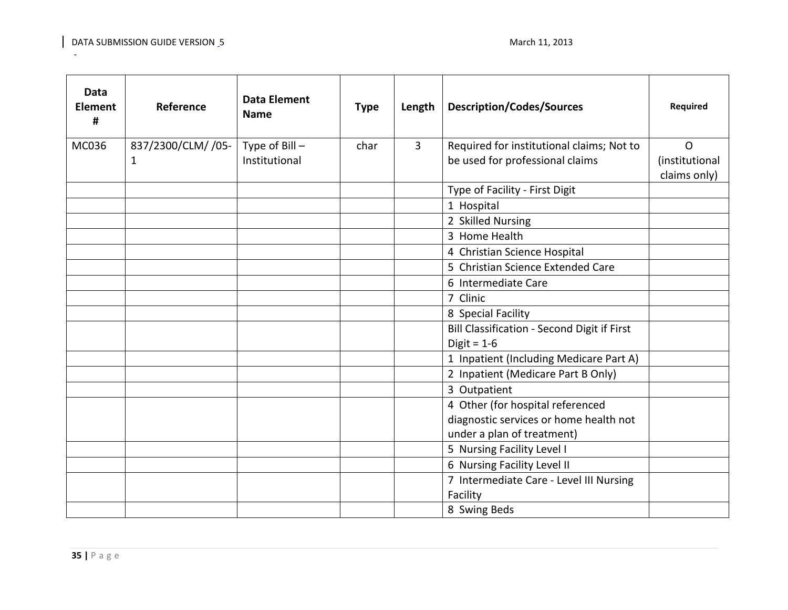| Data<br><b>Element</b><br># | Reference          | <b>Data Element</b><br><b>Name</b> | <b>Type</b> | Length         | <b>Description/Codes/Sources</b>            | Required                       |
|-----------------------------|--------------------|------------------------------------|-------------|----------------|---------------------------------------------|--------------------------------|
| MC036                       | 837/2300/CLM/ /05- | Type of $Bill -$                   | char        | $\overline{3}$ | Required for institutional claims; Not to   | $\mathsf{O}$                   |
|                             | 1                  | Institutional                      |             |                | be used for professional claims             | (institutional<br>claims only) |
|                             |                    |                                    |             |                | Type of Facility - First Digit              |                                |
|                             |                    |                                    |             |                | 1 Hospital                                  |                                |
|                             |                    |                                    |             |                | 2 Skilled Nursing                           |                                |
|                             |                    |                                    |             |                | 3 Home Health                               |                                |
|                             |                    |                                    |             |                | 4 Christian Science Hospital                |                                |
|                             |                    |                                    |             |                | 5 Christian Science Extended Care           |                                |
|                             |                    |                                    |             |                | 6 Intermediate Care                         |                                |
|                             |                    |                                    |             |                | 7 Clinic                                    |                                |
|                             |                    |                                    |             |                | 8 Special Facility                          |                                |
|                             |                    |                                    |             |                | Bill Classification - Second Digit if First |                                |
|                             |                    |                                    |             |                | Digit = $1-6$                               |                                |
|                             |                    |                                    |             |                | 1 Inpatient (Including Medicare Part A)     |                                |
|                             |                    |                                    |             |                | 2 Inpatient (Medicare Part B Only)          |                                |
|                             |                    |                                    |             |                | 3 Outpatient                                |                                |
|                             |                    |                                    |             |                | 4 Other (for hospital referenced            |                                |
|                             |                    |                                    |             |                | diagnostic services or home health not      |                                |
|                             |                    |                                    |             |                | under a plan of treatment)                  |                                |
|                             |                    |                                    |             |                | 5 Nursing Facility Level I                  |                                |
|                             |                    |                                    |             |                | 6 Nursing Facility Level II                 |                                |
|                             |                    |                                    |             |                | 7 Intermediate Care - Level III Nursing     |                                |
|                             |                    |                                    |             |                | Facility                                    |                                |
|                             |                    |                                    |             |                | 8 Swing Beds                                |                                |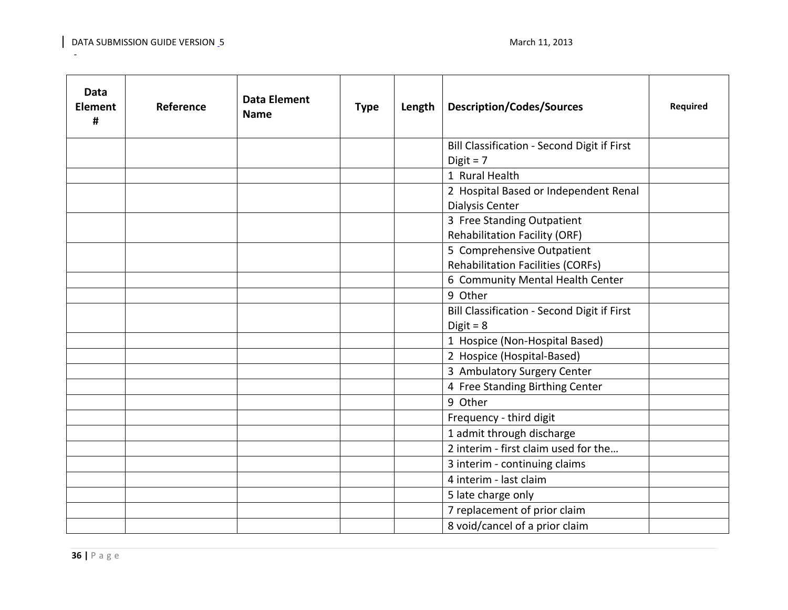| <b>Data</b><br><b>Element</b><br># | Reference | <b>Data Element</b><br><b>Name</b> | <b>Type</b> | Length | <b>Description/Codes/Sources</b>            | <b>Required</b> |
|------------------------------------|-----------|------------------------------------|-------------|--------|---------------------------------------------|-----------------|
|                                    |           |                                    |             |        | Bill Classification - Second Digit if First |                 |
|                                    |           |                                    |             |        | Digit = $7$                                 |                 |
|                                    |           |                                    |             |        | 1 Rural Health                              |                 |
|                                    |           |                                    |             |        | 2 Hospital Based or Independent Renal       |                 |
|                                    |           |                                    |             |        | <b>Dialysis Center</b>                      |                 |
|                                    |           |                                    |             |        | 3 Free Standing Outpatient                  |                 |
|                                    |           |                                    |             |        | Rehabilitation Facility (ORF)               |                 |
|                                    |           |                                    |             |        | 5 Comprehensive Outpatient                  |                 |
|                                    |           |                                    |             |        | <b>Rehabilitation Facilities (CORFs)</b>    |                 |
|                                    |           |                                    |             |        | 6 Community Mental Health Center            |                 |
|                                    |           |                                    |             |        | 9 Other                                     |                 |
|                                    |           |                                    |             |        | Bill Classification - Second Digit if First |                 |
|                                    |           |                                    |             |        | Digit = $8$                                 |                 |
|                                    |           |                                    |             |        | 1 Hospice (Non-Hospital Based)              |                 |
|                                    |           |                                    |             |        | 2 Hospice (Hospital-Based)                  |                 |
|                                    |           |                                    |             |        | 3 Ambulatory Surgery Center                 |                 |
|                                    |           |                                    |             |        | 4 Free Standing Birthing Center             |                 |
|                                    |           |                                    |             |        | 9 Other                                     |                 |
|                                    |           |                                    |             |        | Frequency - third digit                     |                 |
|                                    |           |                                    |             |        | 1 admit through discharge                   |                 |
|                                    |           |                                    |             |        | 2 interim - first claim used for the        |                 |
|                                    |           |                                    |             |        | 3 interim - continuing claims               |                 |
|                                    |           |                                    |             |        | 4 interim - last claim                      |                 |
|                                    |           |                                    |             |        | 5 late charge only                          |                 |
|                                    |           |                                    |             |        | 7 replacement of prior claim                |                 |
|                                    |           |                                    |             |        | 8 void/cancel of a prior claim              |                 |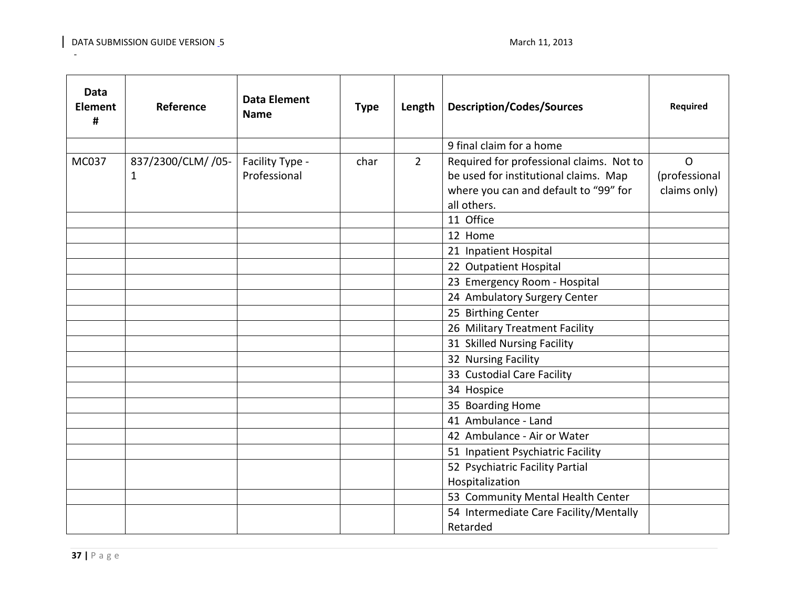| <b>Data</b><br><b>Element</b><br># | Reference          | <b>Data Element</b><br><b>Name</b> | <b>Type</b> | Length         | <b>Description/Codes/Sources</b>         | <b>Required</b> |
|------------------------------------|--------------------|------------------------------------|-------------|----------------|------------------------------------------|-----------------|
|                                    |                    |                                    |             |                | 9 final claim for a home                 |                 |
| MC037                              | 837/2300/CLM/ /05- | Facility Type -                    | char        | $\overline{2}$ | Required for professional claims. Not to | $\mathsf{O}$    |
|                                    | $\mathbf{1}$       | Professional                       |             |                | be used for institutional claims. Map    | (professional   |
|                                    |                    |                                    |             |                | where you can and default to "99" for    | claims only)    |
|                                    |                    |                                    |             |                | all others.                              |                 |
|                                    |                    |                                    |             |                | 11 Office                                |                 |
|                                    |                    |                                    |             |                | 12 Home                                  |                 |
|                                    |                    |                                    |             |                | 21 Inpatient Hospital                    |                 |
|                                    |                    |                                    |             |                | 22 Outpatient Hospital                   |                 |
|                                    |                    |                                    |             |                | 23 Emergency Room - Hospital             |                 |
|                                    |                    |                                    |             |                | 24 Ambulatory Surgery Center             |                 |
|                                    |                    |                                    |             |                | 25 Birthing Center                       |                 |
|                                    |                    |                                    |             |                | 26 Military Treatment Facility           |                 |
|                                    |                    |                                    |             |                | 31 Skilled Nursing Facility              |                 |
|                                    |                    |                                    |             |                | 32 Nursing Facility                      |                 |
|                                    |                    |                                    |             |                | 33 Custodial Care Facility               |                 |
|                                    |                    |                                    |             |                | 34 Hospice                               |                 |
|                                    |                    |                                    |             |                | 35 Boarding Home                         |                 |
|                                    |                    |                                    |             |                | 41 Ambulance - Land                      |                 |
|                                    |                    |                                    |             |                | 42 Ambulance - Air or Water              |                 |
|                                    |                    |                                    |             |                | 51 Inpatient Psychiatric Facility        |                 |
|                                    |                    |                                    |             |                | 52 Psychiatric Facility Partial          |                 |
|                                    |                    |                                    |             |                | Hospitalization                          |                 |
|                                    |                    |                                    |             |                | 53 Community Mental Health Center        |                 |
|                                    |                    |                                    |             |                | 54 Intermediate Care Facility/Mentally   |                 |
|                                    |                    |                                    |             |                | Retarded                                 |                 |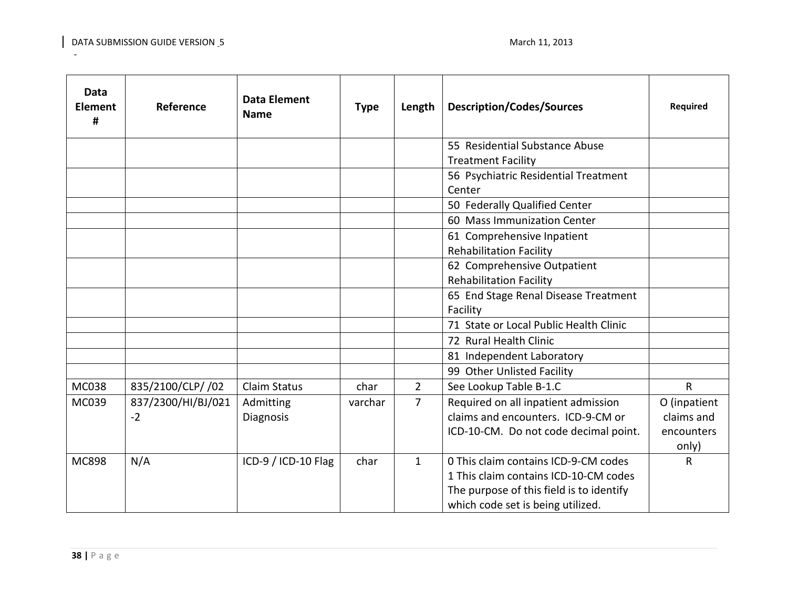| Data<br><b>Element</b><br># | Reference          | <b>Data Element</b><br><b>Name</b> | <b>Type</b> | Length         | <b>Description/Codes/Sources</b>         | <b>Required</b> |
|-----------------------------|--------------------|------------------------------------|-------------|----------------|------------------------------------------|-----------------|
|                             |                    |                                    |             |                | 55 Residential Substance Abuse           |                 |
|                             |                    |                                    |             |                | <b>Treatment Facility</b>                |                 |
|                             |                    |                                    |             |                | 56 Psychiatric Residential Treatment     |                 |
|                             |                    |                                    |             |                | Center                                   |                 |
|                             |                    |                                    |             |                | 50 Federally Qualified Center            |                 |
|                             |                    |                                    |             |                | 60 Mass Immunization Center              |                 |
|                             |                    |                                    |             |                | 61 Comprehensive Inpatient               |                 |
|                             |                    |                                    |             |                | <b>Rehabilitation Facility</b>           |                 |
|                             |                    |                                    |             |                | 62 Comprehensive Outpatient              |                 |
|                             |                    |                                    |             |                | <b>Rehabilitation Facility</b>           |                 |
|                             |                    |                                    |             |                | 65 End Stage Renal Disease Treatment     |                 |
|                             |                    |                                    |             |                | Facility                                 |                 |
|                             |                    |                                    |             |                | 71 State or Local Public Health Clinic   |                 |
|                             |                    |                                    |             |                | 72 Rural Health Clinic                   |                 |
|                             |                    |                                    |             |                | 81 Independent Laboratory                |                 |
|                             |                    |                                    |             |                | 99 Other Unlisted Facility               |                 |
| <b>MC038</b>                | 835/2100/CLP/ /02  | <b>Claim Status</b>                | char        | $\overline{2}$ | See Lookup Table B-1.C                   | $\mathsf{R}$    |
| MC039                       | 837/2300/HI/BJ/021 | Admitting                          | varchar     | 7              | Required on all inpatient admission      | O (inpatient    |
|                             | $-2$               | Diagnosis                          |             |                | claims and encounters. ICD-9-CM or       | claims and      |
|                             |                    |                                    |             |                | ICD-10-CM. Do not code decimal point.    | encounters      |
|                             |                    |                                    |             |                |                                          | only)           |
| <b>MC898</b>                | N/A                | ICD-9 / ICD-10 Flag                | char        | $\mathbf{1}$   | 0 This claim contains ICD-9-CM codes     | $\mathsf{R}$    |
|                             |                    |                                    |             |                | 1 This claim contains ICD-10-CM codes    |                 |
|                             |                    |                                    |             |                | The purpose of this field is to identify |                 |
|                             |                    |                                    |             |                | which code set is being utilized.        |                 |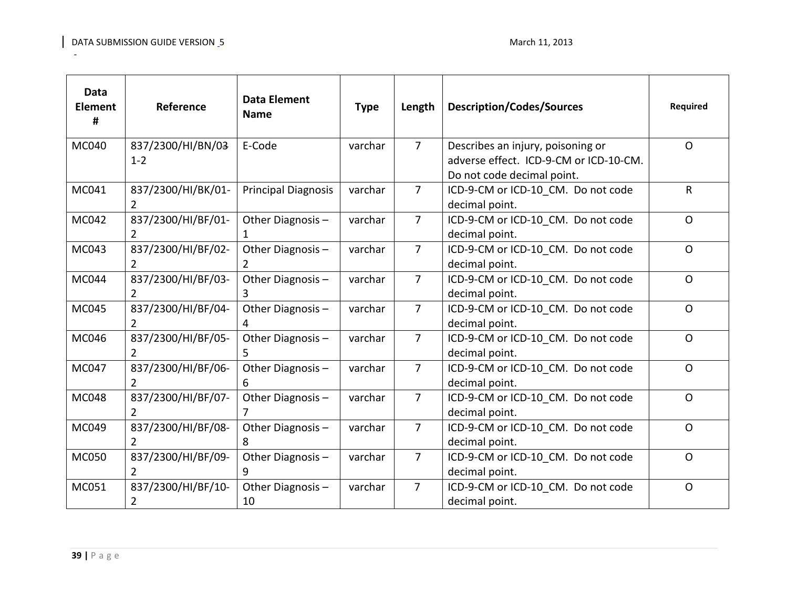| <b>Data</b><br><b>Element</b><br># | Reference                           | <b>Data Element</b><br><b>Name</b> | <b>Type</b> | Length         | <b>Description/Codes/Sources</b>                                                                          | <b>Required</b> |
|------------------------------------|-------------------------------------|------------------------------------|-------------|----------------|-----------------------------------------------------------------------------------------------------------|-----------------|
| MC040                              | 837/2300/HI/BN/03<br>$1 - 2$        | E-Code                             | varchar     | $\overline{7}$ | Describes an injury, poisoning or<br>adverse effect. ICD-9-CM or ICD-10-CM.<br>Do not code decimal point. | $\mathsf{O}$    |
| MC041                              | 837/2300/HI/BK/01-<br>2             | <b>Principal Diagnosis</b>         | varchar     | $\overline{7}$ | ICD-9-CM or ICD-10 CM. Do not code<br>decimal point.                                                      | $\mathsf{R}$    |
| MC042                              | 837/2300/HI/BF/01-                  | Other Diagnosis-                   | varchar     | $\overline{7}$ | ICD-9-CM or ICD-10 CM. Do not code<br>decimal point.                                                      | $\mathsf{O}$    |
| MC043                              | 837/2300/HI/BF/02-<br>$\mathcal{L}$ | Other Diagnosis-<br>2              | varchar     | $\overline{7}$ | ICD-9-CM or ICD-10 CM. Do not code<br>decimal point.                                                      | $\mathsf{O}$    |
| MC044                              | 837/2300/HI/BF/03-                  | Other Diagnosis -<br>3             | varchar     | $\overline{7}$ | ICD-9-CM or ICD-10 CM. Do not code<br>decimal point.                                                      | $\mathsf{O}$    |
| MC045                              | 837/2300/HI/BF/04-<br>2             | Other Diagnosis-<br>4              | varchar     | $\overline{7}$ | ICD-9-CM or ICD-10 CM. Do not code<br>decimal point.                                                      | $\mathsf{O}$    |
| MC046                              | 837/2300/HI/BF/05-<br>2             | Other Diagnosis-<br>5              | varchar     | $\overline{7}$ | ICD-9-CM or ICD-10 CM. Do not code<br>decimal point.                                                      | $\mathsf{O}$    |
| MC047                              | 837/2300/HI/BF/06-                  | Other Diagnosis -<br>6             | varchar     | $\overline{7}$ | ICD-9-CM or ICD-10 CM. Do not code<br>decimal point.                                                      | $\mathsf{O}$    |
| MC048                              | 837/2300/HI/BF/07-<br>2             | Other Diagnosis-                   | varchar     | $\overline{7}$ | ICD-9-CM or ICD-10 CM. Do not code<br>decimal point.                                                      | $\mathsf{O}$    |
| MC049                              | 837/2300/HI/BF/08-                  | Other Diagnosis-<br>8              | varchar     | $\overline{7}$ | ICD-9-CM or ICD-10 CM. Do not code<br>decimal point.                                                      | $\Omega$        |
| MC050                              | 837/2300/HI/BF/09-<br>$\mathcal{P}$ | Other Diagnosis-<br>9              | varchar     | $\overline{7}$ | ICD-9-CM or ICD-10 CM. Do not code<br>decimal point.                                                      | $\mathsf{O}$    |
| MC051                              | 837/2300/HI/BF/10-<br>2             | Other Diagnosis-<br>10             | varchar     | $\overline{7}$ | ICD-9-CM or ICD-10_CM. Do not code<br>decimal point.                                                      | $\mathsf{O}$    |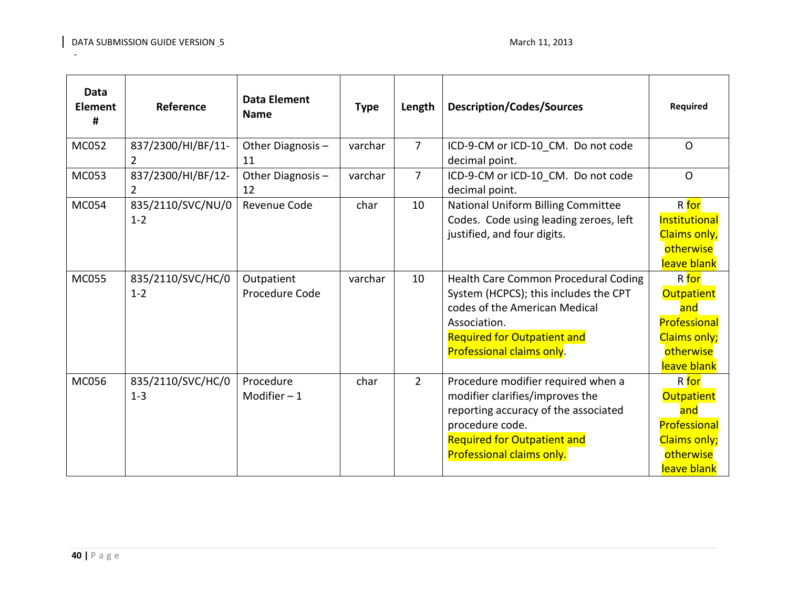| <b>Data</b><br><b>Element</b><br># | Reference                           | <b>Data Element</b><br><b>Name</b> | <b>Type</b> | Length         | <b>Description/Codes/Sources</b>                                                                                                                                                                    | <b>Required</b>                                                                                      |
|------------------------------------|-------------------------------------|------------------------------------|-------------|----------------|-----------------------------------------------------------------------------------------------------------------------------------------------------------------------------------------------------|------------------------------------------------------------------------------------------------------|
| <b>MC052</b>                       | 837/2300/HI/BF/11-<br>2             | Other Diagnosis-<br>11             | varchar     | $\overline{7}$ | ICD-9-CM or ICD-10_CM. Do not code<br>decimal point.                                                                                                                                                | $\mathsf{O}$                                                                                         |
| MC053                              | 837/2300/HI/BF/12-<br>$\mathcal{L}$ | Other Diagnosis -<br>12            | varchar     | $\overline{7}$ | ICD-9-CM or ICD-10 CM. Do not code<br>decimal point.                                                                                                                                                | $\mathsf{O}$                                                                                         |
| <b>MC054</b>                       | 835/2110/SVC/NU/0<br>$1 - 2$        | Revenue Code                       | char        | 10             | National Uniform Billing Committee<br>Codes. Code using leading zeroes, left<br>justified, and four digits.                                                                                         | R for<br>Institutional<br>Claims only,<br>otherwise<br>leave blank                                   |
| <b>MC055</b>                       | 835/2110/SVC/HC/0<br>$1 - 2$        | Outpatient<br>Procedure Code       | varchar     | 10             | Health Care Common Procedural Coding<br>System (HCPCS); this includes the CPT<br>codes of the American Medical<br>Association.<br><b>Required for Outpatient and</b><br>Professional claims only.   | R for<br><b>Outpatient</b><br>and<br>Professional<br><b>Claims only;</b><br>otherwise<br>leave blank |
| <b>MC056</b>                       | 835/2110/SVC/HC/0<br>$1 - 3$        | Procedure<br>Modifier $-1$         | char        | $\overline{2}$ | Procedure modifier required when a<br>modifier clarifies/improves the<br>reporting accuracy of the associated<br>procedure code.<br><b>Required for Outpatient and</b><br>Professional claims only. | R for<br><b>Outpatient</b><br>and<br>Professional<br>Claims only;<br>otherwise<br>leave blank        |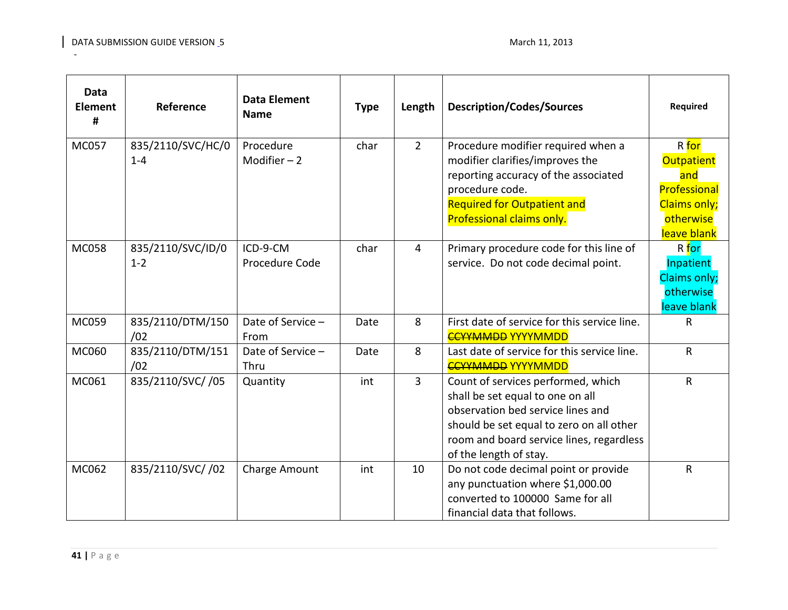| <b>Data</b><br><b>Element</b><br># | Reference                    | <b>Data Element</b><br><b>Name</b> | <b>Type</b> | Length         | <b>Description/Codes/Sources</b>                                                                                                                                                                                              | Required                                                                                             |
|------------------------------------|------------------------------|------------------------------------|-------------|----------------|-------------------------------------------------------------------------------------------------------------------------------------------------------------------------------------------------------------------------------|------------------------------------------------------------------------------------------------------|
| <b>MC057</b>                       | 835/2110/SVC/HC/0<br>$1 - 4$ | Procedure<br>Modifier $-2$         | char        | $\overline{2}$ | Procedure modifier required when a<br>modifier clarifies/improves the<br>reporting accuracy of the associated<br>procedure code.<br><b>Required for Outpatient and</b><br>Professional claims only.                           | R for<br><b>Outpatient</b><br>and<br>Professional<br><b>Claims only;</b><br>otherwise<br>leave blank |
| <b>MC058</b>                       | 835/2110/SVC/ID/0<br>$1 - 2$ | ICD-9-CM<br>Procedure Code         | char        | $\overline{4}$ | Primary procedure code for this line of<br>service. Do not code decimal point.                                                                                                                                                | R for<br>Inpatient<br>Claims only;<br>otherwise<br>leave blank                                       |
| MC059                              | 835/2110/DTM/150<br>/02      | Date of Service -<br>From          | Date        | 8              | First date of service for this service line.<br><b>CCYYMMDD YYYYMMDD</b>                                                                                                                                                      | R                                                                                                    |
| MC060                              | 835/2110/DTM/151<br>/02      | Date of Service -<br>Thru          | Date        | 8              | Last date of service for this service line.<br><b>CCYYMMDD YYYYMMDD</b>                                                                                                                                                       | $\mathsf{R}$                                                                                         |
| MC061                              | 835/2110/SVC//05             | Quantity                           | int         | 3              | Count of services performed, which<br>shall be set equal to one on all<br>observation bed service lines and<br>should be set equal to zero on all other<br>room and board service lines, regardless<br>of the length of stay. | $\mathsf{R}$                                                                                         |
| MC062                              | 835/2110/SVC//02             | Charge Amount                      | int         | 10             | Do not code decimal point or provide<br>any punctuation where \$1,000.00<br>converted to 100000 Same for all<br>financial data that follows.                                                                                  | $\mathsf{R}$                                                                                         |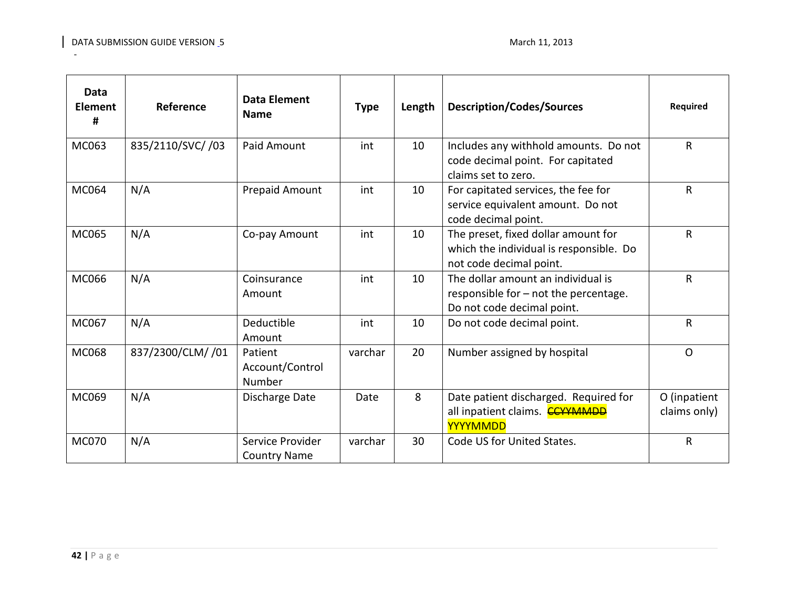| <b>Data</b><br><b>Element</b><br># | Reference         | <b>Data Element</b><br><b>Name</b>      | <b>Type</b> | Length | <b>Description/Codes/Sources</b>                                                                          | <b>Required</b>              |
|------------------------------------|-------------------|-----------------------------------------|-------------|--------|-----------------------------------------------------------------------------------------------------------|------------------------------|
| MC063                              | 835/2110/SVC/ /03 | Paid Amount                             | int         | 10     | Includes any withhold amounts. Do not<br>code decimal point. For capitated<br>claims set to zero.         | $\mathsf R$                  |
| MC064                              | N/A               | Prepaid Amount                          | int         | 10     | For capitated services, the fee for<br>service equivalent amount. Do not<br>code decimal point.           | $\mathsf R$                  |
| MC065                              | N/A               | Co-pay Amount                           | int         | 10     | The preset, fixed dollar amount for<br>which the individual is responsible. Do<br>not code decimal point. | $\mathsf{R}$                 |
| MC066                              | N/A               | Coinsurance<br>Amount                   | int         | 10     | The dollar amount an individual is<br>responsible for - not the percentage.<br>Do not code decimal point. | $\mathsf{R}$                 |
| MC067                              | N/A               | Deductible<br>Amount                    | int         | 10     | Do not code decimal point.                                                                                | R                            |
| <b>MC068</b>                       | 837/2300/CLM/ /01 | Patient<br>Account/Control<br>Number    | varchar     | 20     | Number assigned by hospital                                                                               | $\Omega$                     |
| MC069                              | N/A               | Discharge Date                          | Date        | 8      | Date patient discharged. Required for<br>all inpatient claims. <b>CCYYMMDD</b><br>YYYYMMDD                | O (inpatient<br>claims only) |
| <b>MC070</b>                       | N/A               | Service Provider<br><b>Country Name</b> | varchar     | 30     | Code US for United States.                                                                                | $\mathsf{R}$                 |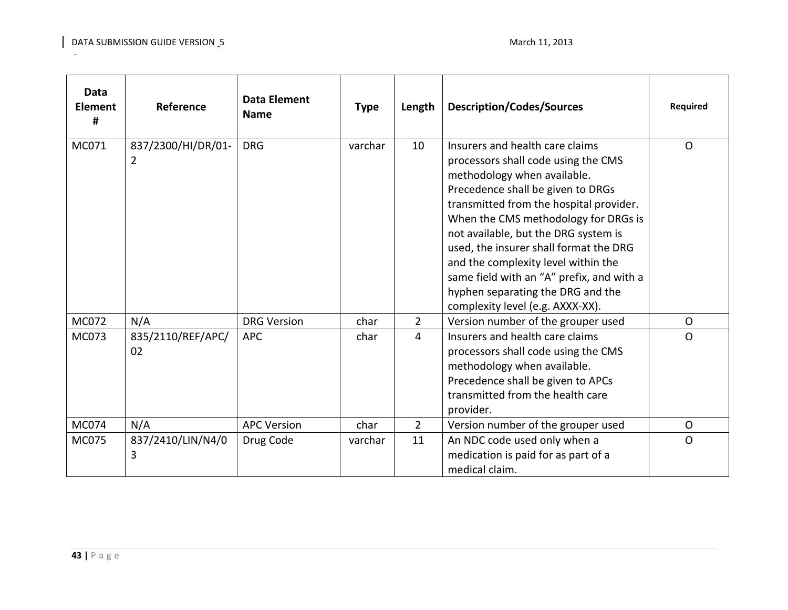| <b>Data</b><br><b>Element</b><br># | Reference               | <b>Data Element</b><br><b>Name</b> | <b>Type</b> | Length         | <b>Description/Codes/Sources</b>                                                                                                                                                                                                                                                                                                                                                                                                                                             | Required     |
|------------------------------------|-------------------------|------------------------------------|-------------|----------------|------------------------------------------------------------------------------------------------------------------------------------------------------------------------------------------------------------------------------------------------------------------------------------------------------------------------------------------------------------------------------------------------------------------------------------------------------------------------------|--------------|
| MC071                              | 837/2300/HI/DR/01-<br>2 | <b>DRG</b>                         | varchar     | 10             | Insurers and health care claims<br>processors shall code using the CMS<br>methodology when available.<br>Precedence shall be given to DRGs<br>transmitted from the hospital provider.<br>When the CMS methodology for DRGs is<br>not available, but the DRG system is<br>used, the insurer shall format the DRG<br>and the complexity level within the<br>same field with an "A" prefix, and with a<br>hyphen separating the DRG and the<br>complexity level (e.g. AXXX-XX). | $\Omega$     |
| MC072                              | N/A                     | <b>DRG Version</b>                 | char        | $\overline{2}$ | Version number of the grouper used                                                                                                                                                                                                                                                                                                                                                                                                                                           | $\circ$      |
| MC073                              | 835/2110/REF/APC/<br>02 | <b>APC</b>                         | char        | 4              | Insurers and health care claims<br>processors shall code using the CMS<br>methodology when available.<br>Precedence shall be given to APCs<br>transmitted from the health care<br>provider.                                                                                                                                                                                                                                                                                  | $\Omega$     |
| MC074                              | N/A                     | <b>APC Version</b>                 | char        | $\overline{2}$ | Version number of the grouper used                                                                                                                                                                                                                                                                                                                                                                                                                                           | $\circ$      |
| MC075                              | 837/2410/LIN/N4/0<br>3  | Drug Code                          | varchar     | 11             | An NDC code used only when a<br>medication is paid for as part of a<br>medical claim.                                                                                                                                                                                                                                                                                                                                                                                        | $\mathsf{O}$ |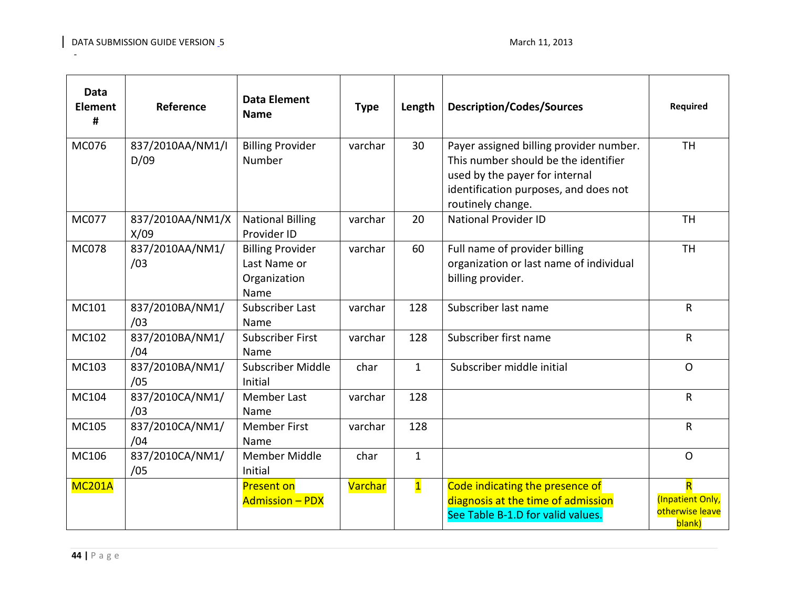| Data<br><b>Element</b><br># | Reference                | <b>Data Element</b><br><b>Name</b>                              | <b>Type</b>    | Length                  | <b>Description/Codes/Sources</b>                                                                                                                                                | <b>Required</b>                                                          |
|-----------------------------|--------------------------|-----------------------------------------------------------------|----------------|-------------------------|---------------------------------------------------------------------------------------------------------------------------------------------------------------------------------|--------------------------------------------------------------------------|
| MC076                       | 837/2010AA/NM1/I<br>D/09 | <b>Billing Provider</b><br>Number                               | varchar        | 30                      | Payer assigned billing provider number.<br>This number should be the identifier<br>used by the payer for internal<br>identification purposes, and does not<br>routinely change. | <b>TH</b>                                                                |
| <b>MC077</b>                | 837/2010AA/NM1/X<br>X/09 | <b>National Billing</b><br>Provider ID                          | varchar        | 20                      | <b>National Provider ID</b>                                                                                                                                                     | <b>TH</b>                                                                |
| <b>MC078</b>                | 837/2010AA/NM1/<br>/03   | <b>Billing Provider</b><br>Last Name or<br>Organization<br>Name | varchar        | 60                      | Full name of provider billing<br>organization or last name of individual<br>billing provider.                                                                                   | <b>TH</b>                                                                |
| MC101                       | 837/2010BA/NM1/<br>/03   | <b>Subscriber Last</b><br>Name                                  | varchar        | 128                     | Subscriber last name                                                                                                                                                            | $\mathsf R$                                                              |
| MC102                       | 837/2010BA/NM1/<br>/04   | <b>Subscriber First</b><br>Name                                 | varchar        | 128                     | Subscriber first name                                                                                                                                                           | $\mathsf{R}$                                                             |
| MC103                       | 837/2010BA/NM1/<br>/05   | Subscriber Middle<br>Initial                                    | char           | $\mathbf{1}$            | Subscriber middle initial                                                                                                                                                       | $\circ$                                                                  |
| MC104                       | 837/2010CA/NM1/<br>/03   | <b>Member Last</b><br>Name                                      | varchar        | 128                     |                                                                                                                                                                                 | $\mathsf{R}$                                                             |
| MC105                       | 837/2010CA/NM1/<br>/04   | <b>Member First</b><br>Name                                     | varchar        | 128                     |                                                                                                                                                                                 | $\mathsf R$                                                              |
| MC106                       | 837/2010CA/NM1/<br>/05   | <b>Member Middle</b><br>Initial                                 | char           | $\mathbf{1}$            |                                                                                                                                                                                 | $\mathsf{O}$                                                             |
| <b>MC201A</b>               |                          | <b>Present on</b><br><b>Admission - PDX</b>                     | <b>Varchar</b> | $\overline{\mathbf{1}}$ | Code indicating the presence of<br>diagnosis at the time of admission<br>See Table B-1.D for valid values.                                                                      | $\overline{\mathsf{R}}$<br>(Inpatient Only,<br>otherwise leave<br>blank) |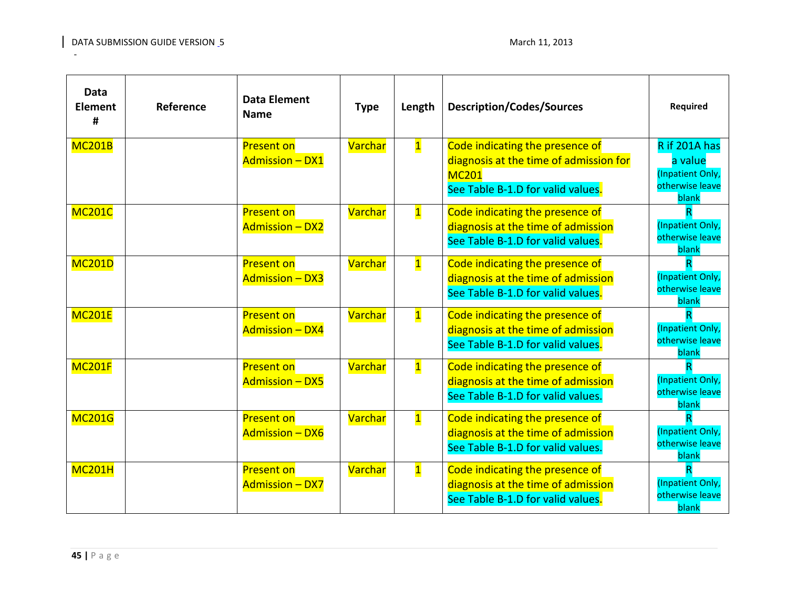| <b>Data</b><br>Element<br># | Reference | <b>Data Element</b><br><b>Name</b>          | <b>Type</b>    | Length                  | <b>Description/Codes/Sources</b>                                                                                               | Required                                                                 |
|-----------------------------|-----------|---------------------------------------------|----------------|-------------------------|--------------------------------------------------------------------------------------------------------------------------------|--------------------------------------------------------------------------|
| <b>MC201B</b>               |           | <b>Present on</b><br><b>Admission - DX1</b> | Varchar        | $\overline{\mathbf{1}}$ | Code indicating the presence of<br>diagnosis at the time of admission for<br><b>MC201</b><br>See Table B-1.D for valid values. | R if 201A has<br>a value<br>(Inpatient Only,<br>otherwise leave<br>blank |
| <b>MC201C</b>               |           | <b>Present on</b><br><b>Admission - DX2</b> | <b>Varchar</b> | $\overline{\mathbf{1}}$ | Code indicating the presence of<br>diagnosis at the time of admission<br>See Table B-1.D for valid values.                     | (Inpatient Only,<br>otherwise leave<br>blank                             |
| <b>MC201D</b>               |           | <b>Present on</b><br><b>Admission - DX3</b> | Varchar        | $\overline{\mathbf{1}}$ | Code indicating the presence of<br>diagnosis at the time of admission<br>See Table B-1.D for valid values.                     | R<br>(Inpatient Only,<br>otherwise leave<br>blank                        |
| <b>MC201E</b>               |           | <b>Present on</b><br><b>Admission - DX4</b> | Varchar        | $\overline{\mathbf{1}}$ | Code indicating the presence of<br>diagnosis at the time of admission<br>See Table B-1.D for valid values.                     | (Inpatient Only,<br>otherwise leave<br>blank                             |
| <b>MC201F</b>               |           | <b>Present on</b><br><b>Admission - DX5</b> | Varchar        | $\overline{\mathbf{1}}$ | Code indicating the presence of<br>diagnosis at the time of admission<br>See Table B-1.D for valid values.                     | (Inpatient Only,<br>otherwise leave<br>blank                             |
| <b>MC201G</b>               |           | <b>Present on</b><br><b>Admission - DX6</b> | Varchar        | $\overline{\mathbf{1}}$ | Code indicating the presence of<br>diagnosis at the time of admission<br>See Table B-1.D for valid values.                     | (Inpatient Only,<br>otherwise leave<br>blank                             |
| <b>MC201H</b>               |           | <b>Present on</b><br><b>Admission - DX7</b> | Varchar        | $\overline{\mathbf{1}}$ | Code indicating the presence of<br>diagnosis at the time of admission<br>See Table B-1.D for valid values.                     | (Inpatient Only,<br>otherwise leave<br>blank                             |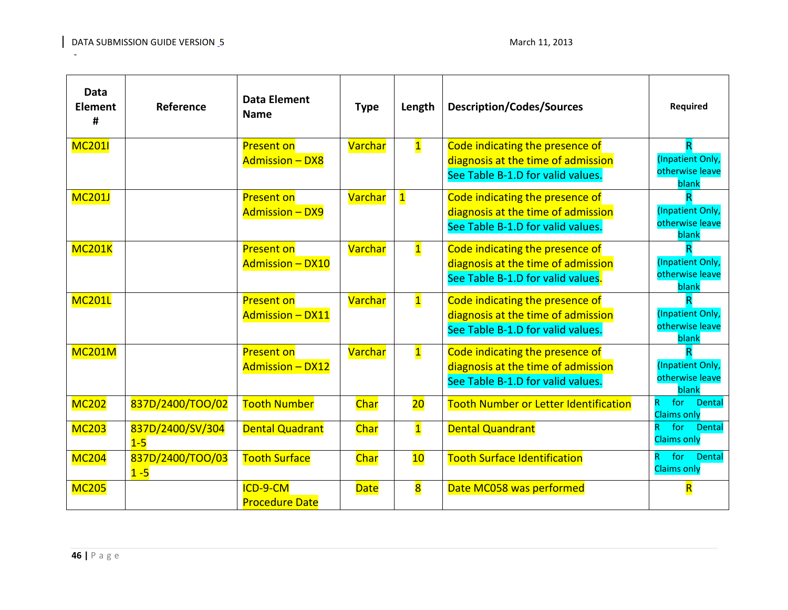| Data<br><b>Element</b><br># | Reference                   | <b>Data Element</b><br><b>Name</b>           | <b>Type</b>    | Length                  | <b>Description/Codes/Sources</b>                                                                           | Required                                          |
|-----------------------------|-----------------------------|----------------------------------------------|----------------|-------------------------|------------------------------------------------------------------------------------------------------------|---------------------------------------------------|
| <b>MC2011</b>               |                             | <b>Present on</b><br><b>Admission - DX8</b>  | Varchar        | $\overline{\mathbf{1}}$ | Code indicating the presence of<br>diagnosis at the time of admission<br>See Table B-1.D for valid values. | R<br>(Inpatient Only,<br>otherwise leave<br>blank |
| <b>MC201J</b>               |                             | <b>Present on</b><br><b>Admission - DX9</b>  | <b>Varchar</b> | $\overline{\mathbf{1}}$ | Code indicating the presence of<br>diagnosis at the time of admission<br>See Table B-1.D for valid values. | (Inpatient Only,<br>otherwise leave<br>blank      |
| <b>MC201K</b>               |                             | <b>Present on</b><br>Admission - DX10        | <b>Varchar</b> | $\overline{\mathbf{1}}$ | Code indicating the presence of<br>diagnosis at the time of admission<br>See Table B-1.D for valid values. | (Inpatient Only,<br>otherwise leave<br>blank      |
| <b>MC201L</b>               |                             | <b>Present on</b><br><b>Admission - DX11</b> | <b>Varchar</b> | $\overline{\mathbf{1}}$ | Code indicating the presence of<br>diagnosis at the time of admission<br>See Table B-1.D for valid values. | (Inpatient Only,<br>otherwise leave<br>blank      |
| <b>MC201M</b>               |                             | <b>Present on</b><br><b>Admission - DX12</b> | Varchar        | $\overline{\mathbf{1}}$ | Code indicating the presence of<br>diagnosis at the time of admission<br>See Table B-1.D for valid values. | (Inpatient Only,<br>otherwise leave<br>blank      |
| <b>MC202</b>                | 837D/2400/TOO/02            | <b>Tooth Number</b>                          | Char           | $\overline{20}$         | Tooth Number or Letter Identification                                                                      | for<br>R.<br><b>Dental</b><br><b>Claims only</b>  |
| <b>MC203</b>                | 837D/2400/SV/304<br>$1-5$   | <b>Dental Quadrant</b>                       | <b>Char</b>    | $\overline{\mathbf{1}}$ | <b>Dental Quandrant</b>                                                                                    | for<br>Dental<br><b>Claims only</b>               |
| <b>MC204</b>                | 837D/2400/TOO/03<br>$1 - 5$ | <b>Tooth Surface</b>                         | Char           | 10                      | <b>Tooth Surface Identification</b>                                                                        | for<br>Dental<br>R<br><b>Claims only</b>          |
| <b>MC205</b>                |                             | ICD-9-CM<br><b>Procedure Date</b>            | <b>Date</b>    | $\overline{\mathbf{8}}$ | Date MC058 was performed                                                                                   | $\overline{\mathsf{R}}$                           |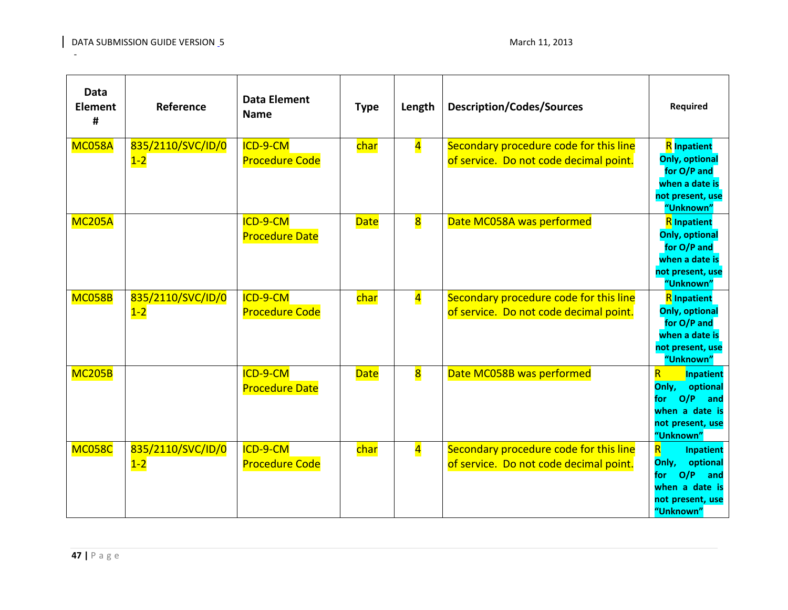| <b>Data</b><br><b>Element</b><br># | Reference                  | <b>Data Element</b><br><b>Name</b> | <b>Type</b> | Length                  | <b>Description/Codes/Sources</b>                                                 | Required                                                                                                                                 |
|------------------------------------|----------------------------|------------------------------------|-------------|-------------------------|----------------------------------------------------------------------------------|------------------------------------------------------------------------------------------------------------------------------------------|
| <b>MC058A</b>                      | 835/2110/SVC/ID/0<br>$1-2$ | ICD-9-CM<br><b>Procedure Code</b>  | char        | $\overline{\mathbf{4}}$ | Secondary procedure code for this line<br>of service. Do not code decimal point. | <b>R</b> Inpatient<br><b>Only, optional</b><br>for O/P and<br>when a date is<br>not present, use<br>"Unknown"                            |
| <b>MC205A</b>                      |                            | ICD-9-CM<br><b>Procedure Date</b>  | <b>Date</b> | $\overline{\mathbf{8}}$ | Date MC058A was performed                                                        | <b>R</b> Inpatient<br><b>Only, optional</b><br>for O/P and<br>when a date is<br>not present, use<br>"Unknown"                            |
| <b>MC058B</b>                      | 835/2110/SVC/ID/0<br>$1-2$ | ICD-9-CM<br><b>Procedure Code</b>  | char        | $\overline{\mathbf{4}}$ | Secondary procedure code for this line<br>of service. Do not code decimal point. | <b>R</b> Inpatient<br><b>Only, optional</b><br>for O/P and<br>when a date is<br>not present, use<br>"Unknown"                            |
| <b>MC205B</b>                      |                            | ICD-9-CM<br><b>Procedure Date</b>  | <b>Date</b> | $\overline{\mathbf{8}}$ | Date MC058B was performed                                                        | $\overline{\mathsf{R}}$<br>Inpatient<br>Only,<br>optional<br>O/P<br>and<br>for<br>when a date is<br>not present, use<br>"Unknown"        |
| <b>MC058C</b>                      | 835/2110/SVC/ID/0<br>$1-2$ | ICD-9-CM<br><b>Procedure Code</b>  | char        | $\overline{\mathbf{4}}$ | Secondary procedure code for this line<br>of service. Do not code decimal point. | $\overline{\mathsf{R}}$<br><b>Inpatient</b><br>Only,<br>optional<br>O/P<br>for<br>and<br>when a date is<br>not present, use<br>"Unknown" |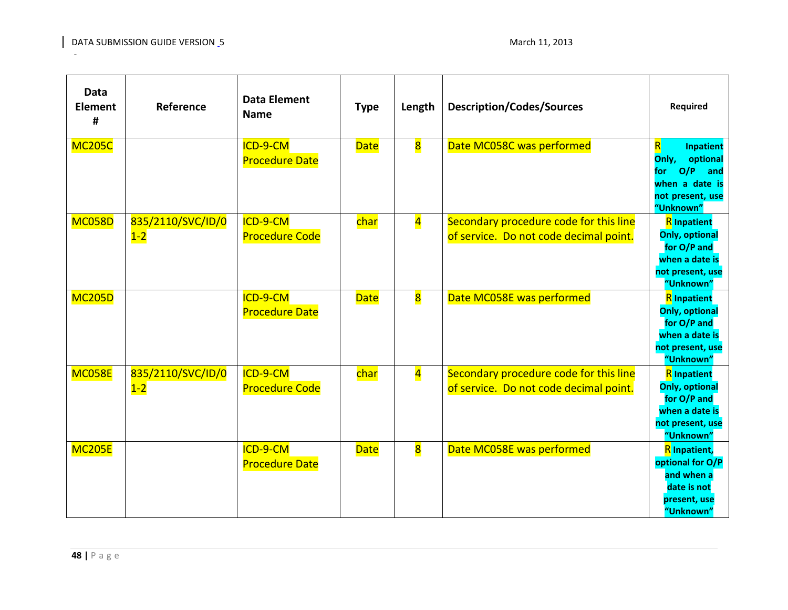| <b>Data</b><br><b>Element</b><br># | Reference                  | <b>Data Element</b><br><b>Name</b> | <b>Type</b> | Length                  | <b>Description/Codes/Sources</b>                                                 | Required                                                                                                                                 |
|------------------------------------|----------------------------|------------------------------------|-------------|-------------------------|----------------------------------------------------------------------------------|------------------------------------------------------------------------------------------------------------------------------------------|
| <b>MC205C</b>                      |                            | ICD-9-CM<br><b>Procedure Date</b>  | <b>Date</b> | $\overline{\mathbf{8}}$ | Date MC058C was performed                                                        | $\overline{\mathsf{R}}$<br><b>Inpatient</b><br>Only,<br>optional<br>O/P<br>and<br>for<br>when a date is<br>not present, use<br>"Unknown" |
| <b>MC058D</b>                      | 835/2110/SVC/ID/0<br>$1-2$ | ICD-9-CM<br><b>Procedure Code</b>  | char        | $\overline{\mathbf{4}}$ | Secondary procedure code for this line<br>of service. Do not code decimal point. | <b>R</b> Inpatient<br><b>Only, optional</b><br>for O/P and<br>when a date is<br>not present, use<br>"Unknown"                            |
| <b>MC205D</b>                      |                            | ICD-9-CM<br><b>Procedure Date</b>  | <b>Date</b> | $\overline{\textbf{8}}$ | Date MC058E was performed                                                        | <b>R</b> Inpatient<br><b>Only, optional</b><br>for O/P and<br>when a date is<br>not present, use<br>"Unknown"                            |
| <b>MC058E</b>                      | 835/2110/SVC/ID/0<br>$1-2$ | ICD-9-CM<br><b>Procedure Code</b>  | char        | $\overline{\mathbf{4}}$ | Secondary procedure code for this line<br>of service. Do not code decimal point. | <b>R</b> Inpatient<br><b>Only, optional</b><br>for O/P and<br>when a date is<br>not present, use<br>"Unknown"                            |
| <b>MC205E</b>                      |                            | ICD-9-CM<br><b>Procedure Date</b>  | <b>Date</b> | $\overline{\mathbf{8}}$ | Date MC058E was performed                                                        | <b>R</b> Inpatient,<br>optional for O/P<br>and when a<br>date is not<br>present, use<br>"Unknown"                                        |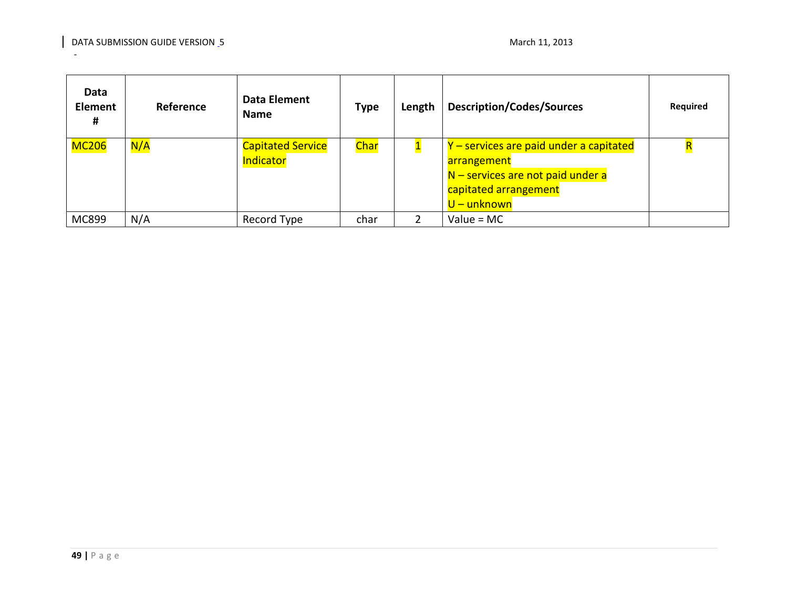| Data<br><b>Element</b><br># | Reference | Data Element<br><b>Name</b>           | <b>Type</b> | Length | <b>Description/Codes/Sources</b>                                                                                                      | Required |
|-----------------------------|-----------|---------------------------------------|-------------|--------|---------------------------------------------------------------------------------------------------------------------------------------|----------|
| <b>MC206</b>                | N/A       | <b>Capitated Service</b><br>Indicator | Char        |        | Y – services are paid under a capitated<br>arrangement<br>N – services are not paid under a<br>capitated arrangement<br>$U$ – unknown |          |
| MC899                       | N/A       | Record Type                           | char        |        | Value = $MC$                                                                                                                          |          |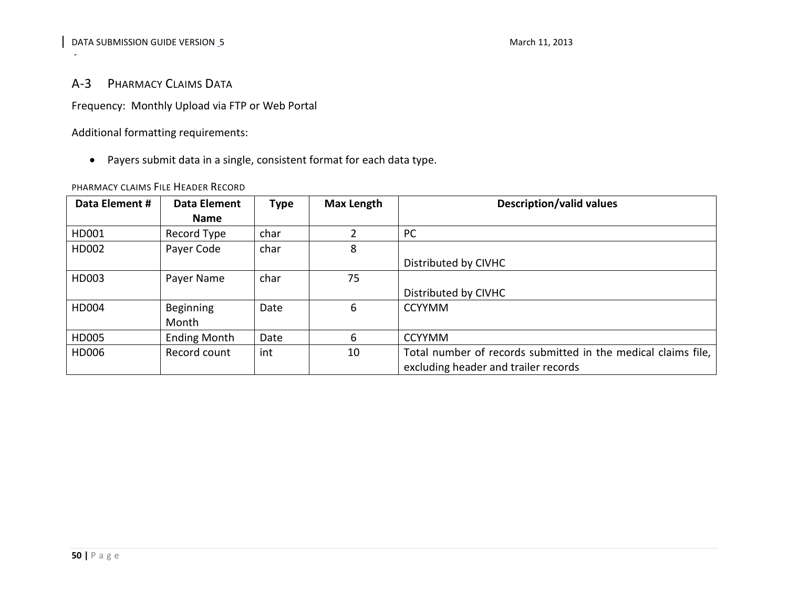# A-3 PHARMACY CLAIMS DATA

Frequency: Monthly Upload via FTP or Web Portal

Additional formatting requirements:

• Payers submit data in a single, consistent format for each data type.

#### PHARMACY CLAIMS FILE HEADER RECORD

<span id="page-49-1"></span><span id="page-49-0"></span>

| Data Element # | Data Element        | <b>Type</b> | Max Length | <b>Description/valid values</b>                               |
|----------------|---------------------|-------------|------------|---------------------------------------------------------------|
|                | <b>Name</b>         |             |            |                                                               |
| HD001          | Record Type         | char        |            | PC                                                            |
| HD002          | Payer Code          | char        | 8          |                                                               |
|                |                     |             |            | Distributed by CIVHC                                          |
| HD003          | Payer Name          | char        | 75         |                                                               |
|                |                     |             |            | Distributed by CIVHC                                          |
| HD004          | <b>Beginning</b>    | Date        | 6          | <b>CCYYMM</b>                                                 |
|                | Month               |             |            |                                                               |
| HD005          | <b>Ending Month</b> | Date        | 6          | <b>CCYYMM</b>                                                 |
| HD006          | Record count        | int         | 10         | Total number of records submitted in the medical claims file, |
|                |                     |             |            | excluding header and trailer records                          |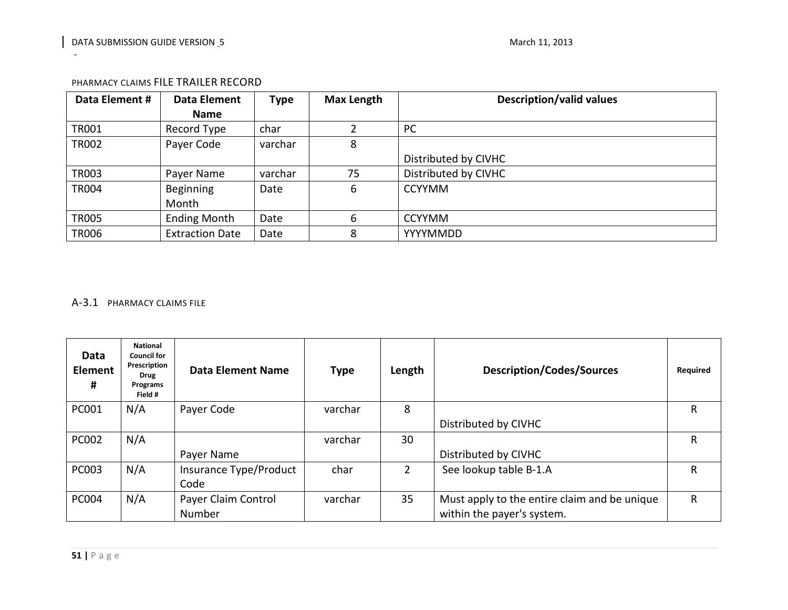| Data Element # | Data Element           | <b>Type</b> | <b>Max Length</b> | <b>Description/valid values</b> |
|----------------|------------------------|-------------|-------------------|---------------------------------|
|                | <b>Name</b>            |             |                   |                                 |
| <b>TR001</b>   | Record Type            | char        |                   | PC                              |
| <b>TR002</b>   | Payer Code             | varchar     | 8                 |                                 |
|                |                        |             |                   | Distributed by CIVHC            |
| TR003          | Payer Name             | varchar     | 75                | Distributed by CIVHC            |
| <b>TR004</b>   | Beginning              | Date        | 6                 | <b>CCYYMM</b>                   |
|                | Month                  |             |                   |                                 |
| <b>TR005</b>   | <b>Ending Month</b>    | Date        | 6                 | <b>CCYYMM</b>                   |
| <b>TR006</b>   | <b>Extraction Date</b> | Date        | 8                 | YYYYMMDD                        |

#### PHARMACY CLAIMS FILE TRAILER RECORD

# <span id="page-50-0"></span>A-3.1 PHARMACY CLAIMS FILE

<span id="page-50-1"></span>

| Data<br><b>Element</b><br># | <b>National</b><br><b>Council for</b><br>Prescription<br><b>Drug</b><br>Programs<br>Field # | Data Element Name      | <b>Type</b> | Length | <b>Description/Codes/Sources</b>             | Required |
|-----------------------------|---------------------------------------------------------------------------------------------|------------------------|-------------|--------|----------------------------------------------|----------|
| PC001                       | N/A                                                                                         | Payer Code             | varchar     | 8      |                                              | R        |
|                             |                                                                                             |                        |             |        | Distributed by CIVHC                         |          |
| <b>PC002</b>                | N/A                                                                                         |                        | varchar     | 30     |                                              | R        |
|                             |                                                                                             | Payer Name             |             |        | Distributed by CIVHC                         |          |
| <b>PC003</b>                | N/A                                                                                         | Insurance Type/Product | char        | 2      | See lookup table B-1.A                       | R        |
|                             |                                                                                             | Code                   |             |        |                                              |          |
| <b>PC004</b>                | N/A                                                                                         | Payer Claim Control    | varchar     | 35     | Must apply to the entire claim and be unique | R        |
|                             |                                                                                             | Number                 |             |        | within the payer's system.                   |          |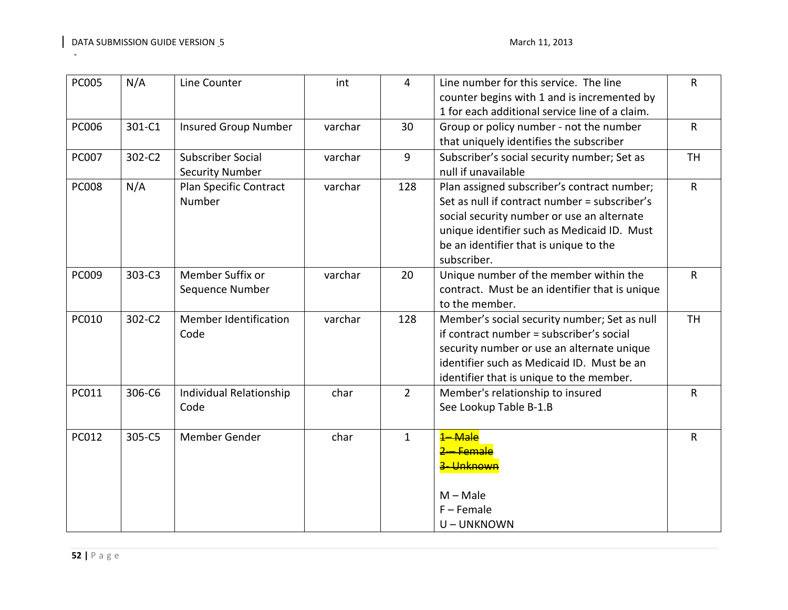| <b>PC005</b> | N/A    | Line Counter                 | int     | 4              | Line number for this service. The line         | $\mathsf{R}$ |
|--------------|--------|------------------------------|---------|----------------|------------------------------------------------|--------------|
|              |        |                              |         |                | counter begins with 1 and is incremented by    |              |
|              |        |                              |         |                | 1 for each additional service line of a claim. |              |
| <b>PC006</b> | 301-C1 | <b>Insured Group Number</b>  | varchar | 30             | Group or policy number - not the number        | $\mathsf{R}$ |
|              |        |                              |         |                | that uniquely identifies the subscriber        |              |
| <b>PC007</b> | 302-C2 | <b>Subscriber Social</b>     | varchar | 9              | Subscriber's social security number; Set as    | <b>TH</b>    |
|              |        | <b>Security Number</b>       |         |                | null if unavailable                            |              |
| <b>PC008</b> | N/A    | Plan Specific Contract       | varchar | 128            | Plan assigned subscriber's contract number;    | $\mathsf{R}$ |
|              |        | Number                       |         |                | Set as null if contract number = subscriber's  |              |
|              |        |                              |         |                | social security number or use an alternate     |              |
|              |        |                              |         |                | unique identifier such as Medicaid ID. Must    |              |
|              |        |                              |         |                | be an identifier that is unique to the         |              |
|              |        |                              |         |                | subscriber.                                    |              |
| PC009        | 303-C3 | Member Suffix or             | varchar | 20             | Unique number of the member within the         | $\mathsf{R}$ |
|              |        | Sequence Number              |         |                | contract. Must be an identifier that is unique |              |
|              |        |                              |         |                | to the member.                                 |              |
| <b>PC010</b> | 302-C2 | <b>Member Identification</b> | varchar | 128            | Member's social security number; Set as null   | <b>TH</b>    |
|              |        | Code                         |         |                | if contract number = subscriber's social       |              |
|              |        |                              |         |                | security number or use an alternate unique     |              |
|              |        |                              |         |                | identifier such as Medicaid ID. Must be an     |              |
|              |        |                              |         |                | identifier that is unique to the member.       |              |
| PC011        | 306-C6 | Individual Relationship      | char    | $\overline{2}$ | Member's relationship to insured               | $\mathsf{R}$ |
|              |        | Code                         |         |                | See Lookup Table B-1.B                         |              |
|              |        |                              |         |                |                                                |              |
| PC012        | 305-C5 | Member Gender                | char    | $\mathbf{1}$   | <b>Male</b>                                    | $\mathsf{R}$ |
|              |        |                              |         |                | <b>Female</b>                                  |              |
|              |        |                              |         |                | Unknown                                        |              |
|              |        |                              |         |                |                                                |              |
|              |        |                              |         |                | $M - Male$                                     |              |
|              |        |                              |         |                | $F -$ Female                                   |              |
|              |        |                              |         |                | U-UNKNOWN                                      |              |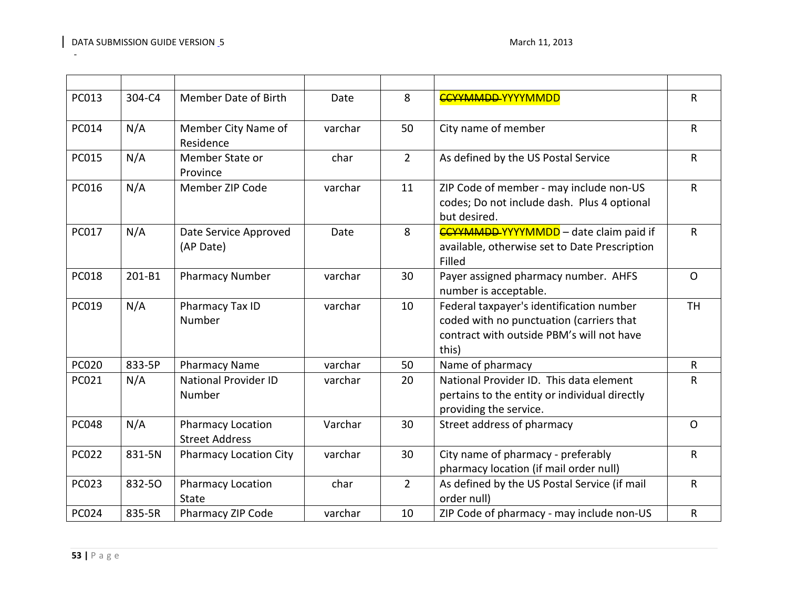| PC013        | 304-C4 | Member Date of Birth                              | Date    | 8              | <b>CCYYMMDD-YYYYMMDD</b>                                                                                                                   | $\mathsf{R}$ |
|--------------|--------|---------------------------------------------------|---------|----------------|--------------------------------------------------------------------------------------------------------------------------------------------|--------------|
| PC014        | N/A    | Member City Name of<br>Residence                  | varchar | 50             | City name of member                                                                                                                        | $\mathsf{R}$ |
| <b>PC015</b> | N/A    | Member State or<br>Province                       | char    | $\overline{2}$ | As defined by the US Postal Service                                                                                                        | $\mathsf R$  |
| PC016        | N/A    | Member ZIP Code                                   | varchar | 11             | ZIP Code of member - may include non-US<br>codes; Do not include dash. Plus 4 optional<br>but desired.                                     | $\mathsf{R}$ |
| PC017        | N/A    | Date Service Approved<br>(AP Date)                | Date    | 8              | <b>CCYYMMDD-YYYYMMDD</b> - date claim paid if<br>available, otherwise set to Date Prescription<br>Filled                                   | $\mathsf{R}$ |
| <b>PC018</b> | 201-B1 | <b>Pharmacy Number</b>                            | varchar | 30             | Payer assigned pharmacy number. AHFS<br>number is acceptable.                                                                              | $\mathsf{O}$ |
| PC019        | N/A    | Pharmacy Tax ID<br>Number                         | varchar | 10             | Federal taxpayer's identification number<br>coded with no punctuation (carriers that<br>contract with outside PBM's will not have<br>this) | <b>TH</b>    |
| <b>PC020</b> | 833-5P | <b>Pharmacy Name</b>                              | varchar | 50             | Name of pharmacy                                                                                                                           | $\mathsf{R}$ |
| PC021        | N/A    | <b>National Provider ID</b><br>Number             | varchar | 20             | National Provider ID. This data element<br>pertains to the entity or individual directly<br>providing the service.                         | $\mathsf{R}$ |
| <b>PC048</b> | N/A    | <b>Pharmacy Location</b><br><b>Street Address</b> | Varchar | 30             | Street address of pharmacy                                                                                                                 | $\mathsf{O}$ |
| <b>PC022</b> | 831-5N | <b>Pharmacy Location City</b>                     | varchar | 30             | City name of pharmacy - preferably<br>pharmacy location (if mail order null)                                                               | $\mathsf{R}$ |
| <b>PC023</b> | 832-50 | Pharmacy Location<br><b>State</b>                 | char    | $2^{\circ}$    | As defined by the US Postal Service (if mail<br>order null)                                                                                | $\mathsf{R}$ |
| PC024        | 835-5R | Pharmacy ZIP Code                                 | varchar | 10             | ZIP Code of pharmacy - may include non-US                                                                                                  | $\mathsf R$  |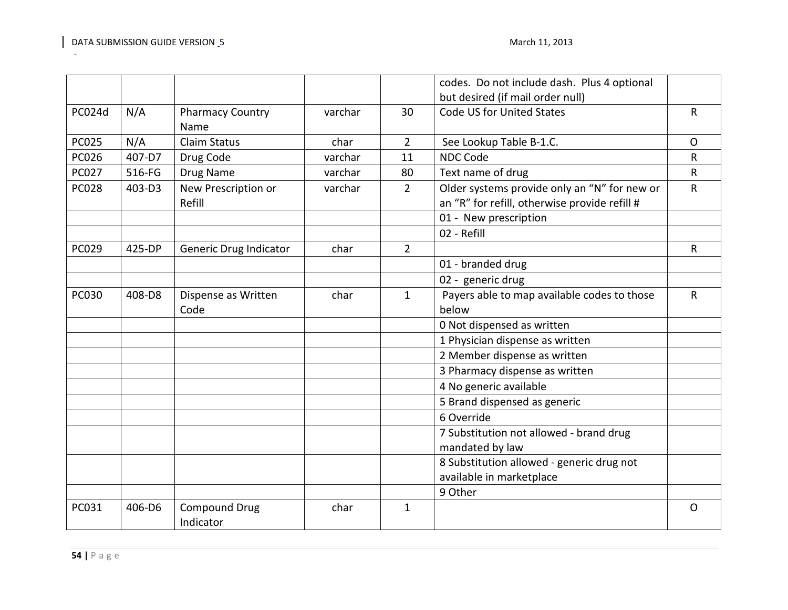|              |        |                                   |         |                | codes. Do not include dash. Plus 4 optional                                                   |              |
|--------------|--------|-----------------------------------|---------|----------------|-----------------------------------------------------------------------------------------------|--------------|
|              |        |                                   |         |                | but desired (if mail order null)                                                              |              |
| PC024d       | N/A    | <b>Pharmacy Country</b><br>Name   | varchar | 30             | Code US for United States                                                                     | $\mathsf{R}$ |
| <b>PC025</b> | N/A    | <b>Claim Status</b>               | char    | $\overline{2}$ | See Lookup Table B-1.C.                                                                       | $\mathsf{O}$ |
| <b>PC026</b> | 407-D7 | Drug Code                         | varchar | 11             | <b>NDC Code</b>                                                                               | R            |
| PC027        | 516-FG | Drug Name                         | varchar | 80             | Text name of drug                                                                             | $\mathsf{R}$ |
| <b>PC028</b> | 403-D3 | New Prescription or<br>Refill     | varchar | $\overline{2}$ | Older systems provide only an "N" for new or<br>an "R" for refill, otherwise provide refill # | $\mathsf{R}$ |
|              |        |                                   |         |                | 01 - New prescription                                                                         |              |
|              |        |                                   |         |                | 02 - Refill                                                                                   |              |
| <b>PC029</b> | 425-DP | Generic Drug Indicator            | char    | $\overline{2}$ |                                                                                               | $\mathsf{R}$ |
|              |        |                                   |         |                | 01 - branded drug                                                                             |              |
|              |        |                                   |         |                | 02 - generic drug                                                                             |              |
| <b>PC030</b> | 408-D8 | Dispense as Written<br>Code       | char    | $\mathbf{1}$   | Payers able to map available codes to those<br>below                                          | $\mathsf{R}$ |
|              |        |                                   |         |                | 0 Not dispensed as written                                                                    |              |
|              |        |                                   |         |                | 1 Physician dispense as written                                                               |              |
|              |        |                                   |         |                | 2 Member dispense as written                                                                  |              |
|              |        |                                   |         |                | 3 Pharmacy dispense as written                                                                |              |
|              |        |                                   |         |                | 4 No generic available                                                                        |              |
|              |        |                                   |         |                | 5 Brand dispensed as generic                                                                  |              |
|              |        |                                   |         |                | 6 Override                                                                                    |              |
|              |        |                                   |         |                | 7 Substitution not allowed - brand drug                                                       |              |
|              |        |                                   |         |                | mandated by law                                                                               |              |
|              |        |                                   |         |                | 8 Substitution allowed - generic drug not                                                     |              |
|              |        |                                   |         |                | available in marketplace                                                                      |              |
|              |        |                                   |         |                | 9 Other                                                                                       |              |
| PC031        | 406-D6 | <b>Compound Drug</b><br>Indicator | char    | $\mathbf{1}$   |                                                                                               | $\mathsf{O}$ |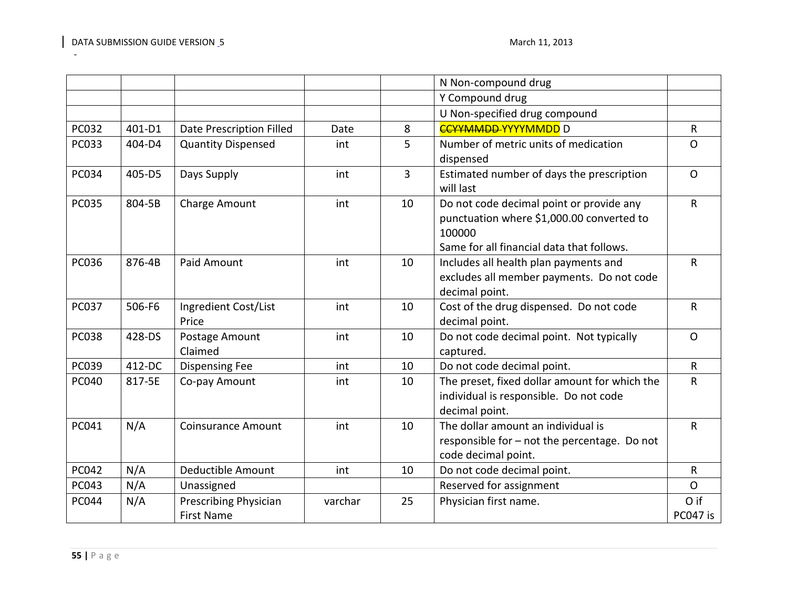|              |        |                                            |         |                | N Non-compound drug                                                                                                                          |                  |
|--------------|--------|--------------------------------------------|---------|----------------|----------------------------------------------------------------------------------------------------------------------------------------------|------------------|
|              |        |                                            |         |                | Y Compound drug                                                                                                                              |                  |
|              |        |                                            |         |                | U Non-specified drug compound                                                                                                                |                  |
| PC032        | 401-D1 | Date Prescription Filled                   | Date    | 8              | <b>CCYYMMDD-YYYYMMDD</b> D                                                                                                                   | $\mathsf{R}$     |
| PC033        | 404-D4 | <b>Quantity Dispensed</b>                  | int     | 5              | Number of metric units of medication<br>dispensed                                                                                            | $\Omega$         |
| PC034        | 405-D5 | Days Supply                                | int     | $\overline{3}$ | Estimated number of days the prescription<br>will last                                                                                       | $\mathsf{O}$     |
| <b>PC035</b> | 804-5B | Charge Amount                              | int     | 10             | Do not code decimal point or provide any<br>punctuation where \$1,000.00 converted to<br>100000<br>Same for all financial data that follows. | $\mathsf{R}$     |
| PC036        | 876-4B | Paid Amount                                | int     | 10             | Includes all health plan payments and<br>excludes all member payments. Do not code<br>decimal point.                                         | $\mathsf{R}$     |
| <b>PC037</b> | 506-F6 | Ingredient Cost/List<br>Price              | int     | 10             | Cost of the drug dispensed. Do not code<br>decimal point.                                                                                    | $\mathsf{R}$     |
| <b>PC038</b> | 428-DS | Postage Amount<br>Claimed                  | int     | 10             | Do not code decimal point. Not typically<br>captured.                                                                                        | $\mathsf{O}$     |
| <b>PC039</b> | 412-DC | <b>Dispensing Fee</b>                      | int     | 10             | Do not code decimal point.                                                                                                                   | $\mathsf{R}$     |
| PC040        | 817-5E | Co-pay Amount                              | int     | 10             | The preset, fixed dollar amount for which the<br>individual is responsible. Do not code<br>decimal point.                                    | $\mathsf R$      |
| PC041        | N/A    | <b>Coinsurance Amount</b>                  | int     | 10             | The dollar amount an individual is<br>responsible for - not the percentage. Do not<br>code decimal point.                                    | $\mathsf{R}$     |
| PC042        | N/A    | Deductible Amount                          | int     | 10             | Do not code decimal point.                                                                                                                   | $\mathsf{R}$     |
| PC043        | N/A    | Unassigned                                 |         |                | Reserved for assignment                                                                                                                      | $\mathsf{O}$     |
| <b>PC044</b> | N/A    | Prescribing Physician<br><b>First Name</b> | varchar | 25             | Physician first name.                                                                                                                        | O if<br>PC047 is |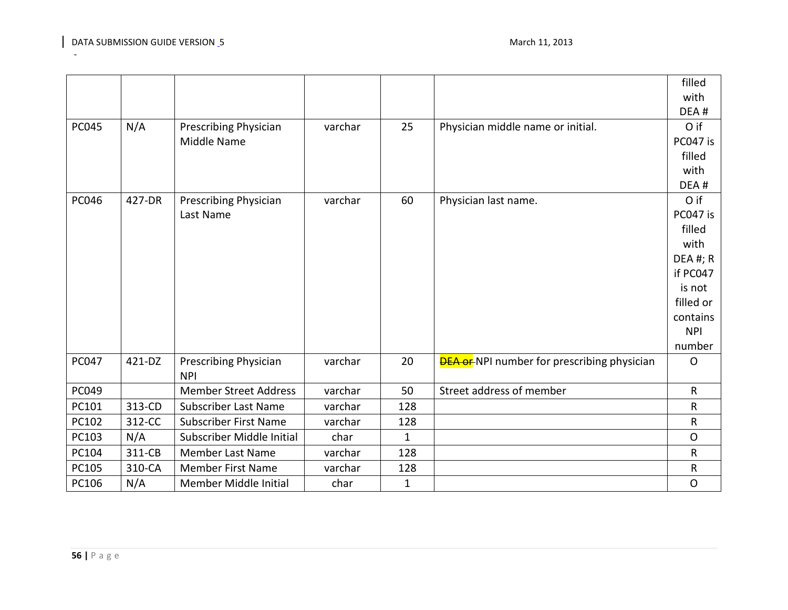|              |        |                                            |         |              |                                                     | filled       |
|--------------|--------|--------------------------------------------|---------|--------------|-----------------------------------------------------|--------------|
|              |        |                                            |         |              |                                                     | with         |
|              |        |                                            |         |              |                                                     | DEA#         |
| <b>PC045</b> | N/A    | Prescribing Physician                      | varchar | 25           | Physician middle name or initial.                   | O if         |
|              |        | Middle Name                                |         |              |                                                     | PC047 is     |
|              |        |                                            |         |              |                                                     | filled       |
|              |        |                                            |         |              |                                                     | with         |
|              |        |                                            |         |              |                                                     | DEA#         |
| <b>PC046</b> | 427-DR | Prescribing Physician                      | varchar | 60           | Physician last name.                                | O if         |
|              |        | Last Name                                  |         |              |                                                     | PC047 is     |
|              |        |                                            |         |              |                                                     | filled       |
|              |        |                                            |         |              |                                                     | with         |
|              |        |                                            |         |              |                                                     | $DEA$ #; R   |
|              |        |                                            |         |              |                                                     | if PC047     |
|              |        |                                            |         |              |                                                     | is not       |
|              |        |                                            |         |              |                                                     | filled or    |
|              |        |                                            |         |              |                                                     | contains     |
|              |        |                                            |         |              |                                                     | <b>NPI</b>   |
|              |        |                                            |         |              |                                                     | number       |
| PC047        | 421-DZ | <b>Prescribing Physician</b><br><b>NPI</b> | varchar | 20           | <b>DEA or-</b> NPI number for prescribing physician | $\circ$      |
| PC049        |        | <b>Member Street Address</b>               | varchar | 50           | Street address of member                            | $\mathsf{R}$ |
| PC101        | 313-CD | <b>Subscriber Last Name</b>                | varchar | 128          |                                                     | $\mathsf R$  |
| PC102        | 312-CC | <b>Subscriber First Name</b>               | varchar | 128          |                                                     | ${\sf R}$    |
| PC103        | N/A    | Subscriber Middle Initial                  | char    | $\mathbf{1}$ |                                                     | $\mathsf{O}$ |
| PC104        | 311-CB | <b>Member Last Name</b>                    | varchar | 128          |                                                     | ${\sf R}$    |
| PC105        | 310-CA | <b>Member First Name</b>                   | varchar | 128          |                                                     |              |
|              |        |                                            |         |              |                                                     | R            |
| PC106        | N/A    | Member Middle Initial                      | char    | 1            |                                                     | $\circ$      |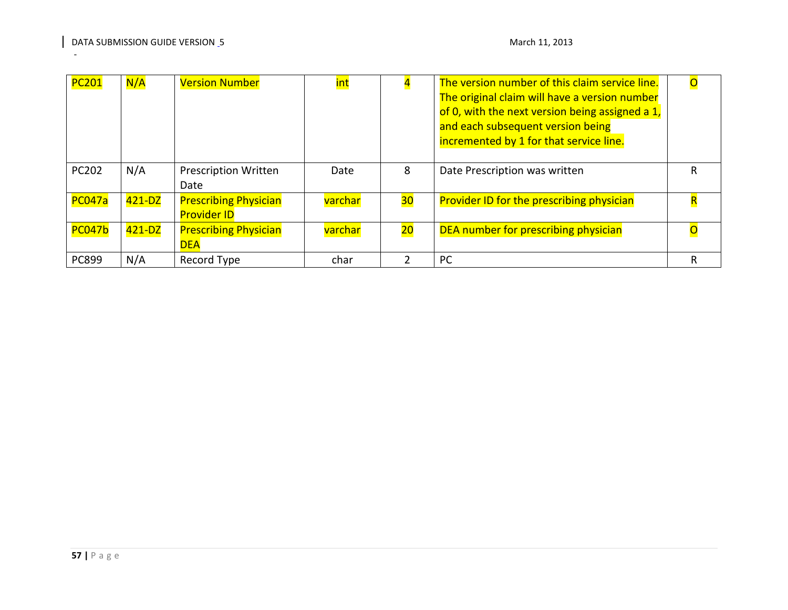| <b>PC201</b>  | N/A        | <b>Version Number</b>                              | int     |    | The version number of this claim service line.<br>The original claim will have a version number<br>of 0, with the next version being assigned a 1,<br>and each subsequent version being<br>incremented by 1 for that service line. |   |
|---------------|------------|----------------------------------------------------|---------|----|------------------------------------------------------------------------------------------------------------------------------------------------------------------------------------------------------------------------------------|---|
| PC202         | N/A        | <b>Prescription Written</b><br>Date                | Date    | 8  | Date Prescription was written                                                                                                                                                                                                      | R |
| <b>PC047a</b> | $421 - DZ$ | <b>Prescribing Physician</b><br><b>Provider ID</b> | varchar | 30 | <b>Provider ID for the prescribing physician</b>                                                                                                                                                                                   |   |
| <b>PC047b</b> | $421 - DZ$ | <b>Prescribing Physician</b><br><b>DEA</b>         | varchar | 20 | DEA number for prescribing physician                                                                                                                                                                                               |   |
| PC899         | N/A        | Record Type                                        | char    |    | <b>PC</b>                                                                                                                                                                                                                          | R |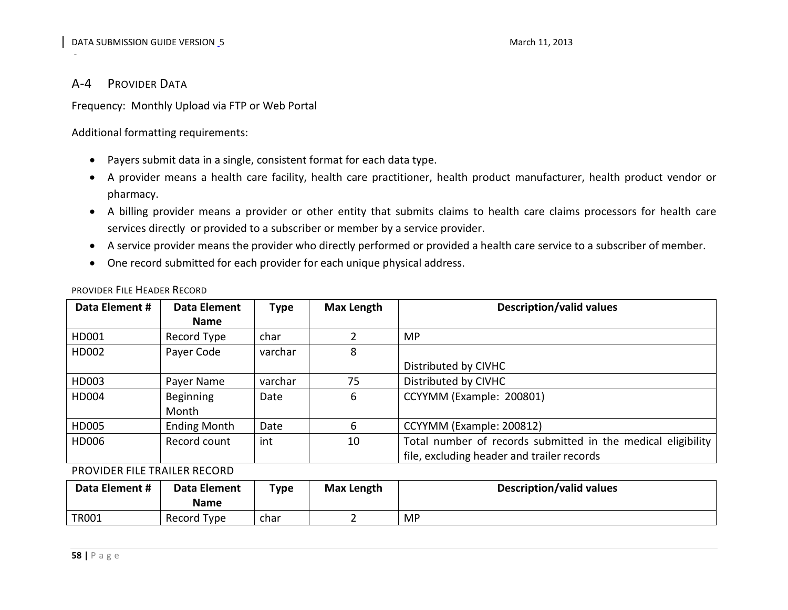## A-4 PROVIDER DATA

-

Frequency: Monthly Upload via FTP or Web Portal

Additional formatting requirements:

- Payers submit data in a single, consistent format for each data type.
- A provider means a health care facility, health care practitioner, health product manufacturer, health product vendor or pharmacy.
- A billing provider means a provider or other entity that submits claims to health care claims processors for health care services directly or provided to a subscriber or member by a service provider.
- A service provider means the provider who directly performed or provided a health care service to a subscriber of member.
- <span id="page-57-0"></span>• One record submitted for each provider for each unique physical address.

| Data Element # | <b>Data Element</b> | <b>Type</b> | Max Length | <b>Description/valid values</b>                              |
|----------------|---------------------|-------------|------------|--------------------------------------------------------------|
|                | <b>Name</b>         |             |            |                                                              |
| HD001          | Record Type         | char        |            | <b>MP</b>                                                    |
| HD002          | Payer Code          | varchar     | 8          |                                                              |
|                |                     |             |            | Distributed by CIVHC                                         |
| HD003          | Payer Name          | varchar     | 75         | Distributed by CIVHC                                         |
| HD004          | <b>Beginning</b>    | Date        | 6          | CCYYMM (Example: 200801)                                     |
|                | Month               |             |            |                                                              |
| HD005          | <b>Ending Month</b> | Date        | 6          | CCYYMM (Example: 200812)                                     |
| HD006          | Record count        | int         | 10         | Total number of records submitted in the medical eligibility |
|                |                     |             |            | file, excluding header and trailer records                   |

PROVIDER FILE HEADER RECORD

<span id="page-57-1"></span>PROVIDER FILE TRAILER RECORD

<span id="page-57-2"></span>

| Data Element # | Data Element<br><b>Name</b> | $T$ <sub>ype</sub> | Max Length | <b>Description/valid values</b> |
|----------------|-----------------------------|--------------------|------------|---------------------------------|
| <b>TR001</b>   | Record Type                 | char               |            | <b>MP</b>                       |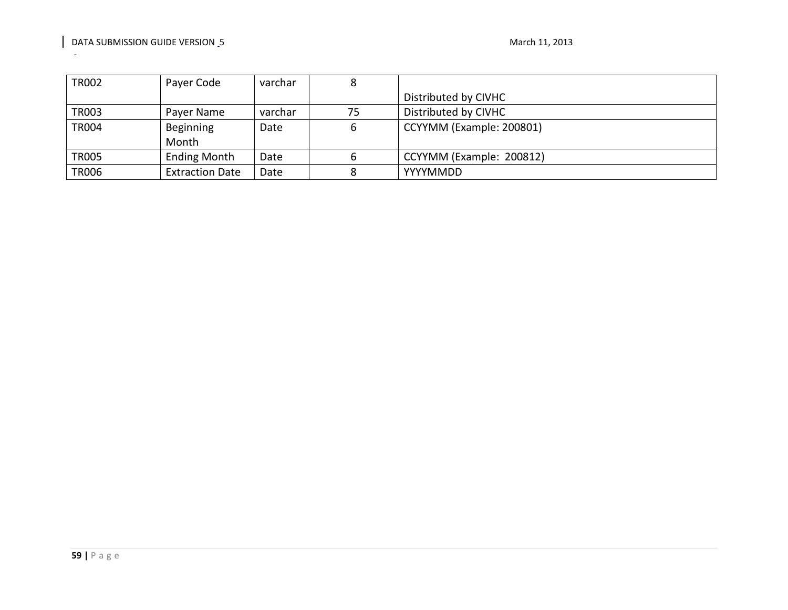| TR002        | Payer Code             | varchar | Ο  |                          |
|--------------|------------------------|---------|----|--------------------------|
|              |                        |         |    | Distributed by CIVHC     |
| <b>TR003</b> | Payer Name             | varchar | 75 | Distributed by CIVHC     |
| <b>TR004</b> | Beginning              | Date    |    | CCYYMM (Example: 200801) |
|              | Month                  |         |    |                          |
| <b>TR005</b> | <b>Ending Month</b>    | Date    |    | CCYYMM (Example: 200812) |
| <b>TR006</b> | <b>Extraction Date</b> | Date    |    | YYYYMMDD                 |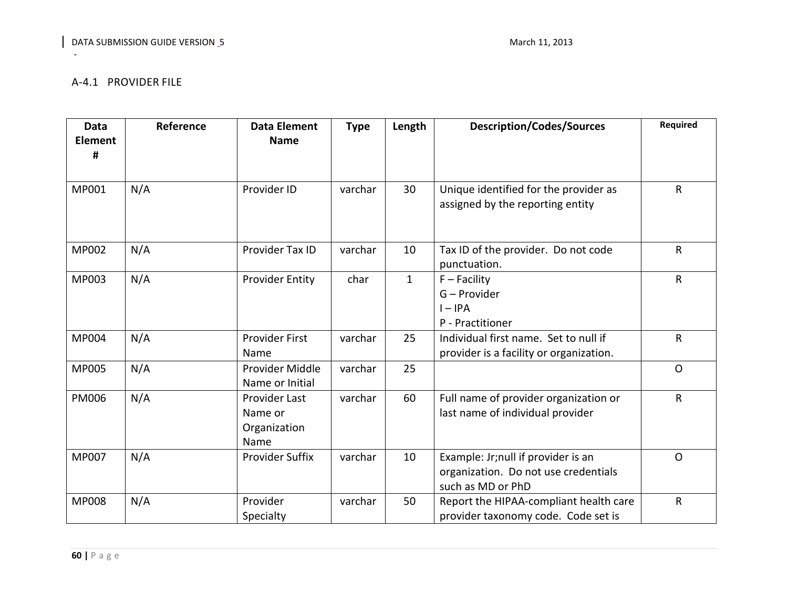# A-4.1 PROVIDER FILE

<span id="page-59-0"></span>

| <b>Data</b><br><b>Element</b><br># | Reference | <b>Data Element</b><br><b>Name</b>               | <b>Type</b> | Length       | <b>Description/Codes/Sources</b>                                                                 | <b>Required</b> |
|------------------------------------|-----------|--------------------------------------------------|-------------|--------------|--------------------------------------------------------------------------------------------------|-----------------|
| MP001                              | N/A       | Provider ID                                      | varchar     | 30           | Unique identified for the provider as<br>assigned by the reporting entity                        | $\mathsf{R}$    |
| <b>MP002</b>                       | N/A       | Provider Tax ID                                  | varchar     | 10           | Tax ID of the provider. Do not code<br>punctuation.                                              | R               |
| MP003                              | N/A       | <b>Provider Entity</b>                           | char        | $\mathbf{1}$ | $F -$ Facility<br>G – Provider<br>$I - IPA$<br>P - Practitioner                                  | $\mathsf{R}$    |
| <b>MP004</b>                       | N/A       | <b>Provider First</b><br>Name                    | varchar     | 25           | Individual first name. Set to null if<br>provider is a facility or organization.                 | $\mathsf R$     |
| <b>MP005</b>                       | N/A       | Provider Middle<br>Name or Initial               | varchar     | 25           |                                                                                                  | $\Omega$        |
| <b>PM006</b>                       | N/A       | Provider Last<br>Name or<br>Organization<br>Name | varchar     | 60           | Full name of provider organization or<br>last name of individual provider                        | $\mathsf{R}$    |
| <b>MP007</b>                       | N/A       | <b>Provider Suffix</b>                           | varchar     | 10           | Example: Jr; null if provider is an<br>organization. Do not use credentials<br>such as MD or PhD | $\Omega$        |
| <b>MP008</b>                       | N/A       | Provider<br>Specialty                            | varchar     | 50           | Report the HIPAA-compliant health care<br>provider taxonomy code. Code set is                    | $\mathsf R$     |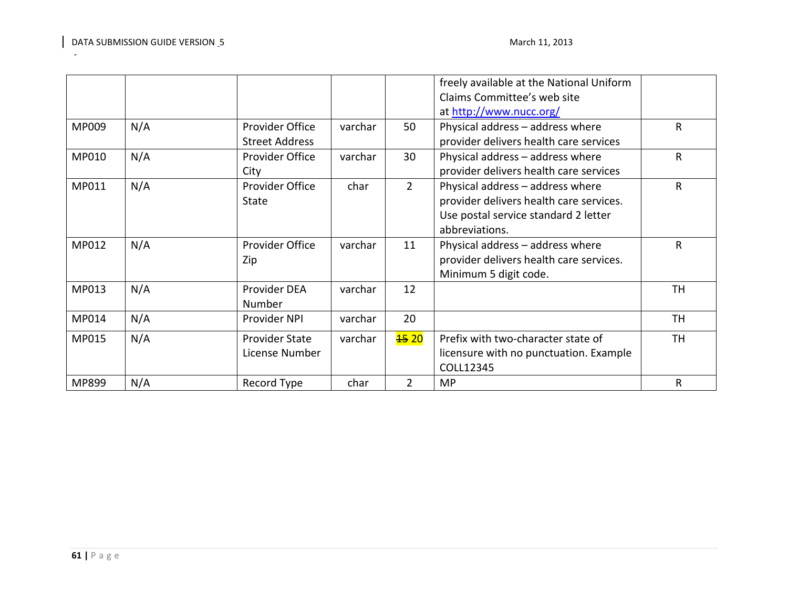|       |     |                        |         |                  | freely available at the National Uniform |              |
|-------|-----|------------------------|---------|------------------|------------------------------------------|--------------|
|       |     |                        |         |                  | Claims Committee's web site              |              |
|       |     |                        |         |                  | at http://www.nucc.org/                  |              |
| MP009 | N/A | Provider Office        | varchar | 50               | Physical address - address where         | $\mathsf{R}$ |
|       |     | <b>Street Address</b>  |         |                  | provider delivers health care services   |              |
| MP010 | N/A | Provider Office        | varchar | 30               | Physical address - address where         | $\mathsf R$  |
|       |     | City                   |         |                  | provider delivers health care services   |              |
| MP011 | N/A | <b>Provider Office</b> | char    | $\overline{2}$   | Physical address - address where         | $\mathsf R$  |
|       |     | <b>State</b>           |         |                  | provider delivers health care services.  |              |
|       |     |                        |         |                  | Use postal service standard 2 letter     |              |
|       |     |                        |         |                  | abbreviations.                           |              |
| MP012 | N/A | <b>Provider Office</b> | varchar | 11               | Physical address - address where         | R            |
|       |     | Zip                    |         |                  | provider delivers health care services.  |              |
|       |     |                        |         |                  | Minimum 5 digit code.                    |              |
| MP013 | N/A | Provider DEA           | varchar | 12               |                                          | TН           |
|       |     | Number                 |         |                  |                                          |              |
| MP014 | N/A | Provider NPI           | varchar | 20               |                                          | TH           |
| MP015 | N/A | <b>Provider State</b>  | varchar | <del>15</del> 20 | Prefix with two-character state of       | <b>TH</b>    |
|       |     | License Number         |         |                  | licensure with no punctuation. Example   |              |
|       |     |                        |         |                  | COLL12345                                |              |
| MP899 | N/A | Record Type            | char    | 2                | <b>MP</b>                                | R            |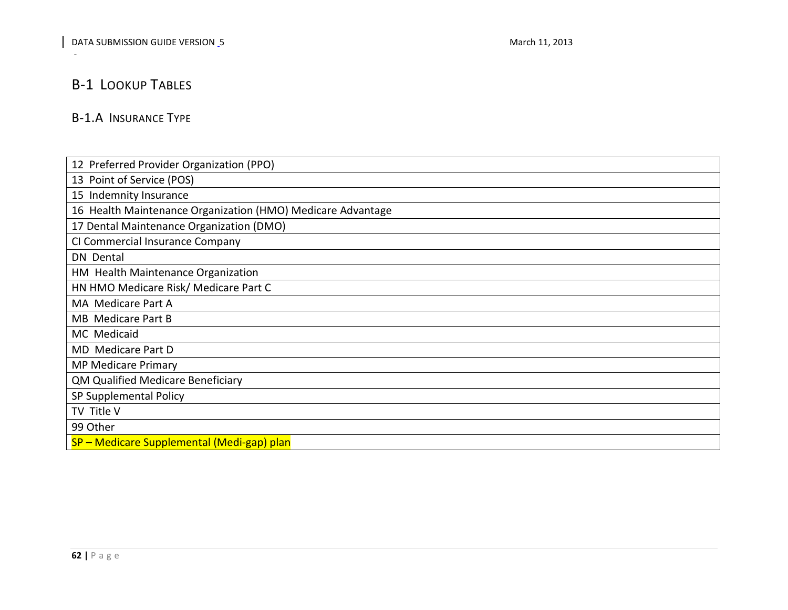# B-1 LOOKUP TABLES

-

# B-1.A INSURANCE TYPE

<span id="page-61-1"></span><span id="page-61-0"></span>

| 12 Preferred Provider Organization (PPO)                    |  |
|-------------------------------------------------------------|--|
| 13 Point of Service (POS)                                   |  |
| 15 Indemnity Insurance                                      |  |
| 16 Health Maintenance Organization (HMO) Medicare Advantage |  |
| 17 Dental Maintenance Organization (DMO)                    |  |
| CI Commercial Insurance Company                             |  |
| DN Dental                                                   |  |
| HM Health Maintenance Organization                          |  |
| HN HMO Medicare Risk/ Medicare Part C                       |  |
| MA Medicare Part A                                          |  |
| MB Medicare Part B                                          |  |
| MC Medicaid                                                 |  |
| MD Medicare Part D                                          |  |
| <b>MP Medicare Primary</b>                                  |  |
| QM Qualified Medicare Beneficiary                           |  |
| SP Supplemental Policy                                      |  |
| TV Title V                                                  |  |
| 99 Other                                                    |  |
| SP – Medicare Supplemental (Medi-gap) plan                  |  |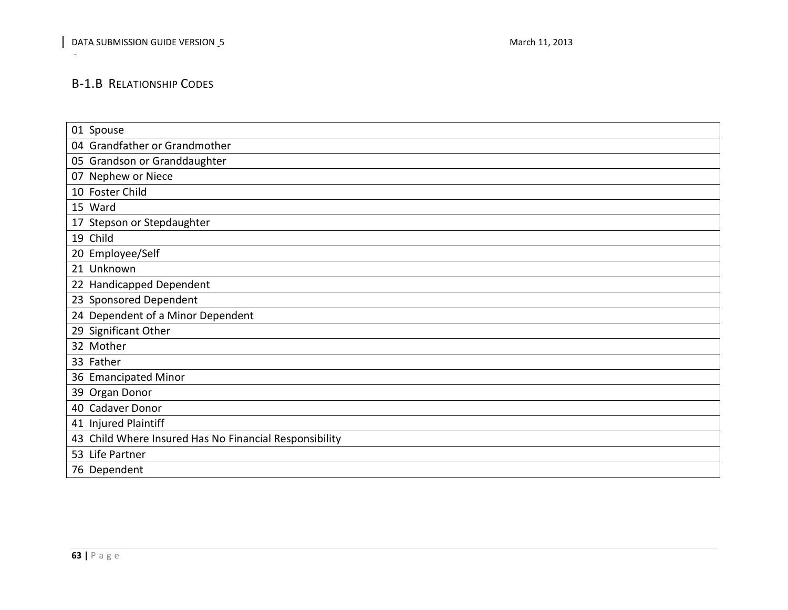# B-1.B RELATIONSHIP CODES

<span id="page-62-0"></span>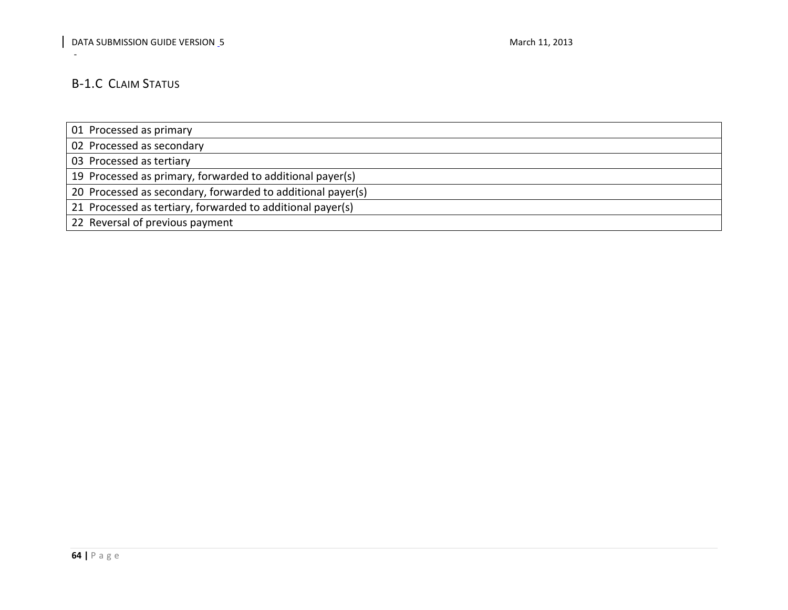# B-1.C CLAIM STATUS

-

01 Processed as primary

02 Processed as secondary

03 Processed as tertiary

19 Processed as primary, forwarded to additional payer(s)

20 Processed as secondary, forwarded to additional payer(s)

21 Processed as tertiary, forwarded to additional payer(s)

<span id="page-63-0"></span>22 Reversal of previous payment